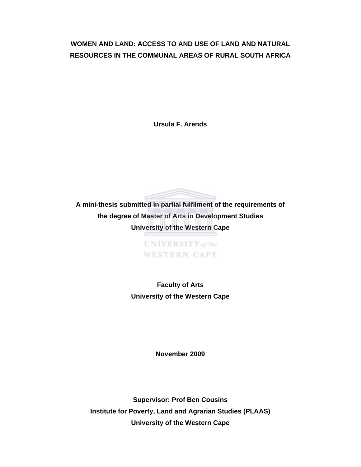# **WOMEN AND LAND: ACCESS TO AND USE OF LAND AND NATURAL RESOURCES IN THE COMMUNAL AREAS OF RURAL SOUTH AFRICA**

**Ursula F. Arends** 



**UNIVERSITY** of the **WESTERN CAPE** 

**Faculty of Arts University of the Western Cape** 

**November 2009** 

**Supervisor: Prof Ben Cousins Institute for Poverty, Land and Agrarian Studies (PLAAS) University of the Western Cape**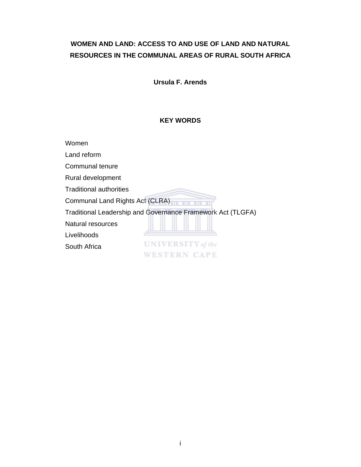# **WOMEN AND LAND: ACCESS TO AND USE OF LAND AND NATURAL RESOURCES IN THE COMMUNAL AREAS OF RURAL SOUTH AFRICA**

**Ursula F. Arends** 

## **KEY WORDS**

Women

Land reform

Communal tenure

Rural development

Traditional authorities

Communal Land Rights Act (CLRA)

Traditional Leadership and Governance Framework Act (TLGFA)

Natural resources

Livelihoods

South Africa

**UNIVERSITY** of the **WESTERN CAPE**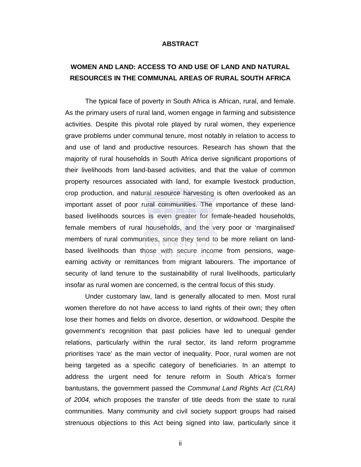#### **ABSTRACT**

# **WOMEN AND LAND: ACCESS TO AND USE OF LAND AND NATURAL RESOURCES IN THE COMMUNAL AREAS OF RURAL SOUTH AFRICA**

The typical face of poverty in South Africa is African, rural, and female. As the primary users of rural land, women engage in farming and subsistence activities. Despite this pivotal role played by rural women, they experience grave problems under communal tenure, most notably in relation to access to and use of land and productive resources. Research has shown that the majority of rural households in South Africa derive significant proportions of their livelihoods from land-based activities, and that the value of common property resources associated with land, for example livestock production, crop production, and natural resource harvesting is often overlooked as an important asset of poor rural communities. The importance of these landbased livelihoods sources is even greater for female-headed households, female members of rural households, and the very poor or 'marginalised' members of rural communities, since they tend to be more reliant on landbased livelihoods than those with secure income from pensions, wageearning activity or remittances from migrant labourers. The importance of security of land tenure to the sustainability of rural livelihoods, particularly insofar as rural women are concerned, is the central focus of this study.

Under customary law, land is generally allocated to men. Most rural women therefore do not have access to land rights of their own; they often lose their homes and fields on divorce, desertion, or widowhood. Despite the government's recognition that past policies have led to unequal gender relations, particularly within the rural sector, its land reform programme prioritises 'race' as the main vector of inequality. Poor, rural women are not being targeted as a specific category of beneficiaries. In an attempt to address the urgent need for tenure reform in South Africa's former bantustans, the government passed the *Communal Land Rights Act (CLRA) of 2004,* which proposes the transfer of title deeds from the state to rural communities. Many community and civil society support groups had raised strenuous objections to this Act being signed into law, particularly since it

ii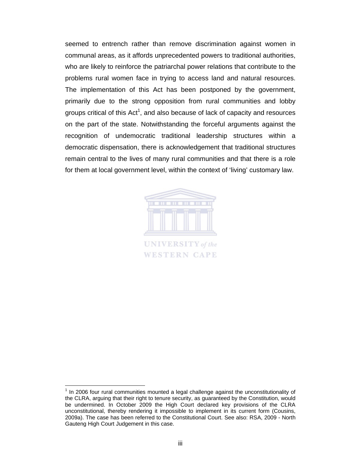seemed to entrench rather than remove discrimination against women in communal areas, as it affords unprecedented powers to traditional authorities, who are likely to reinforce the patriarchal power relations that contribute to the problems rural women face in trying to access land and natural resources. The implementation of this Act has been postponed by the government, primarily due to the strong opposition from rural communities and lobby groups critical of this Act<sup>1</sup>, and also because of lack of capacity and resources on the part of the state. Notwithstanding the forceful arguments against the recognition of undemocratic traditional leadership structures within a democratic dispensation, there is acknowledgement that traditional structures remain central to the lives of many rural communities and that there is a role for them at local government level, within the context of 'living' customary law.



 $\overline{a}$ 

<sup>1</sup> In 2006 four rural communities mounted a legal challenge against the unconstitutionality of the CLRA, arguing that their right to tenure security, as guaranteed by the Constitution, would be undermined. In October 2009 the High Court declared key provisions of the CLRA unconstitutional, thereby rendering it impossible to implement in its current form (Cousins, 2009a). The case has been referred to the Constitutional Court. See also: RSA, 2009 - North Gauteng High Court Judgement in this case.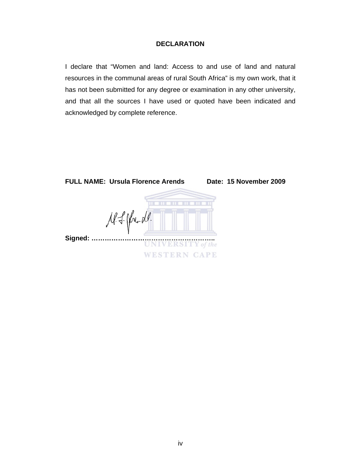### **DECLARATION**

I declare that "Women and land: Access to and use of land and natural resources in the communal areas of rural South Africa" is my own work, that it has not been submitted for any degree or examination in any other university, and that all the sources I have used or quoted have been indicated and acknowledged by complete reference.

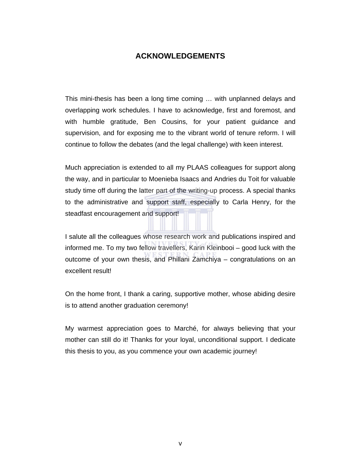# **ACKNOWLEDGEMENTS**

This mini-thesis has been a long time coming … with unplanned delays and overlapping work schedules. I have to acknowledge, first and foremost, and with humble gratitude, Ben Cousins, for your patient guidance and supervision, and for exposing me to the vibrant world of tenure reform. I will continue to follow the debates (and the legal challenge) with keen interest.

Much appreciation is extended to all my PLAAS colleagues for support along the way, and in particular to Moenieba Isaacs and Andries du Toit for valuable study time off during the latter part of the writing-up process. A special thanks to the administrative and support staff, especially to Carla Henry, for the steadfast encouragement and support!

I salute all the colleagues whose research work and publications inspired and informed me. To my two fellow travellers, Karin Kleinbooi – good luck with the outcome of your own thesis, and Phillani Zamchiya – congratulations on an excellent result!

On the home front, I thank a caring, supportive mother, whose abiding desire is to attend another graduation ceremony!

My warmest appreciation goes to Marché, for always believing that your mother can still do it! Thanks for your loyal, unconditional support. I dedicate this thesis to you, as you commence your own academic journey!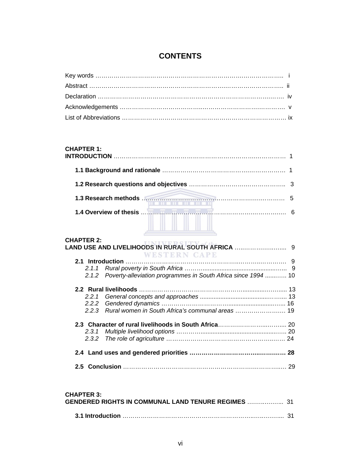# **CONTENTS**

# **CHAPTER 1:**

| <b>CHAPTER 2:</b> |                                                                     |    |
|-------------------|---------------------------------------------------------------------|----|
|                   | WESTERN CAPE                                                        |    |
|                   |                                                                     |    |
|                   |                                                                     |    |
|                   | 2.1.2 Poverty-alleviation programmes in South Africa since 1994  10 |    |
|                   |                                                                     |    |
|                   |                                                                     |    |
|                   |                                                                     |    |
|                   | 2.2.3 Rural women in South Africa's communal areas  19              |    |
|                   |                                                                     |    |
|                   |                                                                     |    |
|                   |                                                                     |    |
|                   |                                                                     |    |
|                   |                                                                     | 29 |

#### **CHAPTER 3:**

| --------------<br><b>GENDERED RIGHTS IN COMMUNAL LAND TENURE REGIMES  31</b> |  |
|------------------------------------------------------------------------------|--|
|                                                                              |  |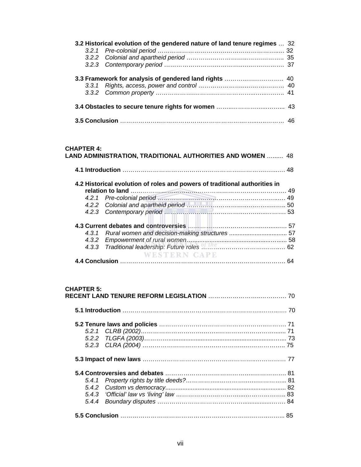| 3.2 Historical evolution of the gendered nature of land tenure regimes  32 |  |  |
|----------------------------------------------------------------------------|--|--|
|                                                                            |  |  |
|                                                                            |  |  |
|                                                                            |  |  |
|                                                                            |  |  |
|                                                                            |  |  |
|                                                                            |  |  |

| <b>CHAPTER 4:</b> | LAND ADMINISTRATION, TRADITIONAL AUTHORITIES AND WOMEN  48                 |    |
|-------------------|----------------------------------------------------------------------------|----|
|                   |                                                                            |    |
|                   | 4.2 Historical evolution of roles and powers of traditional authorities in | 49 |
|                   |                                                                            | 49 |
|                   |                                                                            |    |
|                   |                                                                            |    |
|                   |                                                                            |    |
|                   | 4.3.1 Rural women and decision-making structures  57                       |    |
|                   |                                                                            |    |
|                   |                                                                            |    |
|                   | <b>WESTERN CAPE</b>                                                        |    |
|                   |                                                                            |    |

#### **CHAPTER 5:**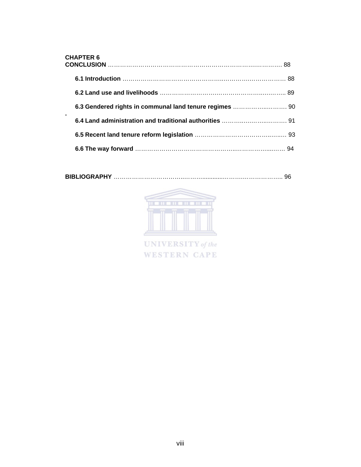| <b>CHAPTER 6</b> |  |  |
|------------------|--|--|
|                  |  |  |
|                  |  |  |
|                  |  |  |
|                  |  |  |
|                  |  |  |
|                  |  |  |

**BIBLIOGRAPHY** ……………………………..………............……….……………….. 96



UNIVERSITY of the **WESTERN CAPE**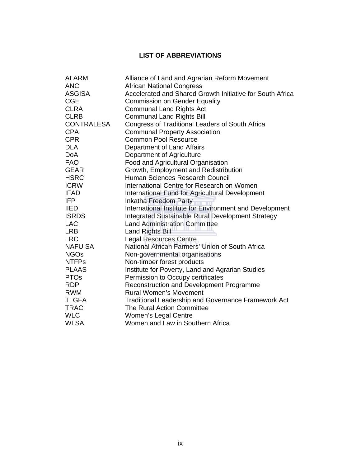# **LIST OF ABBREVIATIONS**

| <b>ALARM</b>      | Alliance of Land and Agrarian Reform Movement              |
|-------------------|------------------------------------------------------------|
| <b>ANC</b>        | <b>African National Congress</b>                           |
| <b>ASGISA</b>     | Accelerated and Shared Growth Initiative for South Africa  |
| <b>CGE</b>        | <b>Commission on Gender Equality</b>                       |
| <b>CLRA</b>       | <b>Communal Land Rights Act</b>                            |
| <b>CLRB</b>       | <b>Communal Land Rights Bill</b>                           |
| <b>CONTRALESA</b> | Congress of Traditional Leaders of South Africa            |
| <b>CPA</b>        | <b>Communal Property Association</b>                       |
| <b>CPR</b>        | <b>Common Pool Resource</b>                                |
| <b>DLA</b>        | Department of Land Affairs                                 |
| <b>DoA</b>        | Department of Agriculture                                  |
| <b>FAO</b>        | Food and Agricultural Organisation                         |
| <b>GEAR</b>       | Growth, Employment and Redistribution                      |
| <b>HSRC</b>       | Human Sciences Research Council                            |
| <b>ICRW</b>       | International Centre for Research on Women                 |
| <b>IFAD</b>       | International Fund for Agricultural Development            |
| <b>IFP</b>        | Inkatha Freedom Party                                      |
| <b>IIED</b>       | International Institute for Environment and Development    |
| <b>ISRDS</b>      | Integrated Sustainable Rural Development Strategy          |
| <b>LAC</b>        | <b>Land Administration Committee</b>                       |
| <b>LRB</b>        | <b>Land Rights Bill</b>                                    |
| <b>LRC</b>        | <b>Legal Resources Centre</b>                              |
| <b>NAFU SA</b>    | National African Farmers' Union of South Africa            |
| <b>NGOs</b>       | Non-governmental organisations                             |
| <b>NTFPs</b>      | Non-timber forest products                                 |
| <b>PLAAS</b>      | Institute for Poverty, Land and Agrarian Studies           |
| <b>PTOs</b>       | Permission to Occupy certificates                          |
| <b>RDP</b>        | Reconstruction and Development Programme                   |
| <b>RWM</b>        | <b>Rural Women's Movement</b>                              |
| <b>TLGFA</b>      | <b>Traditional Leadership and Governance Framework Act</b> |
| <b>TRAC</b>       | The Rural Action Committee                                 |
| <b>WLC</b>        | Women's Legal Centre                                       |
| <b>WLSA</b>       | Women and Law in Southern Africa                           |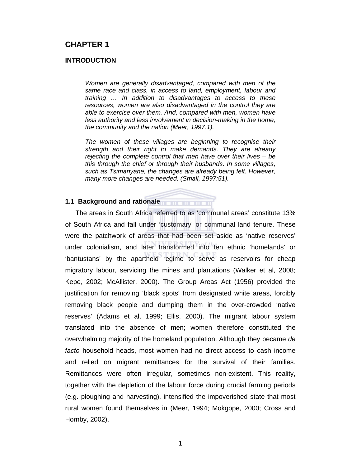# **CHAPTER 1**

#### **INTRODUCTION**

*Women are generally disadvantaged, compared with men of the same race and class, in access to land, employment, labour and training … In addition to disadvantages to access to these resources, women are also disadvantaged in the control they are able to exercise over them. And, compared with men, women have less authority and less involvement in decision-making in the home, the community and the nation (Meer, 1997:1).* 

*The women of these villages are beginning to recognise their strength and their right to make demands. They are already rejecting the complete control that men have over their lives – be this through the chief or through their husbands. In some villages, such as Tsimanyane, the changes are already being felt. However, many more changes are needed. (Small, 1997:51).* 

#### **1.1 Background and rationale**

The areas in South Africa referred to as 'communal areas' constitute 13% of South Africa and fall under 'customary' or communal land tenure. These were the patchwork of areas that had been set aside as 'native reserves' under colonialism, and later transformed into ten ethnic 'homelands' or 'bantustans' by the apartheid regime to serve as reservoirs for cheap migratory labour, servicing the mines and plantations (Walker et al, 2008; Kepe, 2002; McAllister, 2000). The Group Areas Act (1956) provided the justification for removing 'black spots' from designated white areas, forcibly removing black people and dumping them in the over-crowded 'native reserves' (Adams et al, 1999; Ellis, 2000). The migrant labour system translated into the absence of men; women therefore constituted the overwhelming majority of the homeland population. Although they became *de facto* household heads, most women had no direct access to cash income and relied on migrant remittances for the survival of their families. Remittances were often irregular, sometimes non-existent. This reality, together with the depletion of the labour force during crucial farming periods (e.g. ploughing and harvesting), intensified the impoverished state that most rural women found themselves in (Meer, 1994; Mokgope, 2000; Cross and Hornby, 2002).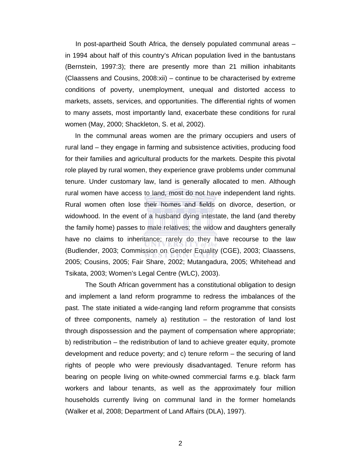In post-apartheid South Africa, the densely populated communal areas – in 1994 about half of this country's African population lived in the bantustans (Bernstein, 1997:3); there are presently more than 21 million inhabitants (Claassens and Cousins, 2008:xii) – continue to be characterised by extreme conditions of poverty, unemployment, unequal and distorted access to markets, assets, services, and opportunities. The differential rights of women to many assets, most importantly land, exacerbate these conditions for rural women (May, 2000; Shackleton, S. et al, 2002).

In the communal areas women are the primary occupiers and users of rural land – they engage in farming and subsistence activities, producing food for their families and agricultural products for the markets. Despite this pivotal role played by rural women, they experience grave problems under communal tenure. Under customary law, land is generally allocated to men. Although rural women have access to land, most do not have independent land rights. Rural women often lose their homes and fields on divorce, desertion, or widowhood. In the event of a husband dying intestate, the land (and thereby the family home) passes to male relatives; the widow and daughters generally have no claims to inheritance; rarely do they have recourse to the law (Budlender, 2003; Commission on Gender Equality (CGE), 2003; Claassens, 2005; Cousins, 2005; Fair Share, 2002; Mutangadura, 2005; Whitehead and Tsikata, 2003; Women's Legal Centre (WLC), 2003).

The South African government has a constitutional obligation to design and implement a land reform programme to redress the imbalances of the past. The state initiated a wide-ranging land reform programme that consists of three components, namely a) restitution – the restoration of land lost through dispossession and the payment of compensation where appropriate; b) redistribution – the redistribution of land to achieve greater equity, promote development and reduce poverty; and c) tenure reform – the securing of land rights of people who were previously disadvantaged. Tenure reform has bearing on people living on white-owned commercial farms e.g. black farm workers and labour tenants, as well as the approximately four million households currently living on communal land in the former homelands (Walker et al, 2008; Department of Land Affairs (DLA), 1997).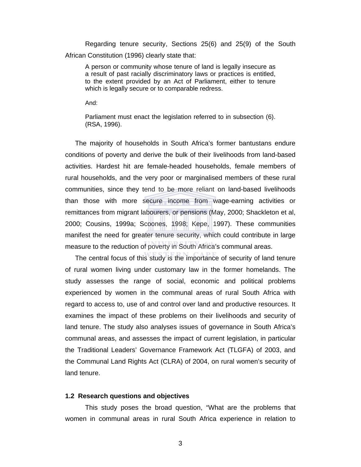Regarding tenure security, Sections 25(6) and 25(9) of the South African Constitution (1996) clearly state that:

A person or community whose tenure of land is legally insecure as a result of past racially discriminatory laws or practices is entitled, to the extent provided by an Act of Parliament, either to tenure which is legally secure or to comparable redress.

And:

Parliament must enact the legislation referred to in subsection (6). (RSA, 1996).

The majority of households in South Africa's former bantustans endure conditions of poverty and derive the bulk of their livelihoods from land-based activities. Hardest hit are female-headed households, female members of rural households, and the very poor or marginalised members of these rural communities, since they tend to be more reliant on land-based livelihoods than those with more secure income from wage-earning activities or remittances from migrant labourers, or pensions (May, 2000; Shackleton et al, 2000; Cousins, 1999a; Scoones, 1998; Kepe, 1997). These communities manifest the need for greater tenure security, which could contribute in large measure to the reduction of poverty in South Africa's communal areas.

The central focus of this study is the importance of security of land tenure of rural women living under customary law in the former homelands. The study assesses the range of social, economic and political problems experienced by women in the communal areas of rural South Africa with regard to access to, use of and control over land and productive resources. It examines the impact of these problems on their livelihoods and security of land tenure. The study also analyses issues of governance in South Africa's communal areas, and assesses the impact of current legislation, in particular the Traditional Leaders' Governance Framework Act (TLGFA) of 2003, and the Communal Land Rights Act (CLRA) of 2004, on rural women's security of land tenure.

#### **1.2 Research questions and objectives**

This study poses the broad question, "What are the problems that women in communal areas in rural South Africa experience in relation to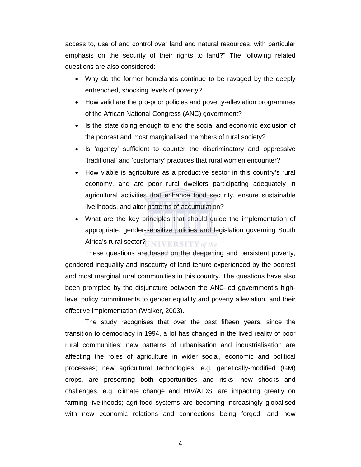access to, use of and control over land and natural resources, with particular emphasis on the security of their rights to land?" The following related questions are also considered:

- Why do the former homelands continue to be ravaged by the deeply entrenched, shocking levels of poverty?
- How valid are the pro-poor policies and poverty-alleviation programmes of the African National Congress (ANC) government?
- Is the state doing enough to end the social and economic exclusion of the poorest and most marginalised members of rural society?
- Is 'agency' sufficient to counter the discriminatory and oppressive 'traditional' and 'customary' practices that rural women encounter?
- How viable is agriculture as a productive sector in this country's rural economy, and are poor rural dwellers participating adequately in agricultural activities that enhance food security, ensure sustainable livelihoods, and alter patterns of accumulation?
- What are the key principles that should guide the implementation of appropriate, gender-sensitive policies and legislation governing South Africa's rural sector?UNIVERSITY of the

These questions are based on the deepening and persistent poverty, gendered inequality and insecurity of land tenure experienced by the poorest and most marginal rural communities in this country. The questions have also been prompted by the disjuncture between the ANC-led government's highlevel policy commitments to gender equality and poverty alleviation, and their effective implementation (Walker, 2003).

The study recognises that over the past fifteen years, since the transition to democracy in 1994, a lot has changed in the lived reality of poor rural communities: new patterns of urbanisation and industrialisation are affecting the roles of agriculture in wider social, economic and political processes; new agricultural technologies, e.g. genetically-modified (GM) crops, are presenting both opportunities and risks; new shocks and challenges, e.g. climate change and HIV/AIDS, are impacting greatly on farming livelihoods; agri-food systems are becoming increasingly globalised with new economic relations and connections being forged; and new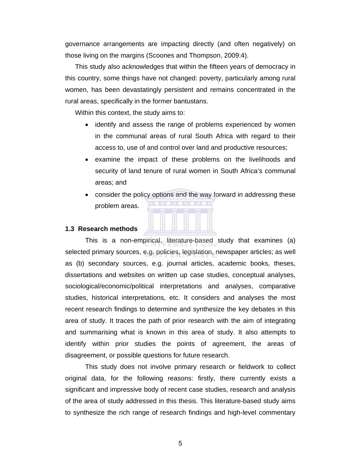governance arrangements are impacting directly (and often negatively) on those living on the margins (Scoones and Thompson, 2009:4).

This study also acknowledges that within the fifteen years of democracy in this country, some things have not changed: poverty, particularly among rural women, has been devastatingly persistent and remains concentrated in the rural areas, specifically in the former bantustans.

Within this context, the study aims to:

- identify and assess the range of problems experienced by women in the communal areas of rural South Africa with regard to their access to, use of and control over land and productive resources;
- examine the impact of these problems on the livelihoods and security of land tenure of rural women in South Africa's communal areas; and
- consider the policy options and the way forward in addressing these problem areas.



#### **1.3 Research methods**

This is a non-empirical, literature-based study that examines (a) selected primary sources, e.g. policies, legislation, newspaper articles; as well as (b) secondary sources, e.g. journal articles, academic books, theses, dissertations and websites on written up case studies, conceptual analyses, sociological/economic/political interpretations and analyses, comparative studies, historical interpretations, etc. It considers and analyses the most recent research findings to determine and synthesize the key debates in this area of study. It traces the path of prior research with the aim of integrating and summarising what is known in this area of study. It also attempts to identify within prior studies the points of agreement, the areas of disagreement, or possible questions for future research.

This study does not involve primary research or fieldwork to collect original data, for the following reasons: firstly, there currently exists a significant and impressive body of recent case studies, research and analysis of the area of study addressed in this thesis. This literature-based study aims to synthesize the rich range of research findings and high-level commentary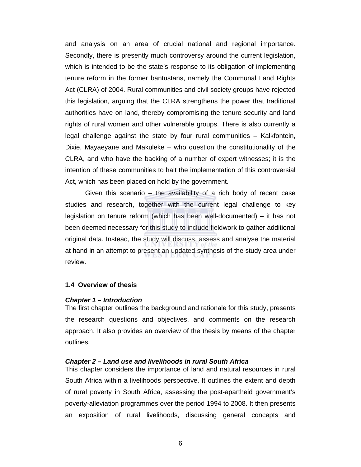and analysis on an area of crucial national and regional importance. Secondly, there is presently much controversy around the current legislation, which is intended to be the state's response to its obligation of implementing tenure reform in the former bantustans, namely the Communal Land Rights Act (CLRA) of 2004. Rural communities and civil society groups have rejected this legislation, arguing that the CLRA strengthens the power that traditional authorities have on land, thereby compromising the tenure security and land rights of rural women and other vulnerable groups. There is also currently a legal challenge against the state by four rural communities – Kalkfontein, Dixie, Mayaeyane and Makuleke – who question the constitutionality of the CLRA, and who have the backing of a number of expert witnesses; it is the intention of these communities to halt the implementation of this controversial Act, which has been placed on hold by the government.

Given this scenario – the availability of a rich body of recent case studies and research, together with the current legal challenge to key legislation on tenure reform (which has been well-documented) – it has not been deemed necessary for this study to include fieldwork to gather additional original data. Instead, the study will discuss, assess and analyse the material at hand in an attempt to present an updated synthesis of the study area under review.

#### **1.4 Overview of thesis**

#### *Chapter 1 – Introduction*

The first chapter outlines the background and rationale for this study, presents the research questions and objectives, and comments on the research approach. It also provides an overview of the thesis by means of the chapter outlines.

#### *Chapter 2 – Land use and livelihoods in rural South Africa*

This chapter considers the importance of land and natural resources in rural South Africa within a livelihoods perspective. It outlines the extent and depth of rural poverty in South Africa, assessing the post-apartheid government's poverty-alleviation programmes over the period 1994 to 2008. It then presents an exposition of rural livelihoods, discussing general concepts and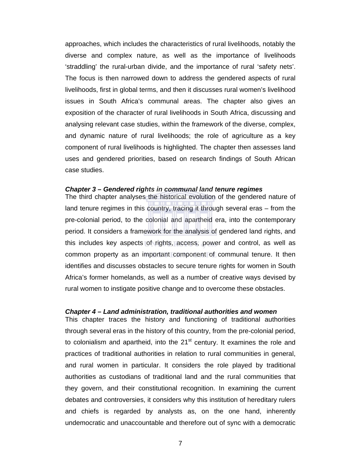approaches, which includes the characteristics of rural livelihoods, notably the diverse and complex nature, as well as the importance of livelihoods 'straddling' the rural-urban divide, and the importance of rural 'safety nets'. The focus is then narrowed down to address the gendered aspects of rural livelihoods, first in global terms, and then it discusses rural women's livelihood issues in South Africa's communal areas. The chapter also gives an exposition of the character of rural livelihoods in South Africa, discussing and analysing relevant case studies, within the framework of the diverse, complex, and dynamic nature of rural livelihoods; the role of agriculture as a key component of rural livelihoods is highlighted. The chapter then assesses land uses and gendered priorities, based on research findings of South African case studies.

#### *Chapter 3 – Gendered rights in communal land tenure regimes*

The third chapter analyses the historical evolution of the gendered nature of land tenure regimes in this country, tracing it through several eras – from the pre-colonial period, to the colonial and apartheid era, into the contemporary period. It considers a framework for the analysis of gendered land rights, and this includes key aspects of rights, access, power and control, as well as common property as an important component of communal tenure. It then identifies and discusses obstacles to secure tenure rights for women in South Africa's former homelands, as well as a number of creative ways devised by rural women to instigate positive change and to overcome these obstacles.

#### *Chapter 4 – Land administration, traditional authorities and women*

This chapter traces the history and functioning of traditional authorities through several eras in the history of this country, from the pre-colonial period, to colonialism and apartheid, into the  $21<sup>st</sup>$  century. It examines the role and practices of traditional authorities in relation to rural communities in general, and rural women in particular. It considers the role played by traditional authorities as custodians of traditional land and the rural communities that they govern, and their constitutional recognition. In examining the current debates and controversies, it considers why this institution of hereditary rulers and chiefs is regarded by analysts as, on the one hand, inherently undemocratic and unaccountable and therefore out of sync with a democratic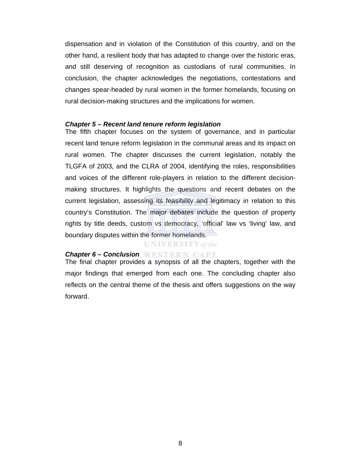dispensation and in violation of the Constitution of this country, and on the other hand, a resilient body that has adapted to change over the historic eras, and still deserving of recognition as custodians of rural communities. In conclusion, the chapter acknowledges the negotiations, contestations and changes spear-headed by rural women in the former homelands, focusing on rural decision-making structures and the implications for women.

#### *Chapter 5 – Recent land tenure reform legislation*

The fifth chapter focuses on the system of governance, and in particular recent land tenure reform legislation in the communal areas and its impact on rural women. The chapter discusses the current legislation, notably the TLGFA of 2003, and the CLRA of 2004, identifying the roles, responsibilities and voices of the different role-players in relation to the different decisionmaking structures. It highlights the questions and recent debates on the current legislation, assessing its feasibility and legitimacy in relation to this country's Constitution. The major debates include the question of property rights by title deeds, custom vs democracy, 'official' law vs 'living' law, and boundary disputes within the former homelands.

### **UNIVERSITY** of the

### *Chapter 6 – Conclusion*

The final chapter provides a synopsis of all the chapters, together with the major findings that emerged from each one. The concluding chapter also reflects on the central theme of the thesis and offers suggestions on the way forward.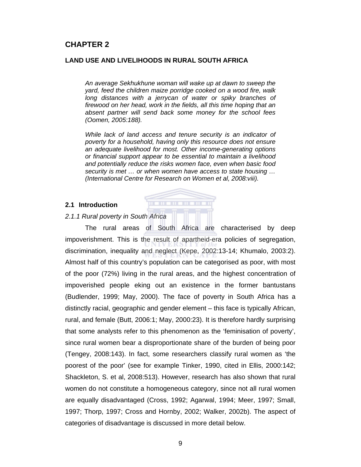# **CHAPTER 2**

#### **LAND USE AND LIVELIHOODS IN RURAL SOUTH AFRICA**

*An average Sekhukhune woman will wake up at dawn to sweep the yard, feed the children maize porridge cooked on a wood fire, walk long distances with a jerrycan of water or spiky branches of firewood on her head, work in the fields, all this time hoping that an absent partner will send back some money for the school fees (Oomen, 2005:188).* 

*While lack of land access and tenure security is an indicator of poverty for a household, having only this resource does not ensure an adequate livelihood for most. Other income-generating options or financial support appear to be essential to maintain a livelihood and potentially reduce the risks women face, even when basic food security is met … or when women have access to state housing … (International Centre for Research on Women et al, 2008:viii).* 

#### **2.1 Introduction**

#### *2.1.1 Rural poverty in South Africa*

The rural areas of South Africa are characterised by deep impoverishment. This is the result of apartheid-era policies of segregation, discrimination, inequality and neglect (Kepe, 2002:13-14; Khumalo, 2003:2). Almost half of this country's population can be categorised as poor, with most of the poor (72%) living in the rural areas, and the highest concentration of impoverished people eking out an existence in the former bantustans (Budlender, 1999; May, 2000). The face of poverty in South Africa has a distinctly racial, geographic and gender element – this face is typically African, rural, and female (Butt, 2006:1; May, 2000:23). It is therefore hardly surprising that some analysts refer to this phenomenon as the 'feminisation of poverty', since rural women bear a disproportionate share of the burden of being poor (Tengey, 2008:143). In fact, some researchers classify rural women as 'the poorest of the poor' (see for example Tinker, 1990, cited in Ellis, 2000:142; Shackleton, S. et al, 2008:513). However, research has also shown that rural women do not constitute a homogeneous category, since not all rural women are equally disadvantaged (Cross, 1992; Agarwal, 1994; Meer, 1997; Small, 1997; Thorp, 1997; Cross and Hornby, 2002; Walker, 2002b). The aspect of categories of disadvantage is discussed in more detail below.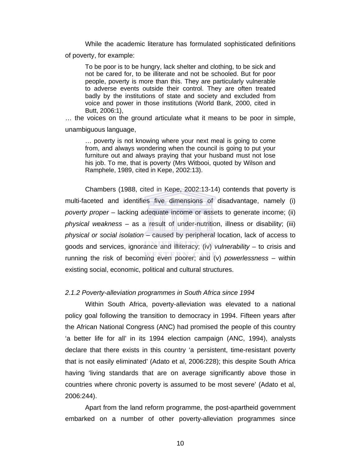While the academic literature has formulated sophisticated definitions of poverty, for example:

To be poor is to be hungry, lack shelter and clothing, to be sick and not be cared for, to be illiterate and not be schooled. But for poor people, poverty is more than this. They are particularly vulnerable to adverse events outside their control. They are often treated badly by the institutions of state and society and excluded from voice and power in those institutions (World Bank, 2000, cited in Butt, 2006:1),

… the voices on the ground articulate what it means to be poor in simple,

unambiguous language,

… poverty is not knowing where your next meal is going to come from, and always wondering when the council is going to put your furniture out and always praying that your husband must not lose his job. To me, that is poverty (Mrs Witbooi, quoted by Wilson and Ramphele, 1989, cited in Kepe, 2002:13).

Chambers (1988, cited in Kepe, 2002:13-14) contends that poverty is multi-faceted and identifies five dimensions of disadvantage, namely (i) *poverty proper* – lacking adequate income or assets to generate income; (ii) *physical weakness* – as a result of under-nutrition, illness or disability; (iii) *physical or social isolation* – caused by peripheral location, lack of access to goods and services, ignorance and illiteracy; (iv) *vulnerability* – to crisis and running the risk of becoming even poorer; and (v) *powerlessness* – within existing social, economic, political and cultural structures.

#### *2.1.2 Poverty-alleviation programmes in South Africa since 1994*

Within South Africa, poverty-alleviation was elevated to a national policy goal following the transition to democracy in 1994. Fifteen years after the African National Congress (ANC) had promised the people of this country 'a better life for all' in its 1994 election campaign (ANC, 1994), analysts declare that there exists in this country 'a persistent, time-resistant poverty that is not easily eliminated' (Adato et al, 2006:228); this despite South Africa having 'living standards that are on average significantly above those in countries where chronic poverty is assumed to be most severe' (Adato et al, 2006:244).

Apart from the land reform programme, the post-apartheid government embarked on a number of other poverty-alleviation programmes since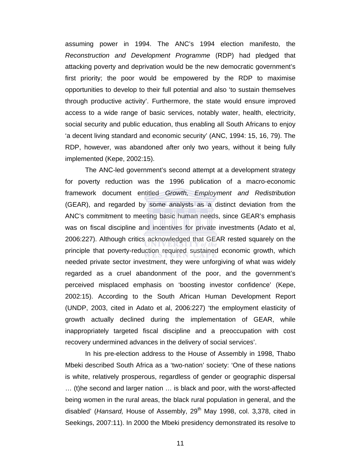assuming power in 1994. The ANC's 1994 election manifesto, the *Reconstruction and Development Programme* (RDP) had pledged that attacking poverty and deprivation would be the new democratic government's first priority; the poor would be empowered by the RDP to maximise opportunities to develop to their full potential and also 'to sustain themselves through productive activity'. Furthermore, the state would ensure improved access to a wide range of basic services, notably water, health, electricity, social security and public education, thus enabling all South Africans to enjoy 'a decent living standard and economic security' (ANC, 1994: 15, 16, 79). The RDP, however, was abandoned after only two years, without it being fully implemented (Kepe, 2002:15).

The ANC-led government's second attempt at a development strategy for poverty reduction was the 1996 publication of a macro-economic framework document entitled *Growth, Employment and Redistribution* (GEAR), and regarded by some analysts as a distinct deviation from the ANC's commitment to meeting basic human needs, since GEAR's emphasis was on fiscal discipline and incentives for private investments (Adato et al, 2006:227). Although critics acknowledged that GEAR rested squarely on the principle that poverty-reduction required sustained economic growth, which needed private sector investment, they were unforgiving of what was widely regarded as a cruel abandonment of the poor, and the government's perceived misplaced emphasis on 'boosting investor confidence' (Kepe, 2002:15). According to the South African Human Development Report (UNDP, 2003, cited in Adato et al, 2006:227) 'the employment elasticity of growth actually declined during the implementation of GEAR, while inappropriately targeted fiscal discipline and a preoccupation with cost recovery undermined advances in the delivery of social services'.

In his pre-election address to the House of Assembly in 1998, Thabo Mbeki described South Africa as a 'two-nation' society: 'One of these nations is white, relatively prosperous, regardless of gender or geographic dispersal … (t)he second and larger nation … is black and poor, with the worst-affected being women in the rural areas, the black rural population in general, and the disabled' (*Hansard, House of Assembly, 29<sup>th</sup> May 1998, col. 3,378, cited in* Seekings, 2007:11). In 2000 the Mbeki presidency demonstrated its resolve to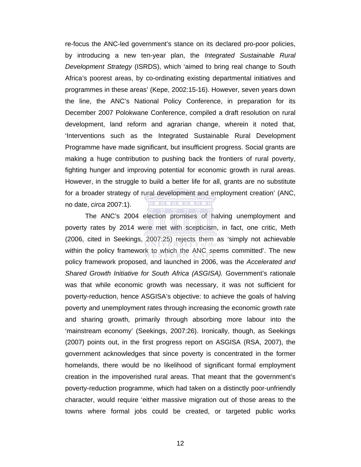re-focus the ANC-led government's stance on its declared pro-poor policies, by introducing a new ten-year plan, the *Integrated Sustainable Rural Development Strategy* (ISRDS), which 'aimed to bring real change to South Africa's poorest areas, by co-ordinating existing departmental initiatives and programmes in these areas' (Kepe, 2002:15-16). However, seven years down the line, the ANC's National Policy Conference, in preparation for its December 2007 Polokwane Conference, compiled a draft resolution on rural development, land reform and agrarian change, wherein it noted that, 'Interventions such as the Integrated Sustainable Rural Development Programme have made significant, but insufficient progress. Social grants are making a huge contribution to pushing back the frontiers of rural poverty, fighting hunger and improving potential for economic growth in rural areas. However, in the struggle to build a better life for all, grants are no substitute for a broader strategy of rural development and employment creation' (ANC, **. . . . . . .** no date, *circa* 2007:1).

The ANC's 2004 election promises of halving unemployment and poverty rates by 2014 were met with scepticism, in fact, one critic, Meth (2006, cited in Seekings, 2007:25) rejects them as 'simply not achievable within the policy framework to which the ANC seems committed'. The new policy framework proposed, and launched in 2006, was the *Accelerated and Shared Growth Initiative for South Africa (ASGISA).* Government's rationale was that while economic growth was necessary, it was not sufficient for poverty-reduction, hence ASGISA's objective: to achieve the goals of halving poverty and unemployment rates through increasing the economic growth rate and sharing growth, primarily through absorbing more labour into the 'mainstream economy' (Seekings, 2007:26). Ironically, though, as Seekings (2007) points out, in the first progress report on ASGISA (RSA, 2007), the government acknowledges that since poverty is concentrated in the former homelands, there would be no likelihood of significant formal employment creation in the impoverished rural areas. That meant that the government's poverty-reduction programme, which had taken on a distinctly poor-unfriendly character, would require 'either massive migration out of those areas to the towns where formal jobs could be created, or targeted public works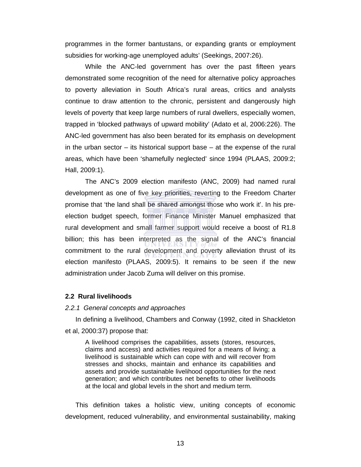programmes in the former bantustans, or expanding grants or employment subsidies for working-age unemployed adults' (Seekings, 2007:26).

While the ANC-led government has over the past fifteen years demonstrated some recognition of the need for alternative policy approaches to poverty alleviation in South Africa's rural areas, critics and analysts continue to draw attention to the chronic, persistent and dangerously high levels of poverty that keep large numbers of rural dwellers, especially women, trapped in 'blocked pathways of upward mobility' (Adato et al, 2006:226). The ANC-led government has also been berated for its emphasis on development in the urban sector – its historical support base – at the expense of the rural areas, which have been 'shamefully neglected' since 1994 (PLAAS, 2009:2; Hall, 2009:1).

The ANC's 2009 election manifesto (ANC, 2009) had named rural development as one of five key priorities, reverting to the Freedom Charter promise that 'the land shall be shared amongst those who work it'. In his preelection budget speech, former Finance Minister Manuel emphasized that rural development and small farmer support would receive a boost of R1.8 billion; this has been interpreted as the signal of the ANC's financial commitment to the rural development and poverty alleviation thrust of its election manifesto (PLAAS, 2009:5). It remains to be seen if the new administration under Jacob Zuma will deliver on this promise.

#### **2.2 Rural livelihoods**

#### *2.2.1 General concepts and approaches*

In defining a livelihood, Chambers and Conway (1992, cited in Shackleton et al, 2000:37) propose that:

A livelihood comprises the capabilities, assets (stores, resources, claims and access) and activities required for a means of living; a livelihood is sustainable which can cope with and will recover from stresses and shocks, maintain and enhance its capabilities and assets and provide sustainable livelihood opportunities for the next generation; and which contributes net benefits to other livelihoods at the local and global levels in the short and medium term.

This definition takes a holistic view, uniting concepts of economic development, reduced vulnerability, and environmental sustainability, making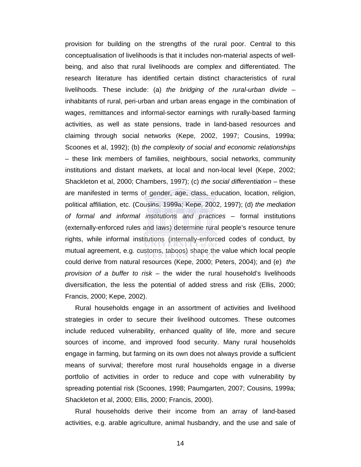provision for building on the strengths of the rural poor. Central to this conceptualisation of livelihoods is that it includes non-material aspects of wellbeing, and also that rural livelihoods are complex and differentiated. The research literature has identified certain distinct characteristics of rural livelihoods. These include: (a) *the bridging of the rural-urban divide* – inhabitants of rural, peri-urban and urban areas engage in the combination of wages, remittances and informal-sector earnings with rurally-based farming activities, as well as state pensions, trade in land-based resources and claiming through social networks (Kepe, 2002, 1997; Cousins, 1999a; Scoones et al, 1992); (b) *the complexity of social and economic relationships* – these link members of families, neighbours, social networks, community institutions and distant markets, at local and non-local level (Kepe, 2002; Shackleton et al, 2000; Chambers, 1997); (c) *the social differentiation* – these are manifested in terms of gender, age, class, education, location, religion, political affiliation, etc. (Cousins, 1999a; Kepe, 2002, 1997); (d) *the mediation of formal and informal institutions and practices* – formal institutions (externally-enforced rules and laws) determine rural people's resource tenure rights, while informal institutions (internally-enforced codes of conduct, by mutual agreement, e.g. customs, taboos) shape the value which local people could derive from natural resources (Kepe, 2000; Peters, 2004); and (e) *the provision of a buffer to risk* – the wider the rural household's livelihoods diversification, the less the potential of added stress and risk (Ellis, 2000; Francis, 2000; Kepe, 2002).

Rural households engage in an assortment of activities and livelihood strategies in order to secure their livelihood outcomes. These outcomes include reduced vulnerability, enhanced quality of life, more and secure sources of income, and improved food security. Many rural households engage in farming, but farming on its own does not always provide a sufficient means of survival; therefore most rural households engage in a diverse portfolio of activities in order to reduce and cope with vulnerability by spreading potential risk (Scoones, 1998; Paumgarten, 2007; Cousins, 1999a; Shackleton et al, 2000; Ellis, 2000; Francis, 2000).

Rural households derive their income from an array of land-based activities, e.g. arable agriculture, animal husbandry, and the use and sale of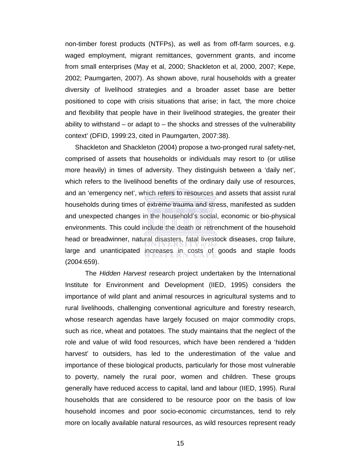non-timber forest products (NTFPs), as well as from off-farm sources, e.g. waged employment, migrant remittances, government grants, and income from small enterprises (May et al, 2000; Shackleton et al, 2000, 2007; Kepe, 2002; Paumgarten, 2007). As shown above, rural households with a greater diversity of livelihood strategies and a broader asset base are better positioned to cope with crisis situations that arise; in fact, 'the more choice and flexibility that people have in their livelihood strategies, the greater their ability to withstand  $-$  or adapt to  $-$  the shocks and stresses of the vulnerability context' (DFID, 1999:23, cited in Paumgarten, 2007:38).

Shackleton and Shackleton (2004) propose a two-pronged rural safety-net, comprised of assets that households or individuals may resort to (or utilise more heavily) in times of adversity. They distinguish between a 'daily net', which refers to the livelihood benefits of the ordinary daily use of resources, and an 'emergency net', which refers to resources and assets that assist rural households during times of extreme trauma and stress, manifested as sudden and unexpected changes in the household's social, economic or bio-physical environments. This could include the death or retrenchment of the household head or breadwinner, natural disasters, fatal livestock diseases, crop failure, large and unanticipated increases in costs of goods and staple foods (2004:659).

 The *Hidden Harvest* research project undertaken by the International Institute for Environment and Development (IIED, 1995) considers the importance of wild plant and animal resources in agricultural systems and to rural livelihoods, challenging conventional agriculture and forestry research, whose research agendas have largely focused on major commodity crops, such as rice, wheat and potatoes. The study maintains that the neglect of the role and value of wild food resources, which have been rendered a 'hidden harvest' to outsiders, has led to the underestimation of the value and importance of these biological products, particularly for those most vulnerable to poverty, namely the rural poor, women and children. These groups generally have reduced access to capital, land and labour (IIED, 1995). Rural households that are considered to be resource poor on the basis of low household incomes and poor socio-economic circumstances, tend to rely more on locally available natural resources, as wild resources represent ready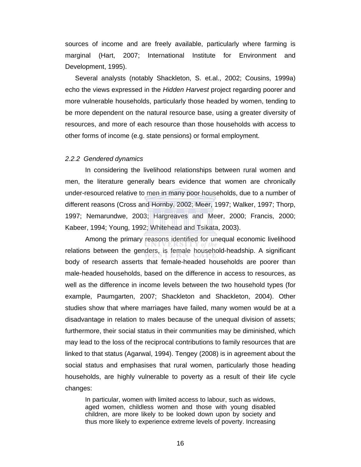sources of income and are freely available, particularly where farming is marginal (Hart, 2007; International Institute for Environment and Development, 1995).

Several analysts (notably Shackleton, S. et.al., 2002; Cousins, 1999a) echo the views expressed in the *Hidden Harvest* project regarding poorer and more vulnerable households, particularly those headed by women, tending to be more dependent on the natural resource base, using a greater diversity of resources, and more of each resource than those households with access to other forms of income (e.g. state pensions) or formal employment.

#### *2.2.2 Gendered dynamics*

In considering the livelihood relationships between rural women and men, the literature generally bears evidence that women are chronically under-resourced relative to men in many poor households, due to a number of different reasons (Cross and Hornby, 2002; Meer, 1997; Walker, 1997; Thorp, 1997; Nemarundwe, 2003; Hargreaves and Meer, 2000; Francis, 2000; Kabeer, 1994; Young, 1992; Whitehead and Tsikata, 2003).

Among the primary reasons identified for unequal economic livelihood relations between the genders, is female household-headship. A significant body of research asserts that female-headed households are poorer than male-headed households, based on the difference in access to resources, as well as the difference in income levels between the two household types (for example, Paumgarten, 2007; Shackleton and Shackleton, 2004). Other studies show that where marriages have failed, many women would be at a disadvantage in relation to males because of the unequal division of assets; furthermore, their social status in their communities may be diminished, which may lead to the loss of the reciprocal contributions to family resources that are linked to that status (Agarwal, 1994). Tengey (2008) is in agreement about the social status and emphasises that rural women, particularly those heading households, are highly vulnerable to poverty as a result of their life cycle changes:

In particular, women with limited access to labour, such as widows, aged women, childless women and those with young disabled children, are more likely to be looked down upon by society and thus more likely to experience extreme levels of poverty. Increasing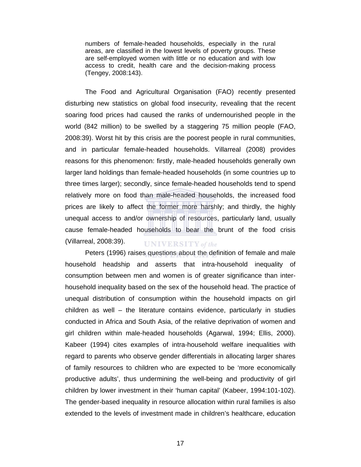numbers of female-headed households, especially in the rural areas, are classified in the lowest levels of poverty groups. These are self-employed women with little or no education and with low access to credit, health care and the decision-making process (Tengey, 2008:143).

The Food and Agricultural Organisation (FAO) recently presented disturbing new statistics on global food insecurity, revealing that the recent soaring food prices had caused the ranks of undernourished people in the world (842 million) to be swelled by a staggering 75 million people (FAO, 2008:39). Worst hit by this crisis are the poorest people in rural communities, and in particular female-headed households. Villarreal (2008) provides reasons for this phenomenon: firstly, male-headed households generally own larger land holdings than female-headed households (in some countries up to three times larger); secondly, since female-headed households tend to spend relatively more on food than male-headed households, the increased food prices are likely to affect the former more harshly; and thirdly, the highly unequal access to and/or ownership of resources, particularly land, usually cause female-headed households to bear the brunt of the food crisis (Villarreal, 2008:39). **UNIVERSITY** of the

Peters (1996) raises questions about the definition of female and male household headship and asserts that intra-household inequality of consumption between men and women is of greater significance than interhousehold inequality based on the sex of the household head. The practice of unequal distribution of consumption within the household impacts on girl children as well – the literature contains evidence, particularly in studies conducted in Africa and South Asia, of the relative deprivation of women and girl children within male-headed households (Agarwal, 1994; Ellis, 2000). Kabeer (1994) cites examples of intra-household welfare inequalities with regard to parents who observe gender differentials in allocating larger shares of family resources to children who are expected to be 'more economically productive adults', thus undermining the well-being and productivity of girl children by lower investment in their 'human capital' (Kabeer, 1994:101-102). The gender-based inequality in resource allocation within rural families is also extended to the levels of investment made in children's healthcare, education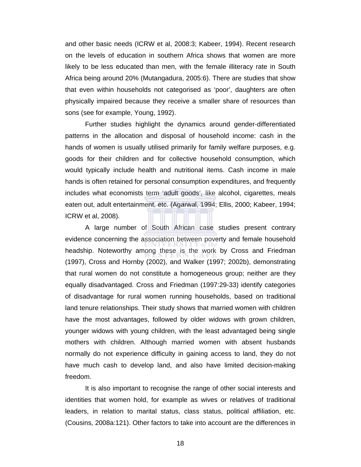and other basic needs (ICRW et al, 2008:3; Kabeer, 1994). Recent research on the levels of education in southern Africa shows that women are more likely to be less educated than men, with the female illiteracy rate in South Africa being around 20% (Mutangadura, 2005:6). There are studies that show that even within households not categorised as 'poor', daughters are often physically impaired because they receive a smaller share of resources than sons (see for example, Young, 1992).

Further studies highlight the dynamics around gender-differentiated patterns in the allocation and disposal of household income: cash in the hands of women is usually utilised primarily for family welfare purposes, e.g. goods for their children and for collective household consumption, which would typically include health and nutritional items. Cash income in male hands is often retained for personal consumption expenditures, and frequently includes what economists term 'adult goods', like alcohol, cigarettes, meals eaten out, adult entertainment, etc. (Agarwal, 1994; Ellis, 2000; Kabeer, 1994; ICRW et al, 2008).

A large number of South African case studies present contrary evidence concerning the association between poverty and female household headship. Noteworthy among these is the work by Cross and Friedman (1997), Cross and Hornby (2002), and Walker (1997; 2002b), demonstrating that rural women do not constitute a homogeneous group; neither are they equally disadvantaged. Cross and Friedman (1997:29-33) identify categories of disadvantage for rural women running households, based on traditional land tenure relationships. Their study shows that married women with children have the most advantages, followed by older widows with grown children, younger widows with young children, with the least advantaged being single mothers with children. Although married women with absent husbands normally do not experience difficulty in gaining access to land, they do not have much cash to develop land, and also have limited decision-making freedom.

It is also important to recognise the range of other social interests and identities that women hold, for example as wives or relatives of traditional leaders, in relation to marital status, class status, political affiliation, etc. (Cousins, 2008a:121). Other factors to take into account are the differences in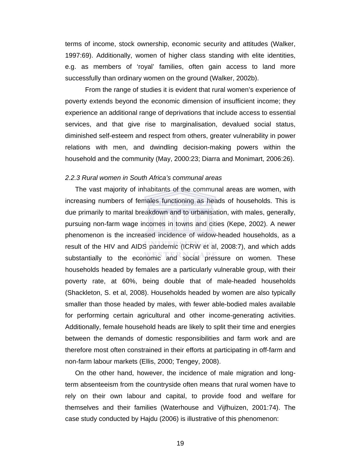terms of income, stock ownership, economic security and attitudes (Walker, 1997:69). Additionally, women of higher class standing with elite identities, e.g. as members of 'royal' families, often gain access to land more successfully than ordinary women on the ground (Walker, 2002b).

From the range of studies it is evident that rural women's experience of poverty extends beyond the economic dimension of insufficient income; they experience an additional range of deprivations that include access to essential services, and that give rise to marginalisation, devalued social status, diminished self-esteem and respect from others, greater vulnerability in power relations with men, and dwindling decision-making powers within the household and the community (May, 2000:23; Diarra and Monimart, 2006:26).

#### *2.2.3 Rural women in South Africa's communal areas*

The vast majority of inhabitants of the communal areas are women, with increasing numbers of females functioning as heads of households. This is due primarily to marital breakdown and to urbanisation, with males, generally, pursuing non-farm wage incomes in towns and cities (Kepe, 2002). A newer phenomenon is the increased incidence of widow-headed households, as a result of the HIV and AIDS pandemic (ICRW et al, 2008:7), and which adds substantially to the economic and social pressure on women. These households headed by females are a particularly vulnerable group, with their poverty rate, at 60%, being double that of male-headed households (Shackleton, S. et al, 2008). Households headed by women are also typically smaller than those headed by males, with fewer able-bodied males available for performing certain agricultural and other income-generating activities. Additionally, female household heads are likely to split their time and energies between the demands of domestic responsibilities and farm work and are therefore most often constrained in their efforts at participating in off-farm and non-farm labour markets (Ellis, 2000; Tengey, 2008).

On the other hand, however, the incidence of male migration and longterm absenteeism from the countryside often means that rural women have to rely on their own labour and capital, to provide food and welfare for themselves and their families (Waterhouse and Vijfhuizen, 2001:74). The case study conducted by Hajdu (2006) is illustrative of this phenomenon: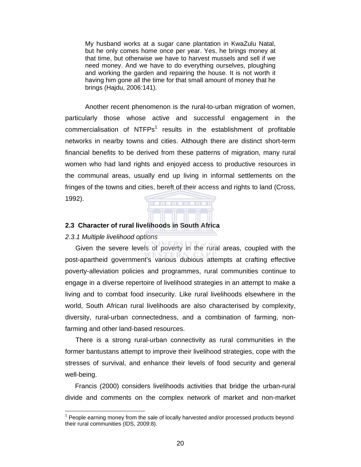My husband works at a sugar cane plantation in KwaZulu Natal, but he only comes home once per year. Yes, he brings money at that time, but otherwise we have to harvest mussels and sell if we need money. And we have to do everything ourselves, ploughing and working the garden and repairing the house. It is not worth it having him gone all the time for that small amount of money that he brings (Hajdu, 2006:141).

Another recent phenomenon is the rural-to-urban migration of women, particularly those whose active and successful engagement in the commercialisation of  $NTFPs<sup>1</sup>$  results in the establishment of profitable networks in nearby towns and cities. Although there are distinct short-term financial benefits to be derived from these patterns of migration, many rural women who had land rights and enjoyed access to productive resources in the communal areas, usually end up living in informal settlements on the fringes of the towns and cities, bereft of their access and rights to land (Cross, 1992).

**THE REAL** 

**TITLE** 

#### **2.3 Character of rural livelihoods in South Africa**

**TITLE** 

*2.3.1 Multiple livelihood options* 

 $\overline{a}$ 

Given the severe levels of poverty in the rural areas, coupled with the post-apartheid government's various dubious attempts at crafting effective poverty-alleviation policies and programmes, rural communities continue to engage in a diverse repertoire of livelihood strategies in an attempt to make a living and to combat food insecurity. Like rural livelihoods elsewhere in the world, South African rural livelihoods are also characterised by complexity, diversity, rural-urban connectedness, and a combination of farming, nonfarming and other land-based resources.

There is a strong rural-urban connectivity as rural communities in the former bantustans attempt to improve their livelihood strategies, cope with the stresses of survival, and enhance their levels of food security and general well-being.

Francis (2000) considers livelihoods activities that bridge the urban-rural divide and comments on the complex network of market and non-market

 $1$  People earning money from the sale of locally harvested and/or processed products beyond their rural communities (IDS, 2009:8).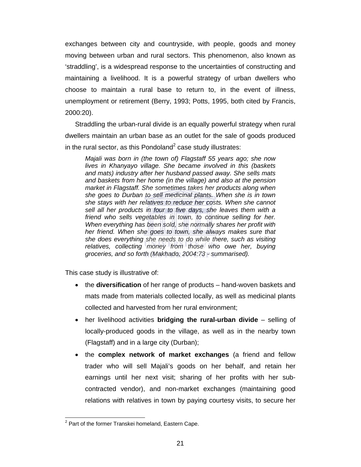exchanges between city and countryside, with people, goods and money moving between urban and rural sectors. This phenomenon, also known as 'straddling', is a widespread response to the uncertainties of constructing and maintaining a livelihood. It is a powerful strategy of urban dwellers who choose to maintain a rural base to return to, in the event of illness, unemployment or retirement (Berry, 1993; Potts, 1995, both cited by Francis, 2000:20).

Straddling the urban-rural divide is an equally powerful strategy when rural dwellers maintain an urban base as an outlet for the sale of goods produced in the rural sector, as this Pondoland<sup>2</sup> case study illustrates:

*Majali was born in (the town of) Flagstaff 55 years ago; she now lives in Khanyayo village. She became involved in this (baskets and mats) industry after her husband passed away. She sells mats and baskets from her home (in the village) and also at the pension market in Flagstaff. She sometimes takes her products along when she goes to Durban to sell medicinal plants. When she is in town she stays with her relatives to reduce her costs. When she cannot sell all her products in four to five days, she leaves them with a*  friend who sells vegetables in town, to continue selling for her. *When everything has been sold, she normally shares her profit with her friend. When she goes to town, she always makes sure that she does everything she needs to do while there, such as visiting*  relatives, collecting money from those who owe her, buying *groceries, and so forth (Makhado, 2004:73 - summarised).* 

This case study is illustrative of:

- the **diversification** of her range of products hand-woven baskets and mats made from materials collected locally, as well as medicinal plants collected and harvested from her rural environment;
- her livelihood activities **bridging the rural-urban divide** selling of locally-produced goods in the village, as well as in the nearby town (Flagstaff) and in a large city (Durban);
- the **complex network of market exchanges** (a friend and fellow trader who will sell Majali's goods on her behalf, and retain her earnings until her next visit; sharing of her profits with her subcontracted vendor), and non-market exchanges (maintaining good relations with relatives in town by paying courtesy visits, to secure her

 $\overline{a}$ 

 $2$  Part of the former Transkei homeland, Eastern Cape.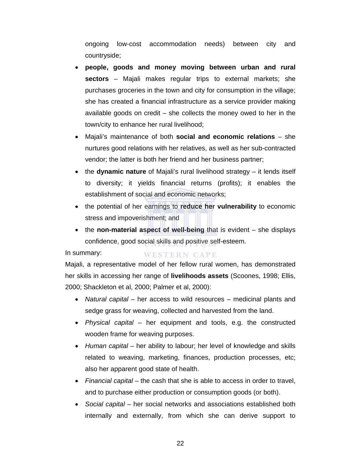ongoing low-cost accommodation needs) between city and countryside;

- **people, goods and money moving between urban and rural sectors** – Majali makes regular trips to external markets; she purchases groceries in the town and city for consumption in the village; she has created a financial infrastructure as a service provider making available goods on credit – she collects the money owed to her in the town/city to enhance her rural livelihood;
- Majali's maintenance of both **social and economic relations** she nurtures good relations with her relatives, as well as her sub-contracted vendor; the latter is both her friend and her business partner;
- the **dynamic nature** of Majali's rural livelihood strategy it lends itself to diversity; it yields financial returns (profits); it enables the establishment of social and economic networks;
- the potential of her earnings to **reduce her vulnerability** to economic stress and impoverishment; and
- the **non-material aspect of well-being** that is evident she displays confidence, good social skills and positive self-esteem.

In summary:

Majali, a representative model of her fellow rural women, has demonstrated her skills in accessing her range of **livelihoods assets** (Scoones, 1998; Ellis, 2000; Shackleton et al, 2000; Palmer et al, 2000):

**WESTERN CAPE** 

- *Natural capital* her access to wild resources medicinal plants and sedge grass for weaving, collected and harvested from the land.
- *Physical capital* her equipment and tools, e.g. the constructed wooden frame for weaving purposes.
- *Human capital* her ability to labour; her level of knowledge and skills related to weaving, marketing, finances, production processes, etc; also her apparent good state of health.
- *Financial capital* the cash that she is able to access in order to travel, and to purchase either production or consumption goods (or both).
- *Social capital* her social networks and associations established both internally and externally, from which she can derive support to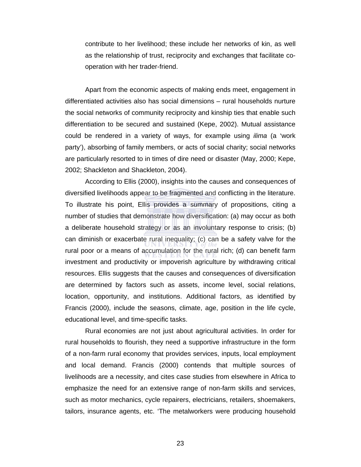contribute to her livelihood; these include her networks of kin, as well as the relationship of trust, reciprocity and exchanges that facilitate cooperation with her trader-friend.

Apart from the economic aspects of making ends meet, engagement in differentiated activities also has social dimensions – rural households nurture the social networks of community reciprocity and kinship ties that enable such differentiation to be secured and sustained (Kepe, 2002). Mutual assistance could be rendered in a variety of ways, for example using *ilima* (a 'work party'), absorbing of family members, or acts of social charity; social networks are particularly resorted to in times of dire need or disaster (May, 2000; Kepe, 2002; Shackleton and Shackleton, 2004).

According to Ellis (2000), insights into the causes and consequences of diversified livelihoods appear to be fragmented and conflicting in the literature. To illustrate his point, Ellis provides a summary of propositions, citing a number of studies that demonstrate how diversification: (a) may occur as both a deliberate household strategy or as an involuntary response to crisis; (b) can diminish or exacerbate rural inequality; (c) can be a safety valve for the rural poor or a means of accumulation for the rural rich; (d) can benefit farm investment and productivity or impoverish agriculture by withdrawing critical resources. Ellis suggests that the causes and consequences of diversification are determined by factors such as assets, income level, social relations, location, opportunity, and institutions. Additional factors, as identified by Francis (2000), include the seasons, climate, age, position in the life cycle, educational level, and time-specific tasks.

Rural economies are not just about agricultural activities. In order for rural households to flourish, they need a supportive infrastructure in the form of a non-farm rural economy that provides services, inputs, local employment and local demand. Francis (2000) contends that multiple sources of livelihoods are a necessity, and cites case studies from elsewhere in Africa to emphasize the need for an extensive range of non-farm skills and services, such as motor mechanics, cycle repairers, electricians, retailers, shoemakers, tailors, insurance agents, etc. 'The metalworkers were producing household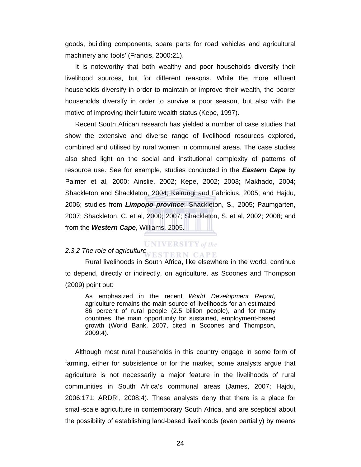goods, building components, spare parts for road vehicles and agricultural machinery and tools' (Francis, 2000:21).

It is noteworthy that both wealthy and poor households diversify their livelihood sources, but for different reasons. While the more affluent households diversify in order to maintain or improve their wealth, the poorer households diversify in order to survive a poor season, but also with the motive of improving their future wealth status (Kepe, 1997).

Recent South African research has yielded a number of case studies that show the extensive and diverse range of livelihood resources explored, combined and utilised by rural women in communal areas. The case studies also shed light on the social and institutional complexity of patterns of resource use. See for example, studies conducted in the *Eastern Cape* by Palmer et al, 2000; Ainslie, 2002; Kepe, 2002; 2003; Makhado, 2004; Shackleton and Shackleton, 2004; Keirungi and Fabricius, 2005; and Hajdu, 2006; studies from *Limpopo province*: Shackleton, S., 2005; Paumgarten, 2007; Shackleton, C. et al, 2000; 2007; Shackleton, S. et al, 2002; 2008; and from the *Western Cape*, Williams, 2005.

#### $UNIVERSITY$  of the

#### *2.3.2 The role of agriculture*  **ESTERN CAPE**

Rural livelihoods in South Africa, like elsewhere in the world, continue to depend, directly or indirectly, on agriculture, as Scoones and Thompson (2009) point out:

As emphasized in the recent *World Development Report,* agriculture remains the main source of livelihoods for an estimated 86 percent of rural people (2.5 billion people), and for many countries, the main opportunity for sustained, employment-based growth (World Bank, 2007, cited in Scoones and Thompson, 2009:4).

Although most rural households in this country engage in some form of farming, either for subsistence or for the market, some analysts argue that agriculture is not necessarily a major feature in the livelihoods of rural communities in South Africa's communal areas (James, 2007; Hajdu, 2006:171; ARDRI, 2008:4). These analysts deny that there is a place for small-scale agriculture in contemporary South Africa, and are sceptical about the possibility of establishing land-based livelihoods (even partially) by means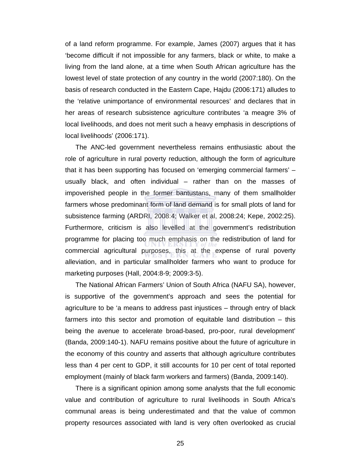of a land reform programme. For example, James (2007) argues that it has 'become difficult if not impossible for any farmers, black or white, to make a living from the land alone, at a time when South African agriculture has the lowest level of state protection of any country in the world (2007:180). On the basis of research conducted in the Eastern Cape, Hajdu (2006:171) alludes to the 'relative unimportance of environmental resources' and declares that in her areas of research subsistence agriculture contributes 'a meagre 3% of local livelihoods, and does not merit such a heavy emphasis in descriptions of local livelihoods' (2006:171).

The ANC-led government nevertheless remains enthusiastic about the role of agriculture in rural poverty reduction, although the form of agriculture that it has been supporting has focused on 'emerging commercial farmers' – usually black, and often individual – rather than on the masses of impoverished people in the former bantustans, many of them smallholder farmers whose predominant form of land demand is for small plots of land for subsistence farming (ARDRI, 2008:4; Walker et al, 2008:24; Kepe, 2002:25). Furthermore, criticism is also levelled at the government's redistribution programme for placing too much emphasis on the redistribution of land for commercial agricultural purposes, this at the expense of rural poverty alleviation, and in particular smallholder farmers who want to produce for marketing purposes (Hall, 2004:8-9; 2009:3-5).

The National African Farmers' Union of South Africa (NAFU SA), however, is supportive of the government's approach and sees the potential for agriculture to be 'a means to address past injustices – through entry of black farmers into this sector and promotion of equitable land distribution – this being the avenue to accelerate broad-based, pro-poor, rural development' (Banda, 2009:140-1). NAFU remains positive about the future of agriculture in the economy of this country and asserts that although agriculture contributes less than 4 per cent to GDP, it still accounts for 10 per cent of total reported employment (mainly of black farm workers and farmers) (Banda, 2009:140).

There is a significant opinion among some analysts that the full economic value and contribution of agriculture to rural livelihoods in South Africa's communal areas is being underestimated and that the value of common property resources associated with land is very often overlooked as crucial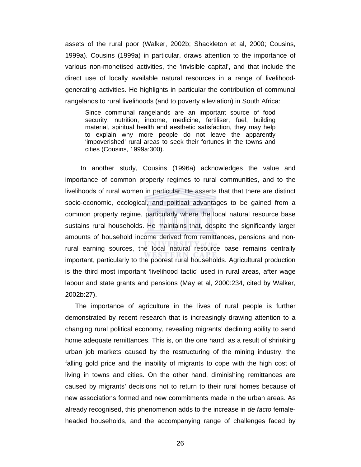assets of the rural poor (Walker, 2002b; Shackleton et al, 2000; Cousins, 1999a). Cousins (1999a) in particular, draws attention to the importance of various non-monetised activities, the 'invisible capital', and that include the direct use of locally available natural resources in a range of livelihoodgenerating activities. He highlights in particular the contribution of communal rangelands to rural livelihoods (and to poverty alleviation) in South Africa:

Since communal rangelands are an important source of food security, nutrition, income, medicine, fertiliser, fuel, building material, spiritual health and aesthetic satisfaction, they may help to explain why more people do not leave the apparently 'impoverished' rural areas to seek their fortunes in the towns and cities (Cousins, 1999a:300).

 In another study, Cousins (1996a) acknowledges the value and importance of common property regimes to rural communities, and to the livelihoods of rural women in particular. He asserts that that there are distinct socio-economic, ecological, and political advantages to be gained from a common property regime, particularly where the local natural resource base sustains rural households. He maintains that, despite the significantly larger amounts of household income derived from remittances, pensions and nonrural earning sources, the local natural resource base remains centrally important, particularly to the poorest rural households. Agricultural production is the third most important 'livelihood tactic' used in rural areas, after wage labour and state grants and pensions (May et al, 2000:234, cited by Walker, 2002b:27).

The importance of agriculture in the lives of rural people is further demonstrated by recent research that is increasingly drawing attention to a changing rural political economy, revealing migrants' declining ability to send home adequate remittances. This is, on the one hand, as a result of shrinking urban job markets caused by the restructuring of the mining industry, the falling gold price and the inability of migrants to cope with the high cost of living in towns and cities. On the other hand, diminishing remittances are caused by migrants' decisions not to return to their rural homes because of new associations formed and new commitments made in the urban areas. As already recognised, this phenomenon adds to the increase in *de facto* femaleheaded households, and the accompanying range of challenges faced by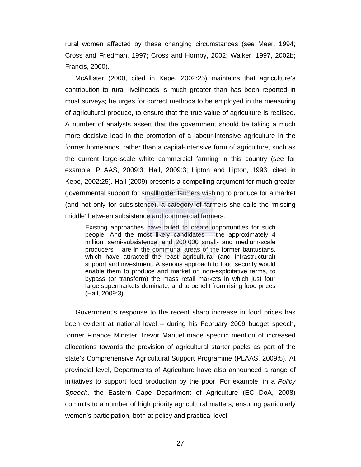rural women affected by these changing circumstances (see Meer, 1994; Cross and Friedman, 1997; Cross and Hornby, 2002; Walker, 1997, 2002b; Francis, 2000).

McAllister (2000, cited in Kepe, 2002:25) maintains that agriculture's contribution to rural livelihoods is much greater than has been reported in most surveys; he urges for correct methods to be employed in the measuring of agricultural produce, to ensure that the true value of agriculture is realised. A number of analysts assert that the government should be taking a much more decisive lead in the promotion of a labour-intensive agriculture in the former homelands, rather than a capital-intensive form of agriculture, such as the current large-scale white commercial farming in this country (see for example, PLAAS, 2009:3; Hall, 2009:3; Lipton and Lipton, 1993, cited in Kepe, 2002:25). Hall (2009) presents a compelling argument for much greater governmental support for smallholder farmers wishing to produce for a market (and not only for subsistence), a category of farmers she calls the 'missing middle' between subsistence and commercial farmers:

Existing approaches have failed to create opportunities for such people. And the most likely candidates – the approximately 4 million 'semi-subsistence' and 200,000 small- and medium-scale producers – are in the communal areas of the former bantustans, which have attracted the least agricultural (and infrastructural) support and investment. A serious approach to food security would enable them to produce and market on non-exploitative terms, to bypass (or transform) the mass retail markets in which just four large supermarkets dominate, and to benefit from rising food prices (Hall, 2009:3).

Government's response to the recent sharp increase in food prices has been evident at national level – during his February 2009 budget speech, former Finance Minister Trevor Manuel made specific mention of increased allocations towards the provision of agricultural starter packs as part of the state's Comprehensive Agricultural Support Programme (PLAAS, 2009:5). At provincial level, Departments of Agriculture have also announced a range of initiatives to support food production by the poor. For example, in a *Policy Speech,* the Eastern Cape Department of Agriculture (EC DoA, 2008) commits to a number of high priority agricultural matters, ensuring particularly women's participation, both at policy and practical level: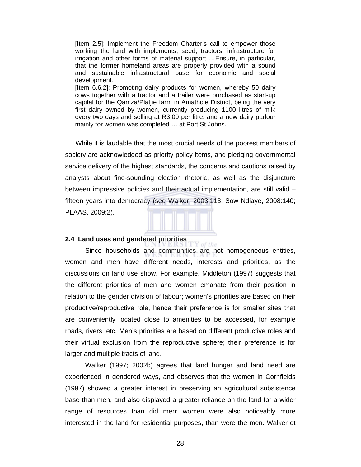[Item 2.5]: Implement the Freedom Charter's call to empower those working the land with implements, seed, tractors, infrastructure for irrigation and other forms of material support …Ensure, in particular, that the former homeland areas are properly provided with a sound and sustainable infrastructural base for economic and social development. [Item 6.6.2]: Promoting dairy products for women, whereby 50 dairy cows together with a tractor and a trailer were purchased as start-up capital for the Qamza/Platjie farm in Amathole District, being the very

first dairy owned by women, currently producing 1100 litres of milk every two days and selling at R3.00 per litre, and a new dairy parlour mainly for women was completed … at Port St Johns.

While it is laudable that the most crucial needs of the poorest members of society are acknowledged as priority policy items, and pledging governmental service delivery of the highest standards, the concerns and cautions raised by analysts about fine-sounding election rhetoric, as well as the disjuncture between impressive policies and their actual implementation, are still valid – fifteen years into democracy (see Walker, 2003:113; Sow Ndiaye, 2008:140; PLAAS, 2009:2).



Y of the

#### **2.4 Land uses and gendered priorities**

Since households and communities are not homogeneous entities, women and men have different needs, interests and priorities, as the discussions on land use show. For example, Middleton (1997) suggests that the different priorities of men and women emanate from their position in relation to the gender division of labour; women's priorities are based on their productive/reproductive role, hence their preference is for smaller sites that are conveniently located close to amenities to be accessed, for example roads, rivers, etc. Men's priorities are based on different productive roles and their virtual exclusion from the reproductive sphere; their preference is for larger and multiple tracts of land.

Walker (1997; 2002b) agrees that land hunger and land need are experienced in gendered ways, and observes that the women in Cornfields (1997) showed a greater interest in preserving an agricultural subsistence base than men, and also displayed a greater reliance on the land for a wider range of resources than did men; women were also noticeably more interested in the land for residential purposes, than were the men. Walker et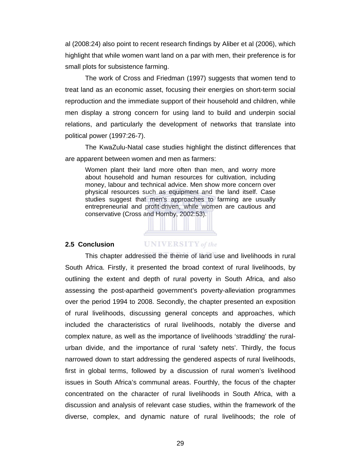al (2008:24) also point to recent research findings by Aliber et al (2006), which highlight that while women want land on a par with men, their preference is for small plots for subsistence farming.

The work of Cross and Friedman (1997) suggests that women tend to treat land as an economic asset, focusing their energies on short-term social reproduction and the immediate support of their household and children, while men display a strong concern for using land to build and underpin social relations, and particularly the development of networks that translate into political power (1997:26-7).

The KwaZulu-Natal case studies highlight the distinct differences that are apparent between women and men as farmers:

Women plant their land more often than men, and worry more about household and human resources for cultivation, including money, labour and technical advice. Men show more concern over physical resources such as equipment and the land itself. Case studies suggest that men's approaches to farming are usually entrepreneurial and profit-driven, while women are cautious and conservative (Cross and Hornby, 2002:53).

#### **2.5 Conclusion**

# **UNIVERSITY** of the

 This chapter addressed the theme of land use and livelihoods in rural South Africa. Firstly, it presented the broad context of rural livelihoods, by outlining the extent and depth of rural poverty in South Africa, and also assessing the post-apartheid government's poverty-alleviation programmes over the period 1994 to 2008. Secondly, the chapter presented an exposition of rural livelihoods, discussing general concepts and approaches, which included the characteristics of rural livelihoods, notably the diverse and complex nature, as well as the importance of livelihoods 'straddling' the ruralurban divide, and the importance of rural 'safety nets'. Thirdly, the focus narrowed down to start addressing the gendered aspects of rural livelihoods, first in global terms, followed by a discussion of rural women's livelihood issues in South Africa's communal areas. Fourthly, the focus of the chapter concentrated on the character of rural livelihoods in South Africa, with a discussion and analysis of relevant case studies, within the framework of the diverse, complex, and dynamic nature of rural livelihoods; the role of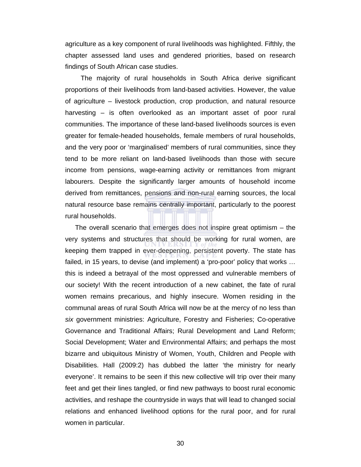agriculture as a key component of rural livelihoods was highlighted. Fifthly, the chapter assessed land uses and gendered priorities, based on research findings of South African case studies.

 The majority of rural households in South Africa derive significant proportions of their livelihoods from land-based activities. However, the value of agriculture – livestock production, crop production, and natural resource harvesting – is often overlooked as an important asset of poor rural communities. The importance of these land-based livelihoods sources is even greater for female-headed households, female members of rural households, and the very poor or 'marginalised' members of rural communities, since they tend to be more reliant on land-based livelihoods than those with secure income from pensions, wage-earning activity or remittances from migrant labourers. Despite the significantly larger amounts of household income derived from remittances, pensions and non-rural earning sources, the local natural resource base remains centrally important, particularly to the poorest rural households.

The overall scenario that emerges does not inspire great optimism – the very systems and structures that should be working for rural women, are keeping them trapped in ever-deepening, persistent poverty. The state has failed, in 15 years, to devise (and implement) a 'pro-poor' policy that works … this is indeed a betrayal of the most oppressed and vulnerable members of our society! With the recent introduction of a new cabinet, the fate of rural women remains precarious, and highly insecure. Women residing in the communal areas of rural South Africa will now be at the mercy of no less than *six* government ministries: Agriculture, Forestry and Fisheries; Co-operative Governance and Traditional Affairs; Rural Development and Land Reform; Social Development; Water and Environmental Affairs; and perhaps the most bizarre and ubiquitous Ministry of Women, Youth, Children and People with Disabilities. Hall (2009:2) has dubbed the latter 'the ministry for nearly everyone'. It remains to be seen if this new collective will trip over their many feet and get their lines tangled, or find new pathways to boost rural economic activities, and reshape the countryside in ways that will lead to changed social relations and enhanced livelihood options for the rural poor, and for rural women in particular.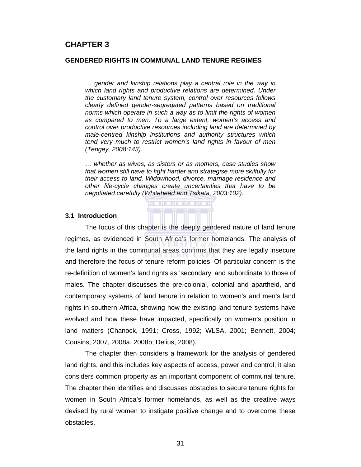# **CHAPTER 3**

#### **GENDERED RIGHTS IN COMMUNAL LAND TENURE REGIMES**

*… gender and kinship relations play a central role in the way in which land rights and productive relations are determined. Under the customary land tenure system, control over resources follows clearly defined gender-segregated patterns based on traditional norms which operate in such a way as to limit the rights of women as compared to men. To a large extent, women's access and control over productive resources including land are determined by male-centred kinship institutions and authority structures which tend very much to restrict women's land rights in favour of men (Tengey, 2008:143).* 

*… whether as wives, as sisters or as mothers, case studies show that women still have to fight harder and strategise more skilfully for their access to land. Widowhood, divorce, marriage residence and other life-cycle changes create uncertainties that have to be negotiated carefully (Whitehead and Tsikata, 2003:102).* 

#### **3.1 Introduction**

The focus of this chapter is the deeply gendered nature of land tenure regimes, as evidenced in South Africa's former homelands. The analysis of the land rights in the communal areas confirms that they are legally insecure and therefore the focus of tenure reform policies. Of particular concern is the re-definition of women's land rights as 'secondary' and subordinate to those of males. The chapter discusses the pre-colonial, colonial and apartheid, and contemporary systems of land tenure in relation to women's and men's land rights in southern Africa, showing how the existing land tenure systems have evolved and how these have impacted, specifically on women's position in land matters (Chanock, 1991; Cross, 1992; WLSA, 2001; Bennett, 2004; Cousins, 2007, 2008a, 2008b; Delius, 2008).

The chapter then considers a framework for the analysis of gendered land rights, and this includes key aspects of access, power and control; it also considers common property as an important component of communal tenure. The chapter then identifies and discusses obstacles to secure tenure rights for women in South Africa's former homelands, as well as the creative ways devised by rural women to instigate positive change and to overcome these obstacles.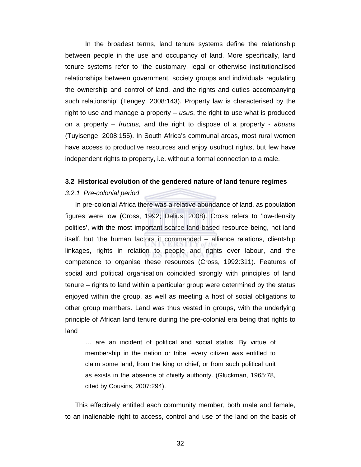In the broadest terms, land tenure systems define the relationship between people in the use and occupancy of land. More specifically, land tenure systems refer to 'the customary, legal or otherwise institutionalised relationships between government, society groups and individuals regulating the ownership and control of land, and the rights and duties accompanying such relationship' (Tengey, 2008:143). Property law is characterised by the right to use and manage a property – *usus*, the right to use what is produced on a property – *fructus*, and the right to dispose of a property - *abusus* (Tuyisenge, 2008:155). In South Africa's communal areas, most rural women have access to productive resources and enjoy usufruct rights, but few have independent rights to property, i.e. without a formal connection to a male.

#### **3.2 Historical evolution of the gendered nature of land tenure regimes**

#### *3.2.1 Pre-colonial period*

In pre-colonial Africa there was a relative abundance of land, as population figures were low (Cross, 1992; Delius, 2008). Cross refers to 'low-density polities', with the most important scarce land-based resource being, not land itself, but 'the human factors it commanded – alliance relations, clientship linkages, rights in relation to people and rights over labour, and the competence to organise these resources (Cross, 1992:311). Features of social and political organisation coincided strongly with principles of land tenure – rights to land within a particular group were determined by the status enjoyed within the group, as well as meeting a host of social obligations to other group members. Land was thus vested in groups, with the underlying principle of African land tenure during the pre-colonial era being that rights to land

… are an incident of political and social status. By virtue of membership in the nation or tribe, every citizen was entitled to claim some land, from the king or chief, or from such political unit as exists in the absence of chiefly authority. (Gluckman, 1965:78, cited by Cousins, 2007:294).

This effectively entitled each community member, both male and female, to an inalienable right to access, control and use of the land on the basis of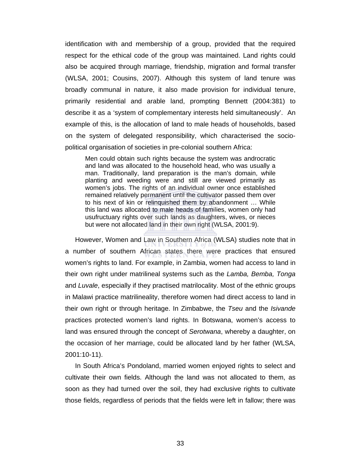identification with and membership of a group, provided that the required respect for the ethical code of the group was maintained. Land rights could also be acquired through marriage, friendship, migration and formal transfer (WLSA, 2001; Cousins, 2007). Although this system of land tenure was broadly communal in nature, it also made provision for individual tenure, primarily residential and arable land, prompting Bennett (2004:381) to describe it as a 'system of complementary interests held simultaneously'. An example of this, is the allocation of land to male heads of households, based on the system of delegated responsibility, which characterised the sociopolitical organisation of societies in pre-colonial southern Africa:

Men could obtain such rights because the system was androcratic and land was allocated to the household head, who was usually a man. Traditionally, land preparation is the man's domain, while planting and weeding were and still are viewed primarily as women's jobs. The rights of an individual owner once established remained relatively permanent until the cultivator passed them over to his next of kin or relinquished them by abandonment … While this land was allocated to male heads of families, women only had usufructuary rights over such lands as daughters, wives, or nieces but were not allocated land in their own right (WLSA, 2001:9).

However, Women and Law in Southern Africa (WLSA) studies note that in a number of southern African states there were practices that ensured women's rights to land. For example, in Zambia, women had access to land in their own right under matrilineal systems such as the *Lamba, Bemba, Tonga*  and *Luvale*, especially if they practised matrilocality. Most of the ethnic groups in Malawi practice matrilineality, therefore women had direct access to land in their own right or through heritage. In Zimbabwe, the *Tseu* and the *Isivande*  practices protected women's land rights. In Botswana, women's access to land was ensured through the concept of *Serotwana*, whereby a daughter, on the occasion of her marriage, could be allocated land by her father (WLSA, 2001:10-11).

In South Africa's Pondoland, married women enjoyed rights to select and cultivate their own fields. Although the land was not allocated to them, as soon as they had turned over the soil, they had exclusive rights to cultivate those fields, regardless of periods that the fields were left in fallow; there was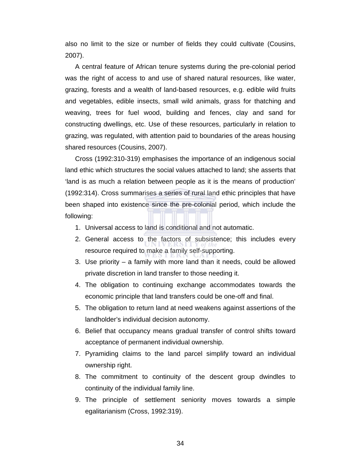also no limit to the size or number of fields they could cultivate (Cousins, 2007).

A central feature of African tenure systems during the pre-colonial period was the right of access to and use of shared natural resources, like water, grazing, forests and a wealth of land-based resources, e.g. edible wild fruits and vegetables, edible insects, small wild animals, grass for thatching and weaving, trees for fuel wood, building and fences, clay and sand for constructing dwellings, etc. Use of these resources, particularly in relation to grazing, was regulated, with attention paid to boundaries of the areas housing shared resources (Cousins, 2007).

Cross (1992:310-319) emphasises the importance of an indigenous social land ethic which structures the social values attached to land; she asserts that 'land is as much a relation between people as it is the means of production' (1992:314). Cross summarises a series of rural land ethic principles that have been shaped into existence since the pre-colonial period, which include the following:

- 1. Universal access to land is conditional and not automatic.
- 2. General access to the factors of subsistence; this includes every resource required to make a family self-supporting.
- 3. Use priority a family with more land than it needs, could be allowed private discretion in land transfer to those needing it.
- 4. The obligation to continuing exchange accommodates towards the economic principle that land transfers could be one-off and final.
- 5. The obligation to return land at need weakens against assertions of the landholder's individual decision autonomy.
- 6. Belief that occupancy means gradual transfer of control shifts toward acceptance of permanent individual ownership.
- 7. Pyramiding claims to the land parcel simplify toward an individual ownership right.
- 8. The commitment to continuity of the descent group dwindles to continuity of the individual family line.
- 9. The principle of settlement seniority moves towards a simple egalitarianism (Cross, 1992:319).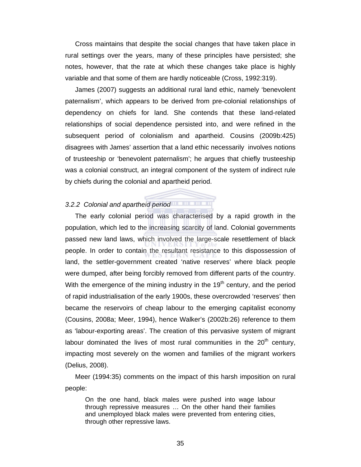Cross maintains that despite the social changes that have taken place in rural settings over the years, many of these principles have persisted; she notes, however, that the rate at which these changes take place is highly variable and that some of them are hardly noticeable (Cross, 1992:319).

James (2007) suggests an additional rural land ethic, namely 'benevolent paternalism', which appears to be derived from pre-colonial relationships of dependency on chiefs for land. She contends that these land-related relationships of social dependence persisted into, and were refined in the subsequent period of colonialism and apartheid. Cousins (2009b:425) disagrees with James' assertion that a land ethic necessarily involves notions of trusteeship or 'benevolent paternalism'; he argues that chiefly trusteeship was a colonial construct, an integral component of the system of indirect rule by chiefs during the colonial and apartheid period.

# *3.2.2 Colonial and apartheid period*

The early colonial period was characterised by a rapid growth in the population, which led to the increasing scarcity of land. Colonial governments passed new land laws, which involved the large-scale resettlement of black people. In order to contain the resultant resistance to this dispossession of land, the settler-government created 'native reserves' where black people were dumped, after being forcibly removed from different parts of the country. With the emergence of the mining industry in the  $19<sup>th</sup>$  century, and the period of rapid industrialisation of the early 1900s, these overcrowded 'reserves' then became the reservoirs of cheap labour to the emerging capitalist economy (Cousins, 2008a; Meer, 1994), hence Walker's (2002b:26) reference to them as 'labour-exporting areas'. The creation of this pervasive system of migrant labour dominated the lives of most rural communities in the  $20<sup>th</sup>$  century, impacting most severely on the women and families of the migrant workers (Delius, 2008).

Meer (1994:35) comments on the impact of this harsh imposition on rural people:

On the one hand, black males were pushed into wage labour through repressive measures … On the other hand their families and unemployed black males were prevented from entering cities, through other repressive laws.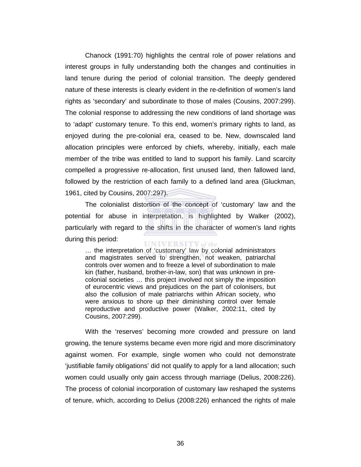Chanock (1991:70) highlights the central role of power relations and interest groups in fully understanding both the changes and continuities in land tenure during the period of colonial transition. The deeply gendered nature of these interests is clearly evident in the re-definition of women's land rights as 'secondary' and subordinate to those of males (Cousins, 2007:299). The colonial response to addressing the new conditions of land shortage was to 'adapt' customary tenure. To this end, women's primary rights to land, as enjoyed during the pre-colonial era, ceased to be. New, downscaled land allocation principles were enforced by chiefs, whereby, initially, each male member of the tribe was entitled to land to support his family. Land scarcity compelled a progressive re-allocation, first unused land, then fallowed land, followed by the restriction of each family to a defined land area (Gluckman, 1961, cited by Cousins, 2007:297).

The colonialist distortion of the concept of 'customary' law and the potential for abuse in interpretation, is highlighted by Walker (2002), particularly with regard to the shifts in the character of women's land rights during this period: **UNIVERSITY** of the

… the interpretation of 'customary' law by colonial administrators and magistrates served to strengthen, not weaken, patriarchal controls over women and to freeze a level of subordination to male kin (father, husband, brother-in-law, son) that was unknown in precolonial societies … this project involved not simply the imposition of eurocentric views and prejudices on the part of colonisers, but also the collusion of male patriarchs within African society, who were anxious to shore up their diminishing control over female reproductive and productive power (Walker, 2002:11, cited by Cousins, 2007:299).

With the 'reserves' becoming more crowded and pressure on land growing, the tenure systems became even more rigid and more discriminatory against women. For example, single women who could not demonstrate 'justifiable family obligations' did not qualify to apply for a land allocation; such women could usually only gain access through marriage (Delius, 2008:226). The process of colonial incorporation of customary law reshaped the systems of tenure, which, according to Delius (2008:226) enhanced the rights of male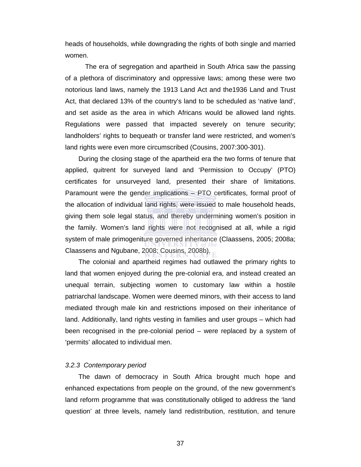heads of households, while downgrading the rights of both single and married women.

The era of segregation and apartheid in South Africa saw the passing of a plethora of discriminatory and oppressive laws; among these were two notorious land laws, namely the 1913 Land Act and the1936 Land and Trust Act, that declared 13% of the country's land to be scheduled as 'native land', and set aside as the area in which Africans would be allowed land rights. Regulations were passed that impacted severely on tenure security; landholders' rights to bequeath or transfer land were restricted, and women's land rights were even more circumscribed (Cousins, 2007:300-301).

During the closing stage of the apartheid era the two forms of tenure that applied, quitrent for surveyed land and 'Permission to Occupy' (PTO) certificates for unsurveyed land, presented their share of limitations. Paramount were the gender implications – PTO certificates, formal proof of the allocation of individual land rights, were issued to male household heads, giving them sole legal status, and thereby undermining women's position in the family. Women's land rights were not recognised at all, while a rigid system of male primogeniture governed inheritance (Claassens, 2005; 2008a; Claassens and Ngubane, 2008; Cousins, 2008b).

The colonial and apartheid regimes had outlawed the primary rights to land that women enjoyed during the pre-colonial era, and instead created an unequal terrain, subjecting women to customary law within a hostile patriarchal landscape. Women were deemed minors, with their access to land mediated through male kin and restrictions imposed on their inheritance of land. Additionally, land rights vesting in families and user groups – which had been recognised in the pre-colonial period – were replaced by a system of 'permits' allocated to individual men.

#### *3.2.3 Contemporary period*

The dawn of democracy in South Africa brought much hope and enhanced expectations from people on the ground, of the new government's land reform programme that was constitutionally obliged to address the 'land question' at three levels, namely land redistribution, restitution, and tenure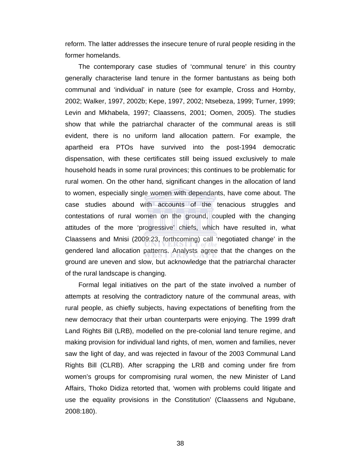reform. The latter addresses the insecure tenure of rural people residing in the former homelands.

The contemporary case studies of 'communal tenure' in this country generally characterise land tenure in the former bantustans as being both communal and 'individual' in nature (see for example, Cross and Hornby, 2002; Walker, 1997, 2002b; Kepe, 1997, 2002; Ntsebeza, 1999; Turner, 1999; Levin and Mkhabela, 1997; Claassens, 2001; Oomen, 2005). The studies show that while the patriarchal character of the communal areas is still evident, there is no uniform land allocation pattern. For example, the apartheid era PTOs have survived into the post-1994 democratic dispensation, with these certificates still being issued exclusively to male household heads in some rural provinces; this continues to be problematic for rural women. On the other hand, significant changes in the allocation of land to women, especially single women with dependants, have come about. The case studies abound with accounts of the tenacious struggles and contestations of rural women on the ground, coupled with the changing attitudes of the more 'progressive' chiefs, which have resulted in, what Claassens and Mnisi (2009:23, forthcoming) call 'negotiated change' in the gendered land allocation patterns. Analysts agree that the changes on the ground are uneven and slow, but acknowledge that the patriarchal character of the rural landscape is changing.

Formal legal initiatives on the part of the state involved a number of attempts at resolving the contradictory nature of the communal areas, with rural people, as chiefly subjects, having expectations of benefiting from the new democracy that their urban counterparts were enjoying. The 1999 draft Land Rights Bill (LRB), modelled on the pre-colonial land tenure regime, and making provision for individual land rights, of men, women and families, never saw the light of day, and was rejected in favour of the 2003 Communal Land Rights Bill (CLRB). After scrapping the LRB and coming under fire from women's groups for compromising rural women, the new Minister of Land Affairs, Thoko Didiza retorted that, 'women with problems could litigate and use the equality provisions in the Constitution' (Claassens and Ngubane, 2008:180).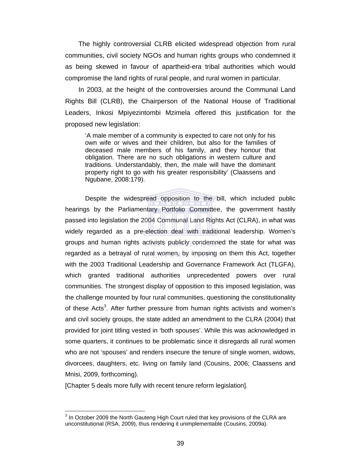The highly controversial CLRB elicited widespread objection from rural communities, civil society NGOs and human rights groups who condemned it as being skewed in favour of apartheid-era tribal authorities which would compromise the land rights of rural people, and rural women in particular.

In 2003, at the height of the controversies around the Communal Land Rights Bill (CLRB), the Chairperson of the National House of Traditional Leaders, Inkosi Mpiyezintombi Mzimela offered this justification for the proposed new legislation:

'A male member of a community is expected to care not only for his own wife or wives and their children, but also for the families of deceased male members of his family, and they honour that obligation. There are no such obligations in western culture and traditions. Understandably, then, the male will have the dominant property right to go with his greater responsibility' (Claassens and Ngubane, 2008:179).

Despite the widespread opposition to the bill, which included public hearings by the Parliamentary Portfolio Committee, the government hastily passed into legislation the 2004 Communal Land Rights Act (CLRA), in what was widely regarded as a pre-election deal with traditional leadership. Women's groups and human rights activists publicly condemned the state for what was regarded as a betrayal of rural women, by imposing on them this Act, together with the 2003 Traditional Leadership and Governance Framework Act (TLGFA), which granted traditional authorities unprecedented powers over rural communities. The strongest display of opposition to this imposed legislation, was the challenge mounted by four rural communities, questioning the constitutionality of these Acts<sup>3</sup>. After further pressure from human rights activists and women's and civil society groups, the state added an amendment to the CLRA (2004) that provided for joint titling vested in 'both spouses'. While this was acknowledged in some quarters, it continues to be problematic since it disregards all rural women who are not 'spouses' and renders insecure the tenure of single women, widows, divorcees, daughters, etc. living on family land (Cousins, 2006; Claassens and Mnisi, 2009, forthcoming).

[Chapter 5 deals more fully with recent tenure reform legislation].

 $\overline{a}$  $3$  In October 2009 the North Gauteng High Court ruled that key provisions of the CLRA are unconstitutional (RSA, 2009), thus rendering it unimplementable (Cousins, 2009a).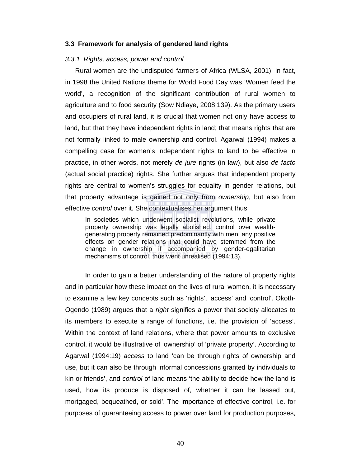#### **3.3 Framework for analysis of gendered land rights**

#### *3.3.1 Rights, access, power and control*

Rural women are the undisputed farmers of Africa (WLSA, 2001); in fact, in 1998 the United Nations theme for World Food Day was 'Women feed the world', a recognition of the significant contribution of rural women to agriculture and to food security (Sow Ndiaye, 2008:139). As the primary users and occupiers of rural land, it is crucial that women not only have access to land, but that they have independent rights in land; that means rights that are not formally linked to male ownership and control. Agarwal (1994) makes a compelling case for women's independent rights to land to be effective in practice, in other words, not merely *de jure* rights (in law), but also *de facto* (actual social practice) rights. She further argues that independent property rights are central to women's struggles for equality in gender relations, but that property advantage is gained not only from *ownership*, but also from effective *control* over it. She contextualises her argument thus:

In societies which underwent socialist revolutions, while private property ownership was legally abolished, control over wealthgenerating property remained predominantly with men; any positive effects on gender relations that could have stemmed from the change in ownership if accompanied by gender-egalitarian mechanisms of control, thus went unrealised (1994:13).

In order to gain a better understanding of the nature of property rights and in particular how these impact on the lives of rural women, it is necessary to examine a few key concepts such as 'rights', 'access' and 'control'. Okoth-Ogendo (1989) argues that a *right* signifies a power that society allocates to its members to execute a range of functions, i.e. the provision of 'access'. Within the context of land relations, where that power amounts to exclusive control, it would be illustrative of 'ownership' of 'private property'. According to Agarwal (1994:19) *access* to land 'can be through rights of ownership and use, but it can also be through informal concessions granted by individuals to kin or friends', and *control* of land means 'the ability to decide how the land is used, how its produce is disposed of, whether it can be leased out, mortgaged, bequeathed, or sold'. The importance of effective control, i.e. for purposes of guaranteeing access to power over land for production purposes,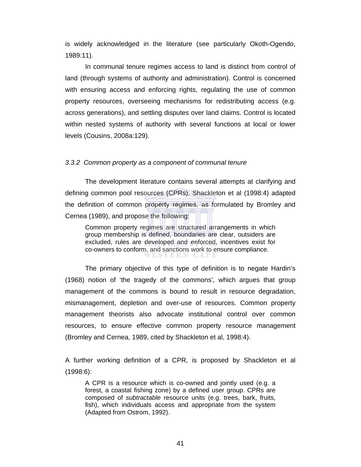is widely acknowledged in the literature (see particularly Okoth-Ogendo, 1989:11).

In communal tenure regimes access to land is distinct from control of land (through systems of authority and administration). Control is concerned with ensuring access and enforcing rights, regulating the use of common property resources, overseeing mechanisms for redistributing access (e.g. across generations), and settling disputes over land claims. Control is located within nested systems of authority with several functions at local or lower levels (Cousins, 2008a:129).

#### *3.3.2 Common property as a component of communal tenure*

The development literature contains several attempts at clarifying and defining common pool resources (CPRs). Shackleton et al (1998:4) adapted the definition of common property regimes, as formulated by Bromley and Cernea (1989), and propose the following:

Common property regimes are structured arrangements in which group membership is defined, boundaries are clear, outsiders are excluded, rules are developed and enforced, incentives exist for co-owners to conform, and sanctions work to ensure compliance. /ESTERN GAPE

The primary objective of this type of definition is to negate Hardin's (1968) notion of 'the tragedy of the commons', which argues that group management of the commons is bound to result in resource degradation, mismanagement, depletion and over-use of resources. Common property management theorists also advocate institutional control over common resources, to ensure effective common property resource management (Bromley and Cernea, 1989, cited by Shackleton et al, 1998:4).

A further working definition of a CPR, is proposed by Shackleton et al (1998:6):

A CPR is a resource which is co-owned and jointly used (e.g. a forest, a coastal fishing zone) by a defined user group. CPRs are composed of *subtractable* resource units (e.g. trees, bark, fruits, fish), which individuals access and appropriate from the system (Adapted from Ostrom, 1992).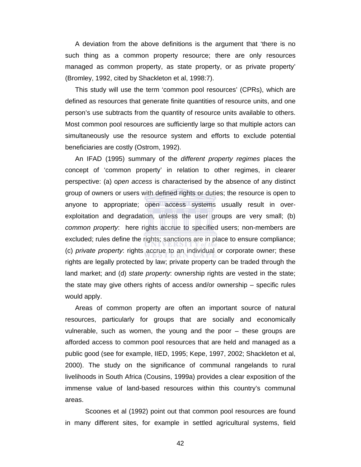A deviation from the above definitions is the argument that 'there is no such thing as a common property resource; there are only resources managed as common property, as state property, or as private property' (Bromley, 1992, cited by Shackleton et al, 1998:7).

This study will use the term 'common pool resources' (CPRs), which are defined as resources that generate finite quantities of resource units, and one person's use subtracts from the quantity of resource units available to others. Most common pool resources are sufficiently large so that multiple actors can simultaneously use the resource system and efforts to exclude potential beneficiaries are costly (Ostrom, 1992).

An IFAD (1995) summary of the *different property regimes* places the concept of 'common property' in relation to other regimes, in clearer perspective: (a) o*pen access* is characterised by the absence of any distinct group of owners or users with defined rights or duties; the resource is open to anyone to appropriate; open access systems usually result in overexploitation and degradation, unless the user groups are very small; (b) *common property*: here rights accrue to specified users; non-members are excluded; rules define the rights; sanctions are in place to ensure compliance; (c) *private property*: rights accrue to an individual or corporate owner; these rights are legally protected by law; private property can be traded through the land market; and (d) *state property*: ownership rights are vested in the state; the state may give others rights of access and/or ownership – specific rules would apply.

Areas of common property are often an important source of natural resources, particularly for groups that are socially and economically vulnerable, such as women, the young and the poor – these groups are afforded access to common pool resources that are held and managed as a public good (see for example, IIED, 1995; Kepe, 1997, 2002; Shackleton et al, 2000). The study on the significance of communal rangelands to rural livelihoods in South Africa (Cousins, 1999a) provides a clear exposition of the immense value of land-based resources within this country's communal areas.

 Scoones et al (1992) point out that common pool resources are found in many different sites, for example in settled agricultural systems, field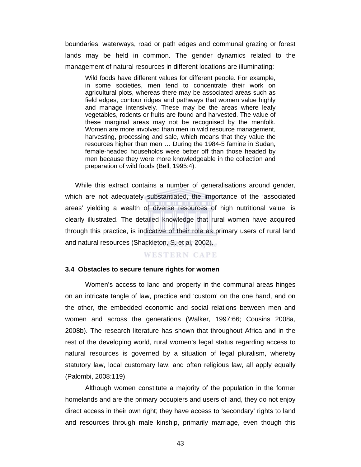boundaries, waterways, road or path edges and communal grazing or forest lands may be held in common. The gender dynamics related to the management of natural resources in different locations are illuminating:

Wild foods have different values for different people. For example, in some societies, men tend to concentrate their work on agricultural plots, whereas there may be associated areas such as field edges, contour ridges and pathways that women value highly and manage intensively. These may be the areas where leafy vegetables, rodents or fruits are found and harvested. The value of these marginal areas may not be recognised by the menfolk. Women are more involved than men in wild resource management, harvesting, processing and sale, which means that they value the resources higher than men … During the 1984-5 famine in Sudan, female-headed households were better off than those headed by men because they were more knowledgeable in the collection and preparation of wild foods (Bell, 1995:4).

While this extract contains a number of generalisations around gender, which are not adequately substantiated, the importance of the 'associated areas' yielding a wealth of diverse resources of high nutritional value, is clearly illustrated. The detailed knowledge that rural women have acquired through this practice, is indicative of their role as primary users of rural land and natural resources (Shackleton, S. et al, 2002).

#### WESTERN CAPE

#### **3.4 Obstacles to secure tenure rights for women**

Women's access to land and property in the communal areas hinges on an intricate tangle of law, practice and 'custom' on the one hand, and on the other, the embedded economic and social relations between men and women and across the generations (Walker, 1997:66; Cousins 2008a, 2008b). The research literature has shown that throughout Africa and in the rest of the developing world, rural women's legal status regarding access to natural resources is governed by a situation of legal pluralism, whereby statutory law, local customary law, and often religious law, all apply equally (Palombi, 2008:119).

Although women constitute a majority of the population in the former homelands and are the primary occupiers and users of land, they do not enjoy direct access in their own right; they have access to 'secondary' rights to land and resources through male kinship, primarily marriage, even though this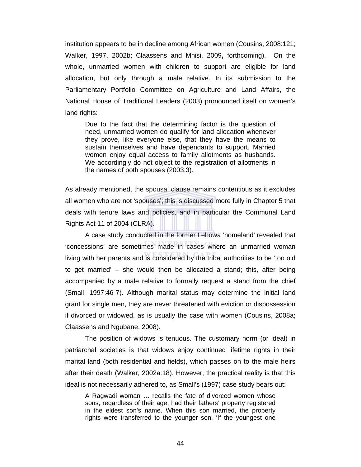institution appears to be in decline among African women (Cousins, 2008:121; Walker, 1997, 2002b; Claassens and Mnisi, 2009**,** forthcoming). On the whole, unmarried women with children to support are eligible for land allocation, but only through a male relative. In its submission to the Parliamentary Portfolio Committee on Agriculture and Land Affairs, the National House of Traditional Leaders (2003) pronounced itself on women's land rights:

Due to the fact that the determining factor is the question of need, unmarried women do qualify for land allocation whenever they prove, like everyone else, that they have the means to sustain themselves and have dependants to support. Married women enjoy equal access to family allotments as husbands. We accordingly do not object to the registration of allotments in the names of both spouses (2003:3).

As already mentioned, the spousal clause remains contentious as it excludes all women who are not 'spouses'; this is discussed more fully in Chapter 5 that deals with tenure laws and policies, and in particular the Communal Land Rights Act 11 of 2004 (CLRA).

A case study conducted in the former Lebowa 'homeland' revealed that 'concessions' are sometimes made in cases where an unmarried woman living with her parents and is considered by the tribal authorities to be 'too old to get married' – she would then be allocated a stand; this, after being accompanied by a male relative to formally request a stand from the chief (Small, 1997:46-7). Although marital status may determine the initial land grant for single men, they are never threatened with eviction or dispossession if divorced or widowed, as is usually the case with women (Cousins, 2008a; Claassens and Ngubane, 2008).

The position of widows is tenuous. The customary norm (or ideal) in patriarchal societies is that widows enjoy continued lifetime rights in their marital land (both residential and fields), which passes on to the male heirs after their death (Walker, 2002a:18). However, the practical reality is that this ideal is not necessarily adhered to, as Small's (1997) case study bears out:

A Ragwadi woman … recalls the fate of divorced women whose sons, regardless of their age, had their fathers' property registered in the eldest son's name. When this son married, the property rights were transferred to the younger son. 'If the youngest one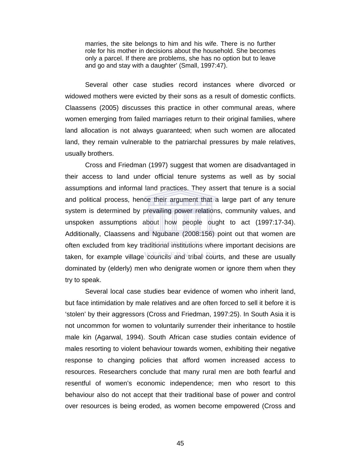marries, the site belongs to him and his wife. There is no further role for his mother in decisions about the household. She becomes only a parcel. If there are problems, she has no option but to leave and go and stay with a daughter' (Small, 1997:47).

Several other case studies record instances where divorced or widowed mothers were evicted by their sons as a result of domestic conflicts. Claassens (2005) discusses this practice in other communal areas, where women emerging from failed marriages return to their original families, where land allocation is not always guaranteed; when such women are allocated land, they remain vulnerable to the patriarchal pressures by male relatives, usually brothers.

Cross and Friedman (1997) suggest that women are disadvantaged in their access to land under official tenure systems as well as by social assumptions and informal land practices. They assert that tenure is a social and political process, hence their argument that a large part of any tenure system is determined by prevailing power relations, community values, and unspoken assumptions about how people ought to act (1997:17-34). Additionally, Claassens and Ngubane (2008:156) point out that women are often excluded from key traditional institutions where important decisions are taken, for example village councils and tribal courts, and these are usually dominated by (elderly) men who denigrate women or ignore them when they try to speak.

Several local case studies bear evidence of women who inherit land, but face intimidation by male relatives and are often forced to sell it before it is 'stolen' by their aggressors (Cross and Friedman, 1997:25). In South Asia it is not uncommon for women to voluntarily surrender their inheritance to hostile male kin (Agarwal, 1994). South African case studies contain evidence of males resorting to violent behaviour towards women, exhibiting their negative response to changing policies that afford women increased access to resources. Researchers conclude that many rural men are both fearful and resentful of women's economic independence; men who resort to this behaviour also do not accept that their traditional base of power and control over resources is being eroded, as women become empowered (Cross and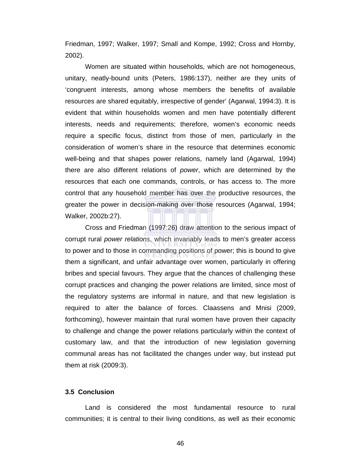Friedman, 1997; Walker, 1997; Small and Kompe, 1992; Cross and Hornby, 2002).

Women are situated within households, which are not homogeneous, unitary, neatly-bound units (Peters, 1986:137), neither are they units of 'congruent interests, among whose members the benefits of available resources are shared equitably, irrespective of gender' (Agarwal, 1994:3). It is evident that within households women and men have potentially different interests, needs and requirements; therefore, women's economic needs require a specific focus, distinct from those of men, particularly in the consideration of women's share in the resource that determines economic well-being and that shapes power relations, namely land (Agarwal, 1994) there are also different relations of *power*, which are determined by the resources that each one commands, controls, or has access to. The more control that any household member has over the productive resources, the greater the power in decision-making over those resources (Agarwal, 1994; Walker, 2002b:27).

Cross and Friedman (1997:26) draw attention to the serious impact of corrupt rural *power relations*, which invariably leads to men's greater access to power and to those in commanding positions of power; this is bound to give them a significant, and unfair advantage over women, particularly in offering bribes and special favours. They argue that the chances of challenging these corrupt practices and changing the power relations are limited, since most of the regulatory systems are informal in nature, and that new legislation is required to alter the balance of forces. Claassens and Mnisi (2009, forthcoming), however maintain that rural women have proven their capacity to challenge and change the power relations particularly within the context of customary law, and that the introduction of new legislation governing communal areas has not facilitated the changes under way, but instead put them at risk (2009:3).

## **3.5 Conclusion**

Land is considered the most fundamental resource to rural communities; it is central to their living conditions, as well as their economic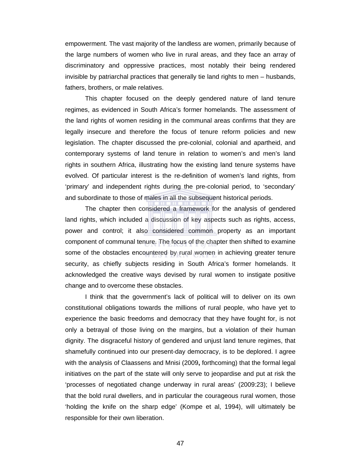empowerment. The vast majority of the landless are women, primarily because of the large numbers of women who live in rural areas, and they face an array of discriminatory and oppressive practices, most notably their being rendered invisible by patriarchal practices that generally tie land rights to men – husbands, fathers, brothers, or male relatives.

This chapter focused on the deeply gendered nature of land tenure regimes, as evidenced in South Africa's former homelands. The assessment of the land rights of women residing in the communal areas confirms that they are legally insecure and therefore the focus of tenure reform policies and new legislation. The chapter discussed the pre-colonial, colonial and apartheid, and contemporary systems of land tenure in relation to women's and men's land rights in southern Africa, illustrating how the existing land tenure systems have evolved. Of particular interest is the re-definition of women's land rights, from 'primary' and independent rights during the pre-colonial period, to 'secondary' and subordinate to those of males in all the subsequent historical periods.

The chapter then considered a framework for the analysis of gendered land rights, which included a discussion of key aspects such as rights, access, power and control; it also considered common property as an important component of communal tenure. The focus of the chapter then shifted to examine some of the obstacles encountered by rural women in achieving greater tenure security, as chiefly subjects residing in South Africa's former homelands. It acknowledged the creative ways devised by rural women to instigate positive change and to overcome these obstacles.

I think that the government's lack of political will to deliver on its own constitutional obligations towards the millions of rural people, who have yet to experience the basic freedoms and democracy that they have fought for, is not only a betrayal of those living on the margins, but a violation of their human dignity. The disgraceful history of gendered and unjust land tenure regimes, that shamefully continued into our present-day democracy, is to be deplored. I agree with the analysis of Claassens and Mnisi (2009**,** forthcoming) that the formal legal initiatives on the part of the state will only serve to jeopardise and put at risk the 'processes of negotiated change underway in rural areas' (2009:23); I believe that the bold rural dwellers, and in particular the courageous rural women, those 'holding the knife on the sharp edge' (Kompe et al, 1994), will ultimately be responsible for their own liberation.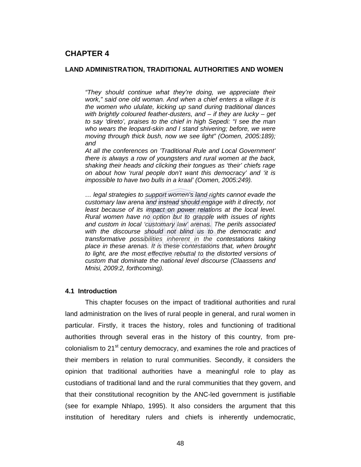## **LAND ADMINISTRATION, TRADITIONAL AUTHORITIES AND WOMEN**

*"They should continue what they're doing, we appreciate their work," said one old woman. And when a chief enters a village it is the women who ululate, kicking up sand during traditional dances with brightly coloured feather-dusters, and – if they are lucky – get to say 'direto', praises to the chief in high Sepedi: "I see the man who wears the leopard-skin and I stand shivering; before, we were moving through thick bush, now we see light" (Oomen, 2005:189); and* 

*At all the conferences on 'Traditional Rule and Local Government' there is always a row of youngsters and rural women at the back, shaking their heads and clicking their tongues as 'their' chiefs rage on about how 'rural people don't want this democracy' and 'it is impossible to have two bulls in a kraal' (Oomen, 2005:249).* 

*… legal strategies to support women's land rights cannot evade the customary law arena and instead should engage with it directly, not*  least because of its impact on power relations at the local level. *Rural women have no option but to grapple with issues of rights and custom in local 'customary law' arenas. The perils associated with the discourse should not blind us to the democratic and transformative possibilities inherent in the contestations taking place in these arenas. It is these contestations that, when brought to light, are the most effective rebuttal to the distorted versions of custom that dominate the national level discourse (Claassens and Mnisi, 2009:2, forthcoming).* 

## **4.1 Introduction**

This chapter focuses on the impact of traditional authorities and rural land administration on the lives of rural people in general, and rural women in particular. Firstly, it traces the history, roles and functioning of traditional authorities through several eras in the history of this country, from precolonialism to 21<sup>st</sup> century democracy, and examines the role and practices of their members in relation to rural communities. Secondly, it considers the opinion that traditional authorities have a meaningful role to play as custodians of traditional land and the rural communities that they govern, and that their constitutional recognition by the ANC-led government is justifiable (see for example Nhlapo, 1995). It also considers the argument that this institution of hereditary rulers and chiefs is inherently undemocratic,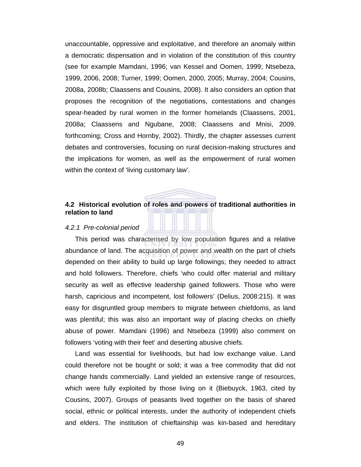unaccountable, oppressive and exploitative, and therefore an anomaly within a democratic dispensation and in violation of the constitution of this country (see for example Mamdani, 1996; van Kessel and Oomen, 1999; Ntsebeza, 1999, 2006, 2008; Turner, 1999; Oomen, 2000, 2005; Murray, 2004; Cousins, 2008a, 2008b; Claassens and Cousins, 2008). It also considers an option that proposes the recognition of the negotiations, contestations and changes spear-headed by rural women in the former homelands (Claassens, 2001, 2008a; Claassens and Ngubane, 2008; Claassens and Mnisi, 2009, forthcoming; Cross and Hornby, 2002). Thirdly, the chapter assesses current debates and controversies, focusing on rural decision-making structures and the implications for women, as well as the empowerment of rural women within the context of 'living customary law'.

# **4.2 Historical evolution of roles and powers of traditional authorities in relation to land**

#### *4.2.1 Pre-colonial period*

This period was characterised by low population figures and a relative abundance of land. The acquisition of power and wealth on the part of chiefs depended on their ability to build up large followings; they needed to attract and hold followers. Therefore, chiefs 'who could offer material and military security as well as effective leadership gained followers. Those who were harsh, capricious and incompetent, lost followers' (Delius, 2008:215). It was easy for disgruntled group members to migrate between chiefdoms, as land was plentiful; this was also an important way of placing checks on chiefly abuse of power. Mamdani (1996) and Ntsebeza (1999) also comment on followers 'voting with their feet' and deserting abusive chiefs.

Land was essential for livelihoods, but had low exchange value. Land could therefore not be bought or sold; it was a free commodity that did not change hands commercially. Land yielded an extensive range of resources, which were fully exploited by those living on it (Biebuyck, 1963, cited by Cousins, 2007). Groups of peasants lived together on the basis of shared social, ethnic or political interests, under the authority of independent chiefs and elders. The institution of chieftainship was kin-based and hereditary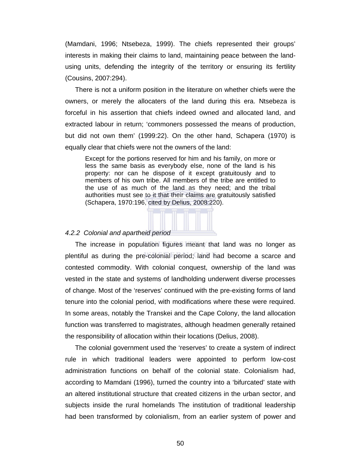(Mamdani, 1996; Ntsebeza, 1999). The chiefs represented their groups' interests in making their claims to land, maintaining peace between the landusing units, defending the integrity of the territory or ensuring its fertility (Cousins, 2007:294).

There is not a uniform position in the literature on whether chiefs were the owners, or merely the allocaters of the land during this era. Ntsebeza is forceful in his assertion that chiefs indeed owned and allocated land, and extracted labour in return; 'commoners possessed the means of production, but did not own them' (1999:22). On the other hand, Schapera (1970) is equally clear that chiefs were not the owners of the land:

Except for the portions reserved for him and his family, on more or less the same basis as everybody else, none of the land is his property: nor can he dispose of it except gratuitously and to members of his own tribe. All members of the tribe are entitled to the use of as much of the land as they need; and the tribal authorities must see to it that their claims are gratuitously satisfied (Schapera, 1970:196, cited by Delius, 2008:220).

### *4.2.2 Colonial and apartheid period*

The increase in population figures meant that land was no longer as plentiful as during the pre-colonial period; land had become a scarce and contested commodity. With colonial conquest, ownership of the land was vested in the state and systems of landholding underwent diverse processes of change. Most of the 'reserves' continued with the pre-existing forms of land tenure into the colonial period, with modifications where these were required. In some areas, notably the Transkei and the Cape Colony, the land allocation function was transferred to magistrates, although headmen generally retained the responsibility of allocation within their locations (Delius, 2008).

The colonial government used the 'reserves' to create a system of indirect rule in which traditional leaders were appointed to perform low-cost administration functions on behalf of the colonial state. Colonialism had, according to Mamdani (1996), turned the country into a 'bifurcated' state with an altered institutional structure that created citizens in the urban sector, and subjects inside the rural homelands The institution of traditional leadership had been transformed by colonialism, from an earlier system of power and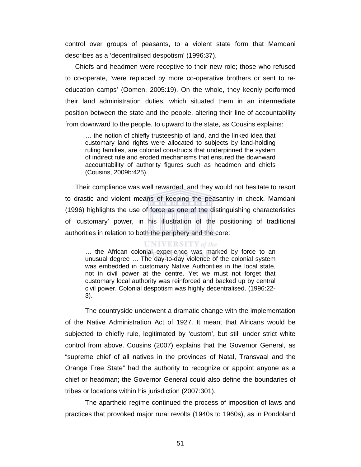control over groups of peasants, to a violent state form that Mamdani describes as a 'decentralised despotism' (1996:37).

Chiefs and headmen were receptive to their new role; those who refused to co-operate, 'were replaced by more co-operative brothers or sent to reeducation camps' (Oomen, 2005:19). On the whole, they keenly performed their land administration duties, which situated them in an intermediate position between the state and the people, altering their line of accountability from downward to the people, to upward to the state, as Cousins explains:

… the notion of chiefly trusteeship of land, and the linked idea that customary land rights were allocated to subjects by land-holding ruling families, are colonial constructs that underpinned the system of indirect rule and eroded mechanisms that ensured the downward accountability of authority figures such as headmen and chiefs (Cousins, 2009b:425).

Their compliance was well rewarded, and they would not hesitate to resort to drastic and violent means of keeping the peasantry in check. Mamdani (1996) highlights the use of force as one of the distinguishing characteristics of 'customary' power, in his illustration of the positioning of traditional authorities in relation to both the periphery and the core:

#### **UNIVERSITY** of the

… the African colonial experience was marked by force to an unusual degree … The day-to-day violence of the colonial system was embedded in customary Native Authorities in the local state, not in civil power at the centre. Yet we must not forget that customary local authority was reinforced and backed up by central civil power. Colonial despotism was highly decentralised. (1996:22- 3).

The countryside underwent a dramatic change with the implementation of the Native Administration Act of 1927. It meant that Africans would be subjected to chiefly rule, legitimated by 'custom', but still under strict white control from above. Cousins (2007) explains that the Governor General, as "supreme chief of all natives in the provinces of Natal, Transvaal and the Orange Free State" had the authority to recognize or appoint anyone as a chief or headman; the Governor General could also define the boundaries of tribes or locations within his jurisdiction (2007:301).

The apartheid regime continued the process of imposition of laws and practices that provoked major rural revolts (1940s to 1960s), as in Pondoland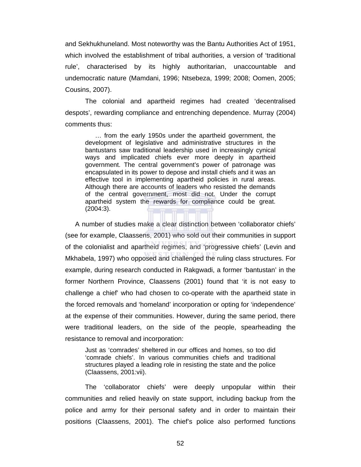and Sekhukhuneland. Most noteworthy was the Bantu Authorities Act of 1951, which involved the establishment of tribal authorities, a version of 'traditional rule', characterised by its highly authoritarian, unaccountable and undemocratic nature (Mamdani, 1996; Ntsebeza, 1999; 2008; Oomen, 2005; Cousins, 2007).

The colonial and apartheid regimes had created 'decentralised despots', rewarding compliance and entrenching dependence. Murray (2004) comments thus:

… from the early 1950s under the apartheid government, the development of legislative and administrative structures in the bantustans saw traditional leadership used in increasingly cynical ways and implicated chiefs ever more deeply in apartheid government. The central government's power of patronage was encapsulated in its power to depose and install chiefs and it was an effective tool in implementing apartheid policies in rural areas. Although there are accounts of leaders who resisted the demands of the central government, most did not. Under the corrupt apartheid system the rewards for compliance could be great. (2004:3).

A number of studies make a clear distinction between 'collaborator chiefs' (see for example, Claassens, 2001) who sold out their communities in support of the colonialist and apartheid regimes, and 'progressive chiefs' (Levin and Mkhabela, 1997) who opposed and challenged the ruling class structures. For example, during research conducted in Rakgwadi, a former 'bantustan' in the former Northern Province, Claassens (2001) found that 'it is not easy to challenge a chief' who had chosen to co-operate with the apartheid state in the forced removals and 'homeland' incorporation or opting for 'independence' at the expense of their communities. However, during the same period, there were traditional leaders, on the side of the people, spearheading the resistance to removal and incorporation:

Just as 'comrades' sheltered in our offices and homes, so too did 'comrade chiefs'. In various communities chiefs and traditional structures played a leading role in resisting the state and the police (Claassens, 2001:vii).

 The 'collaborator chiefs' were deeply unpopular within their communities and relied heavily on state support, including backup from the police and army for their personal safety and in order to maintain their positions (Claassens, 2001). The chief's police also performed functions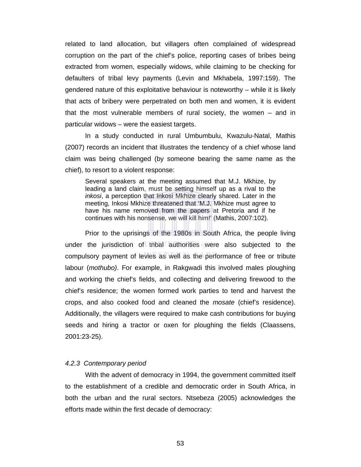related to land allocation, but villagers often complained of widespread corruption on the part of the chief's police, reporting cases of bribes being extracted from women, especially widows, while claiming to be checking for defaulters of tribal levy payments (Levin and Mkhabela, 1997:159). The gendered nature of this exploitative behaviour is noteworthy – while it is likely that acts of bribery were perpetrated on both men and women, it is evident that the most vulnerable members of rural society, the women – and in particular widows – were the easiest targets.

In a study conducted in rural Umbumbulu, Kwazulu-Natal, Mathis (2007) records an incident that illustrates the tendency of a chief whose land claim was being challenged (by someone bearing the same name as the chief), to resort to a violent response:

Several speakers at the meeting assumed that M.J. Mkhize, by leading a land claim, must be setting himself up as a rival to the *inkosi*, a perception that Inkosi Mkhize clearly shared. Later in the meeting, Inkosi Mkhize threatened that 'M.J. Mkhize must agree to have his name removed from the papers at Pretoria and if he continues with his nonsense, we will kill him!' (Mathis, 2007:102).

Prior to the uprisings of the 1980s in South Africa, the people living under the jurisdiction of tribal authorities were also subjected to the compulsory payment of levies as well as the performance of free or tribute labour (*mothubo)*. For example, in Rakgwadi this involved males ploughing and working the chief's fields, and collecting and delivering firewood to the chief's residence; the women formed work parties to tend and harvest the crops, and also cooked food and cleaned the *mosate* (chief's residence). Additionally, the villagers were required to make cash contributions for buying seeds and hiring a tractor or oxen for ploughing the fields (Claassens, 2001:23-25).

#### *4.2.3 Contemporary period*

With the advent of democracy in 1994, the government committed itself to the establishment of a credible and democratic order in South Africa, in both the urban and the rural sectors. Ntsebeza (2005) acknowledges the efforts made within the first decade of democracy: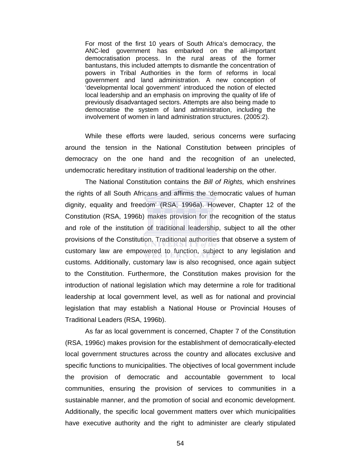For most of the first 10 years of South Africa's democracy, the ANC-led government has embarked on the all-important democratisation process. In the rural areas of the former bantustans, this included attempts to dismantle the concentration of powers in Tribal Authorities in the form of reforms in local government and land administration. A new conception of 'developmental local government' introduced the notion of elected local leadership and an emphasis on improving the quality of life of previously disadvantaged sectors. Attempts are also being made to democratise the system of land administration, including the involvement of women in land administration structures. (2005:2).

 While these efforts were lauded, serious concerns were surfacing around the tension in the National Constitution between principles of democracy on the one hand and the recognition of an unelected, undemocratic hereditary institution of traditional leadership on the other.

The National Constitution contains the *Bill of Rights,* which enshrines the rights of all South Africans and affirms the 'democratic values of human dignity, equality and freedom' (RSA, 1996a). However, Chapter 12 of the Constitution (RSA, 1996b) makes provision for the recognition of the status and role of the institution of traditional leadership, subject to all the other provisions of the Constitution. Traditional authorities that observe a system of customary law are empowered to function, subject to any legislation and customs. Additionally, customary law is also recognised, once again subject to the Constitution. Furthermore, the Constitution makes provision for the introduction of national legislation which may determine a role for traditional leadership at local government level, as well as for national and provincial legislation that may establish a National House or Provincial Houses of Traditional Leaders (RSA, 1996b).

As far as local government is concerned, Chapter 7 of the Constitution (RSA, 1996c) makes provision for the establishment of democratically-elected local government structures across the country and allocates exclusive and specific functions to municipalities. The objectives of local government include the provision of democratic and accountable government to local communities, ensuring the provision of services to communities in a sustainable manner, and the promotion of social and economic development. Additionally, the specific local government matters over which municipalities have executive authority and the right to administer are clearly stipulated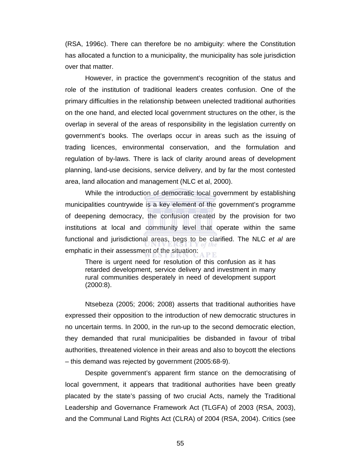(RSA, 1996c). There can therefore be no ambiguity: where the Constitution has allocated a function to a municipality, the municipality has sole jurisdiction over that matter.

However, in practice the government's recognition of the status and role of the institution of traditional leaders creates confusion. One of the primary difficulties in the relationship between unelected traditional authorities on the one hand, and elected local government structures on the other, is the overlap in several of the areas of responsibility in the legislation currently on government's books. The overlaps occur in areas such as the issuing of trading licences, environmental conservation, and the formulation and regulation of by-laws. There is lack of clarity around areas of development planning, land-use decisions, service delivery, and by far the most contested area, land allocation and management (NLC et al, 2000).

While the introduction of democratic local government by establishing municipalities countrywide is a key element of the government's programme of deepening democracy, the confusion created by the provision for two institutions at local and community level that operate within the same functional and jurisdictional areas, begs to be clarified. The NLC *et al* are emphatic in their assessment of the situation:

There is urgent need for resolution of this confusion as it has retarded development, service delivery and investment in many rural communities desperately in need of development support (2000:8).

 Ntsebeza (2005; 2006; 2008) asserts that traditional authorities have expressed their opposition to the introduction of new democratic structures in no uncertain terms. In 2000, in the run-up to the second democratic election, they demanded that rural municipalities be disbanded in favour of tribal authorities, threatened violence in their areas and also to boycott the elections – this demand was rejected by government (2005:68-9).

 Despite government's apparent firm stance on the democratising of local government, it appears that traditional authorities have been greatly placated by the state's passing of two crucial Acts, namely the Traditional Leadership and Governance Framework Act (TLGFA) of 2003 (RSA, 2003), and the Communal Land Rights Act (CLRA) of 2004 (RSA, 2004). Critics (see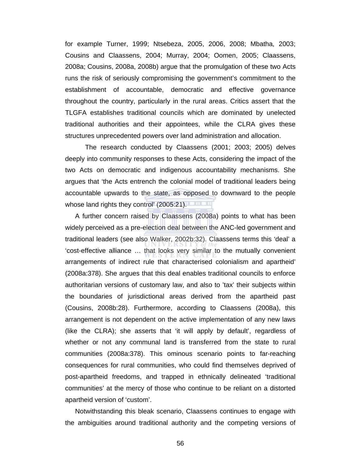for example Turner, 1999; Ntsebeza, 2005, 2006, 2008; Mbatha, 2003; Cousins and Claassens, 2004; Murray, 2004; Oomen, 2005; Claassens, 2008a; Cousins, 2008a, 2008b) argue that the promulgation of these two Acts runs the risk of seriously compromising the government's commitment to the establishment of accountable, democratic and effective governance throughout the country, particularly in the rural areas. Critics assert that the TLGFA establishes traditional councils which are dominated by unelected traditional authorities and their appointees, while the CLRA gives these structures unprecedented powers over land administration and allocation.

 The research conducted by Claassens (2001; 2003; 2005) delves deeply into community responses to these Acts, considering the impact of the two Acts on democratic and indigenous accountability mechanisms. She argues that 'the Acts entrench the colonial model of traditional leaders being accountable upwards to the state, as opposed to downward to the people whose land rights they control' (2005:21).

A further concern raised by Claassens (2008a) points to what has been widely perceived as a pre-election deal between the ANC-led government and traditional leaders (see also Walker, 2002b:32). Claassens terms this 'deal' a 'cost-effective alliance … that looks very similar to the mutually convenient arrangements of indirect rule that characterised colonialism and apartheid' (2008a:378). She argues that this deal enables traditional councils to enforce authoritarian versions of customary law, and also to 'tax' their subjects within the boundaries of jurisdictional areas derived from the apartheid past (Cousins, 2008b:28). Furthermore, according to Claassens (2008a), this arrangement is not dependent on the active implementation of any new laws (like the CLRA); she asserts that 'it will apply by default', regardless of whether or not any communal land is transferred from the state to rural communities (2008a:378). This ominous scenario points to far-reaching consequences for rural communities, who could find themselves deprived of post-apartheid freedoms, and trapped in ethnically delineated 'traditional communities' at the mercy of those who continue to be reliant on a distorted apartheid version of 'custom'.

Notwithstanding this bleak scenario, Claassens continues to engage with the ambiguities around traditional authority and the competing versions of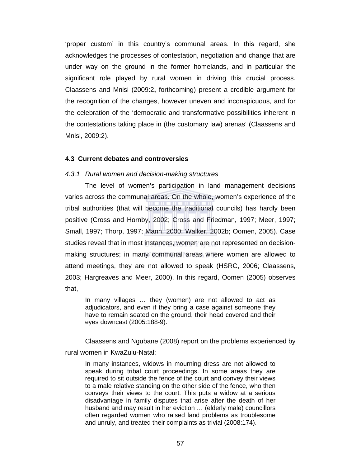'proper custom' in this country's communal areas. In this regard, she acknowledges the processes of contestation, negotiation and change that are under way on the ground in the former homelands, and in particular the significant role played by rural women in driving this crucial process. Claassens and Mnisi (2009:2**,** forthcoming) present a credible argument for the recognition of the changes, however uneven and inconspicuous, and for the celebration of the 'democratic and transformative possibilities inherent in the contestations taking place in (the customary law) arenas' (Claassens and Mnisi, 2009:2).

### **4.3 Current debates and controversies**

### *4.3.1 Rural women and decision-making structures*

The level of women's participation in land management decisions varies across the communal areas. On the whole, women's experience of the tribal authorities (that will become the traditional councils) has hardly been positive (Cross and Hornby, 2002; Cross and Friedman, 1997; Meer, 1997; Small, 1997; Thorp, 1997; Mann, 2000; Walker, 2002b; Oomen, 2005). Case studies reveal that in most instances, women are not represented on decisionmaking structures; in many communal areas where women are allowed to attend meetings, they are not allowed to speak (HSRC, 2006; Claassens, 2003; Hargreaves and Meer, 2000). In this regard, Oomen (2005) observes that,

In many villages … they (women) are not allowed to act as adjudicators, and even if they bring a case against someone they have to remain seated on the ground, their head covered and their eyes downcast (2005:188-9).

Claassens and Ngubane (2008) report on the problems experienced by rural women in KwaZulu-Natal:

In many instances, widows in mourning dress are not allowed to speak during tribal court proceedings. In some areas they are required to sit outside the fence of the court and convey their views to a male relative standing on the other side of the fence, who then conveys their views to the court. This puts a widow at a serious disadvantage in family disputes that arise after the death of her husband and may result in her eviction … (elderly male) councillors often regarded women who raised land problems as troublesome and unruly, and treated their complaints as trivial (2008:174).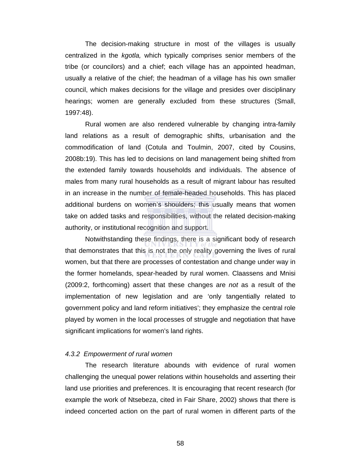The decision-making structure in most of the villages is usually centralized in the *kgotla,* which typically comprises senior members of the tribe (or councilors) and a chief; each village has an appointed headman, usually a relative of the chief; the headman of a village has his own smaller council, which makes decisions for the village and presides over disciplinary hearings; women are generally excluded from these structures (Small, 1997:48).

Rural women are also rendered vulnerable by changing intra-family land relations as a result of demographic shifts, urbanisation and the commodification of land (Cotula and Toulmin, 2007, cited by Cousins, 2008b:19). This has led to decisions on land management being shifted from the extended family towards households and individuals. The absence of males from many rural households as a result of migrant labour has resulted in an increase in the number of female-headed households. This has placed additional burdens on women's shoulders; this usually means that women take on added tasks and responsibilities, without the related decision-making authority, or institutional recognition and support.

 Notwithstanding these findings, there is a significant body of research that demonstrates that this is not the only reality governing the lives of rural women, but that there are processes of contestation and change under way in the former homelands, spear-headed by rural women. Claassens and Mnisi (2009:2, forthcoming) assert that these changes are *not* as a result of the implementation of new legislation and are 'only tangentially related to government policy and land reform initiatives'; they emphasize the central role played by women in the local processes of struggle and negotiation that have significant implications for women's land rights.

#### *4.3.2 Empowerment of rural women*

The research literature abounds with evidence of rural women challenging the unequal power relations within households and asserting their land use priorities and preferences. It is encouraging that recent research (for example the work of Ntsebeza, cited in Fair Share, 2002) shows that there is indeed concerted action on the part of rural women in different parts of the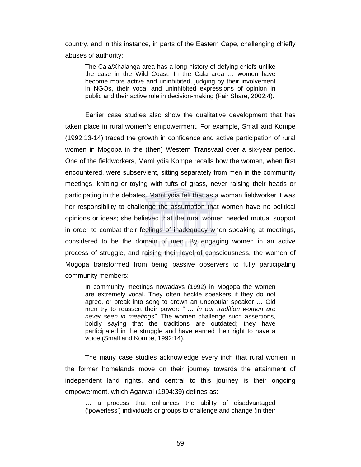country, and in this instance, in parts of the Eastern Cape, challenging chiefly abuses of authority:

The Cala/Xhalanga area has a long history of defying chiefs unlike the case in the Wild Coast. In the Cala area … women have become more active and uninhibited, judging by their involvement in NGOs, their vocal and uninhibited expressions of opinion in public and their active role in decision-making (Fair Share, 2002:4).

Earlier case studies also show the qualitative development that has taken place in rural women's empowerment. For example, Small and Kompe (1992:13-14) traced the growth in confidence and active participation of rural women in Mogopa in the (then) Western Transvaal over a six-year period. One of the fieldworkers, MamLydia Kompe recalls how the women, when first encountered, were subservient, sitting separately from men in the community meetings, knitting or toying with tufts of grass, never raising their heads or participating in the debates. MamLydia felt that as a woman fieldworker it was her responsibility to challenge the assumption that women have no political opinions or ideas; she believed that the rural women needed mutual support in order to combat their feelings of inadequacy when speaking at meetings, considered to be the domain of men. By engaging women in an active process of struggle, and raising their level of consciousness, the women of Mogopa transformed from being passive observers to fully participating community members:

In community meetings nowadays (1992) in Mogopa the women are extremely vocal. They often heckle speakers if they do not agree, or break into song to drown an unpopular speaker … Old men try to reassert their power: *" … in our tradition women are never seen in meetings"*. The women challenge such assertions, boldly saying that the traditions are outdated; they have participated in the struggle and have earned their right to have a voice (Small and Kompe, 1992:14).

The many case studies acknowledge every inch that rural women in the former homelands move on their journey towards the attainment of independent land rights, and central to this journey is their ongoing empowerment, which Agarwal (1994:39) defines as:

… a process that enhances the ability of disadvantaged ('powerless') individuals or groups to challenge and change (in their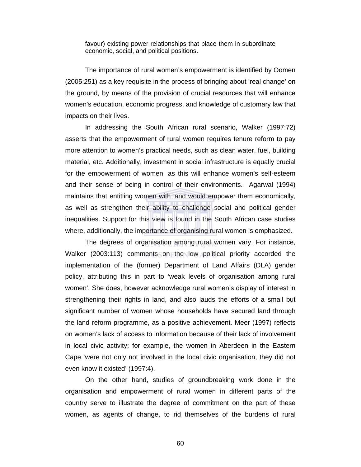favour) existing power relationships that place them in subordinate economic, social, and political positions.

The importance of rural women's empowerment is identified by Oomen (2005:251) as a key requisite in the process of bringing about 'real change' on the ground, by means of the provision of crucial resources that will enhance women's education, economic progress, and knowledge of customary law that impacts on their lives.

In addressing the South African rural scenario, Walker (1997:72) asserts that the empowerment of rural women requires tenure reform to pay more attention to women's practical needs, such as clean water, fuel, building material, etc. Additionally, investment in social infrastructure is equally crucial for the empowerment of women, as this will enhance women's self-esteem and their sense of being in control of their environments. Agarwal (1994) maintains that entitling women with land would empower them economically, as well as strengthen their ability to challenge social and political gender inequalities. Support for this view is found in the South African case studies where, additionally, the importance of organising rural women is emphasized.

The degrees of organisation among rural women vary. For instance, Walker (2003:113) comments on the low political priority accorded the implementation of the (former) Department of Land Affairs (DLA) gender policy, attributing this in part to 'weak levels of organisation among rural women'. She does, however acknowledge rural women's display of interest in strengthening their rights in land, and also lauds the efforts of a small but significant number of women whose households have secured land through the land reform programme, as a positive achievement. Meer (1997) reflects on women's lack of access to information because of their lack of involvement in local civic activity; for example, the women in Aberdeen in the Eastern Cape 'were not only not involved in the local civic organisation, they did not even know it existed' (1997:4).

On the other hand, studies of groundbreaking work done in the organisation and empowerment of rural women in different parts of the country serve to illustrate the degree of commitment on the part of these women, as agents of change, to rid themselves of the burdens of rural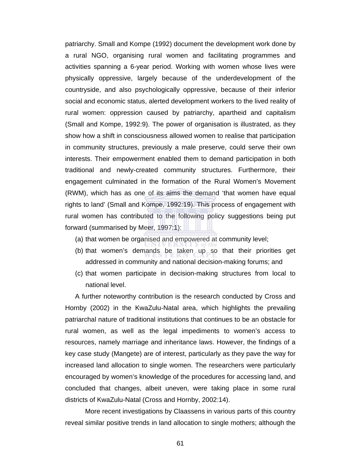patriarchy. Small and Kompe (1992) document the development work done by a rural NGO, organising rural women and facilitating programmes and activities spanning a 6-year period. Working with women whose lives were physically oppressive, largely because of the underdevelopment of the countryside, and also psychologically oppressive, because of their inferior social and economic status, alerted development workers to the lived reality of rural women: oppression caused by patriarchy, apartheid and capitalism (Small and Kompe, 1992:9). The power of organisation is illustrated, as they show how a shift in consciousness allowed women to realise that participation in community structures, previously a male preserve, could serve their own interests. Their empowerment enabled them to demand participation in both traditional and newly-created community structures. Furthermore, their engagement culminated in the formation of the Rural Women's Movement (RWM), which has as one of its aims the demand 'that women have equal rights to land' (Small and Kompe, 1992:19). This process of engagement with rural women has contributed to the following policy suggestions being put forward (summarised by Meer, 1997:1):

- (a) that women be organised and empowered at community level;
- (b) that women's demands be taken up so that their priorities get addressed in community and national decision-making forums; and
- (c) that women participate in decision-making structures from local to national level.

A further noteworthy contribution is the research conducted by Cross and Hornby (2002) in the KwaZulu-Natal area, which highlights the prevailing patriarchal nature of traditional institutions that continues to be an obstacle for rural women, as well as the legal impediments to women's access to resources, namely marriage and inheritance laws. However, the findings of a key case study (Mangete) are of interest, particularly as they pave the way for increased land allocation to single women. The researchers were particularly encouraged by women's knowledge of the procedures for accessing land, and concluded that changes, albeit uneven, were taking place in some rural districts of KwaZulu-Natal (Cross and Hornby, 2002:14).

 More recent investigations by Claassens in various parts of this country reveal similar positive trends in land allocation to single mothers; although the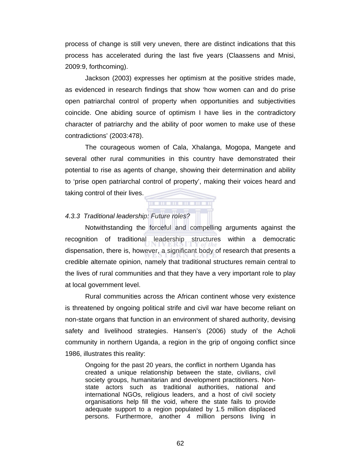process of change is still very uneven, there are distinct indications that this process has accelerated during the last five years (Claassens and Mnisi, 2009:9, forthcoming).

Jackson (2003) expresses her optimism at the positive strides made, as evidenced in research findings that show 'how women can and do prise open patriarchal control of property when opportunities and subjectivities coincide. One abiding source of optimism I have lies in the contradictory character of patriarchy and the ability of poor women to make use of these contradictions' (2003:478).

The courageous women of Cala, Xhalanga, Mogopa, Mangete and several other rural communities in this country have demonstrated their potential to rise as agents of change, showing their determination and ability to 'prise open patriarchal control of property', making their voices heard and taking control of their lives.

. . . . . . . . . . .

## *4.3.3 Traditional leadership: Future roles?*

Notwithstanding the forceful and compelling arguments against the recognition of traditional leadership structures within a democratic dispensation, there is, however, a significant body of research that presents a credible alternate opinion, namely that traditional structures remain central to the lives of rural communities and that they have a very important role to play at local government level.

Rural communities across the African continent whose very existence is threatened by ongoing political strife and civil war have become reliant on non-state organs that function in an environment of shared authority, devising safety and livelihood strategies. Hansen's (2006) study of the Acholi community in northern Uganda, a region in the grip of ongoing conflict since 1986, illustrates this reality:

Ongoing for the past 20 years, the conflict in northern Uganda has created a unique relationship between the state, civilians, civil society groups, humanitarian and development practitioners. Nonstate actors such as traditional authorities, national and international NGOs, religious leaders, and a host of civil society organisations help fill the void, where the state fails to provide adequate support to a region populated by 1.5 million displaced persons. Furthermore, another 4 million persons living in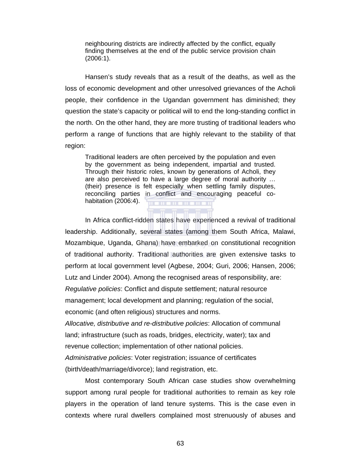neighbouring districts are indirectly affected by the conflict, equally finding themselves at the end of the public service provision chain (2006:1).

Hansen's study reveals that as a result of the deaths, as well as the loss of economic development and other unresolved grievances of the Acholi people, their confidence in the Ugandan government has diminished; they question the state's capacity or political will to end the long-standing conflict in the north. On the other hand, they are more trusting of traditional leaders who perform a range of functions that are highly relevant to the stability of that region:

Traditional leaders are often perceived by the population and even by the government as being independent, impartial and trusted. Through their historic roles, known by generations of Acholi, they are also perceived to have a large degree of moral authority … (their) presence is felt especially when settling family disputes, reconciling parties in conflict and encouraging peaceful cohabitation (2006:4).  $\mathbf{u}$  . The set of  $\mathbf{u}$ 

In Africa conflict-ridden states have experienced a revival of traditional leadership. Additionally, several states (among them South Africa, Malawi, Mozambique, Uganda, Ghana) have embarked on constitutional recognition of traditional authority. Traditional authorities are given extensive tasks to perform at local government level (Agbese, 2004; Guri, 2006; Hansen, 2006; Lutz and Linder 2004). Among the recognised areas of responsibility, are: *Regulative policies*: Conflict and dispute settlement; natural resource management; local development and planning; regulation of the social, economic (and often religious) structures and norms.

*Allocative, distributive and re-distributive policies*: Allocation of communal land; infrastructure (such as roads, bridges, electricity, water); tax and revenue collection; implementation of other national policies. *Administrative policies*: Voter registration; issuance of certificates (birth/death/marriage/divorce); land registration, etc.

Most contemporary South African case studies show overwhelming support among rural people for traditional authorities to remain as key role players in the operation of land tenure systems. This is the case even in contexts where rural dwellers complained most strenuously of abuses and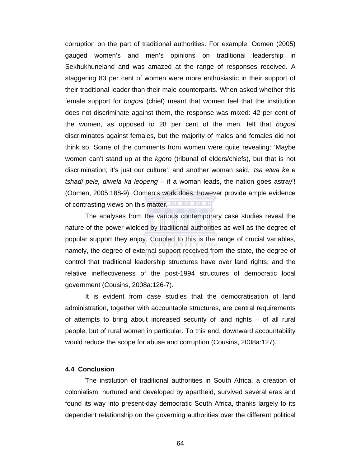corruption on the part of traditional authorities. For example, Oomen (2005) gauged women's and men's opinions on traditional leadership in Sekhukhuneland and was amazed at the range of responses received. A staggering 83 per cent of women were more enthusiastic in their support of their traditional leader than their male counterparts. When asked whether this female support for *bogosi* (chief) meant that women feel that the institution does not discriminate against them, the response was mixed: 42 per cent of the women, as opposed to 28 per cent of the men, felt that *bogosi* discriminates against females, but the majority of males and females did not think so. Some of the comments from women were quite revealing: 'Maybe women can't stand up at the *kgoro* (tribunal of elders/chiefs), but that is not discrimination; it's just our culture', and another woman said, '*tsa etwa ke e tshadi pele, diwela ka leopeng* – if a woman leads, the nation goes astray'! (Oomen, 2005:188-9). Oomen's work does, however provide ample evidence of contrasting views on this matter.

The analyses from the various contemporary case studies reveal the nature of the power wielded by traditional authorities as well as the degree of popular support they enjoy. Coupled to this is the range of crucial variables, namely, the degree of external support received from the state, the degree of control that traditional leadership structures have over land rights, and the relative ineffectiveness of the post-1994 structures of democratic local government (Cousins, 2008a:126-7).

It is evident from case studies that the democratisation of land administration, together with accountable structures, are central requirements of attempts to bring about increased security of land rights – of all rural people, but of rural women in particular. To this end, downward accountability would reduce the scope for abuse and corruption (Cousins, 2008a:127).

## **4.4 Conclusion**

The institution of traditional authorities in South Africa, a creation of colonialism, nurtured and developed by apartheid, survived several eras and found its way into present-day democratic South Africa, thanks largely to its dependent relationship on the governing authorities over the different political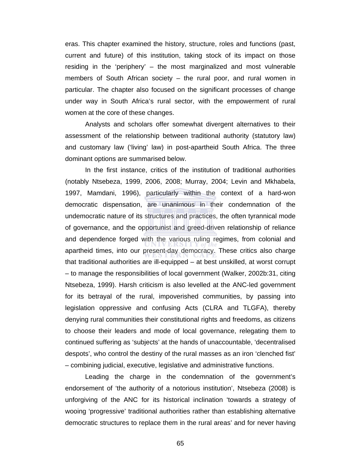eras. This chapter examined the history, structure, roles and functions (past, current and future) of this institution, taking stock of its impact on those residing in the 'periphery' – the most marginalized and most vulnerable members of South African society – the rural poor, and rural women in particular. The chapter also focused on the significant processes of change under way in South Africa's rural sector, with the empowerment of rural women at the core of these changes.

Analysts and scholars offer somewhat divergent alternatives to their assessment of the relationship between traditional authority (statutory law) and customary law ('living' law) in post-apartheid South Africa. The three dominant options are summarised below.

In the first instance, critics of the institution of traditional authorities (notably Ntsebeza, 1999, 2006, 2008; Murray, 2004; Levin and Mkhabela, 1997, Mamdani, 1996), particularly within the context of a hard-won democratic dispensation, are unanimous in their condemnation of the undemocratic nature of its structures and practices, the often tyrannical mode of governance, and the opportunist and greed-driven relationship of reliance and dependence forged with the various ruling regimes, from colonial and apartheid times, into our present-day democracy. These critics also charge that traditional authorities are ill-equipped – at best unskilled, at worst corrupt – to manage the responsibilities of local government (Walker, 2002b:31, citing Ntsebeza, 1999). Harsh criticism is also levelled at the ANC-led government for its betrayal of the rural, impoverished communities, by passing into legislation oppressive and confusing Acts (CLRA and TLGFA), thereby denying rural communities their constitutional rights and freedoms, as citizens to choose their leaders and mode of local governance, relegating them to continued suffering as 'subjects' at the hands of unaccountable, 'decentralised despots', who control the destiny of the rural masses as an iron 'clenched fist' – combining judicial, executive, legislative and administrative functions.

Leading the charge in the condemnation of the government's endorsement of 'the authority of a notorious institution', Ntsebeza (2008) is unforgiving of the ANC for its historical inclination 'towards a strategy of wooing 'progressive' traditional authorities rather than establishing alternative democratic structures to replace them in the rural areas' and for never having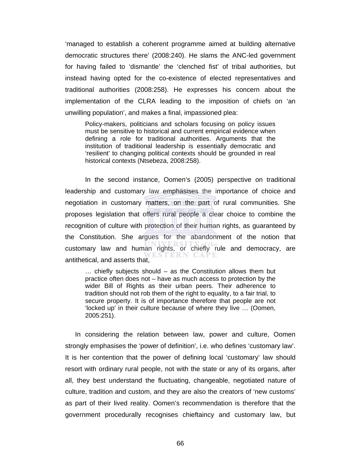'managed to establish a coherent programme aimed at building alternative democratic structures there' (2008:240). He slams the ANC-led government for having failed to 'dismantle' the 'clenched fist' of tribal authorities, but instead having opted for the co-existence of elected representatives and traditional authorities (2008:258). He expresses his concern about the implementation of the CLRA leading to the imposition of chiefs on 'an unwilling population', and makes a final, impassioned plea:

Policy-makers, politicians and scholars focusing on policy issues must be sensitive to historical and current empirical evidence when defining a role for traditional authorities. Arguments that the institution of traditional leadership is essentially democratic and 'resilient' to changing political contexts should be grounded in real historical contexts (Ntsebeza, 2008:258).

 In the second instance, Oomen's (2005) perspective on traditional leadership and customary law emphasises the importance of choice and negotiation in customary matters, on the part of rural communities. She proposes legislation that offers rural people a clear choice to combine the recognition of culture with protection of their human rights, as guaranteed by the Constitution. She argues for the abandonment of the notion that customary law and human rights, or chiefly rule and democracy, are antithetical, and asserts that,

… chiefly subjects should – as the Constitution allows them but practice often does not – have as much access to protection by the wider Bill of Rights as their urban peers. Their adherence to tradition should not rob them of the right to equality, to a fair trial, to secure property. It is of importance therefore that people are not 'locked up' in their culture because of where they live … (Oomen, 2005:251).

In considering the relation between law, power and culture, Oomen strongly emphasises the 'power of definition', i.e. who defines 'customary law'. It is her contention that the power of defining local 'customary' law should resort with ordinary rural people, not with the state or any of its organs, after all, they best understand the fluctuating, changeable, negotiated nature of culture, tradition and custom, and they are also the creators of 'new customs' as part of their lived reality. Oomen's recommendation is therefore that the government procedurally recognises chieftaincy and customary law, but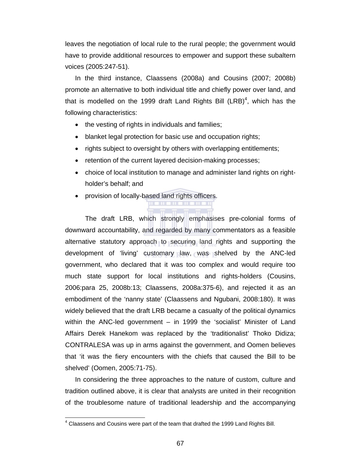leaves the negotiation of local rule to the rural people; the government would have to provide additional resources to empower and support these subaltern voices (2005:247-51).

In the third instance, Claassens (2008a) and Cousins (2007; 2008b) promote an alternative to both individual title and chiefly power over land, and that is modelled on the 1999 draft Land Rights Bill  $(LRB)^4$ , which has the following characteristics:

- the vesting of rights in individuals and families;
- blanket legal protection for basic use and occupation rights;
- rights subject to oversight by others with overlapping entitlements;
- retention of the current layered decision-making processes;
- choice of local institution to manage and administer land rights on rightholder's behalf; and

**THE REPORT OF LARGE 1999** 

• provision of locally-based land rights officers.

The draft LRB, which strongly emphasises pre-colonial forms of downward accountability, and regarded by many commentators as a feasible alternative statutory approach to securing land rights and supporting the development of 'living' customary law, was shelved by the ANC-led government, who declared that it was too complex and would require too much state support for local institutions and rights-holders (Cousins, 2006:para 25, 2008b:13; Claassens, 2008a:375-6), and rejected it as an embodiment of the 'nanny state' (Claassens and Ngubani, 2008:180). It was widely believed that the draft LRB became a casualty of the political dynamics within the ANC-led government – in 1999 the 'socialist' Minister of Land Affairs Derek Hanekom was replaced by the 'traditionalist' Thoko Didiza; CONTRALESA was up in arms against the government, and Oomen believes that 'it was the fiery encounters with the chiefs that caused the Bill to be shelved' (Oomen, 2005:71-75).

In considering the three approaches to the nature of custom, culture and tradition outlined above, it is clear that analysts are united in their recognition of the troublesome nature of traditional leadership and the accompanying

 4 Claassens and Cousins were part of the team that drafted the 1999 Land Rights Bill.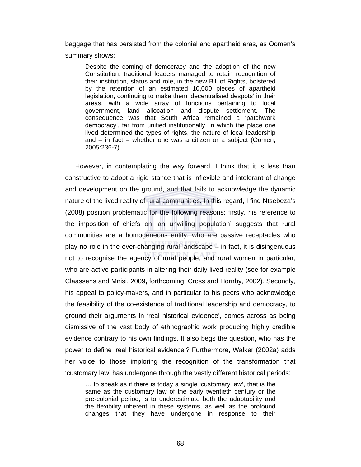baggage that has persisted from the colonial and apartheid eras, as Oomen's summary shows:

Despite the coming of democracy and the adoption of the new Constitution, traditional leaders managed to retain recognition of their institution, status and role, in the new Bill of Rights, bolstered by the retention of an estimated 10,000 pieces of apartheid legislation, continuing to make them 'decentralised despots' in their areas, with a wide array of functions pertaining to local government, land allocation and dispute settlement. The consequence was that South Africa remained a 'patchwork democracy', far from unified institutionally, in which the place one lived determined the types of rights, the nature of local leadership and – in fact – whether one was a citizen or a subject (Oomen, 2005:236-7).

However, in contemplating the way forward, I think that it is less than constructive to adopt a rigid stance that is inflexible and intolerant of change and development on the ground, and that fails to acknowledge the dynamic nature of the lived reality of rural communities. In this regard, I find Ntsebeza's (2008) position problematic for the following reasons: firstly, his reference to the imposition of chiefs on 'an unwilling population' suggests that rural communities are a homogeneous entity, who are passive receptacles who play no role in the ever-changing rural landscape – in fact, it is disingenuous not to recognise the agency of rural people, and rural women in particular, who are active participants in altering their daily lived reality (see for example Claassens and Mnisi, 2009**,** forthcoming; Cross and Hornby, 2002). Secondly, his appeal to policy-makers, and in particular to his peers who acknowledge the feasibility of the co-existence of traditional leadership and democracy, to ground their arguments in 'real historical evidence', comes across as being dismissive of the vast body of ethnographic work producing highly credible evidence contrary to his own findings. It also begs the question, who has the power to define 'real historical evidence'? Furthermore, Walker (2002a) adds her voice to those imploring the recognition of the transformation that 'customary law' has undergone through the vastly different historical periods:

… to speak as if there is today a single 'customary law', that is the same as the customary law of the early twentieth century or the pre-colonial period, is to underestimate both the adaptability and the flexibility inherent in these systems, as well as the profound changes that they have undergone in response to their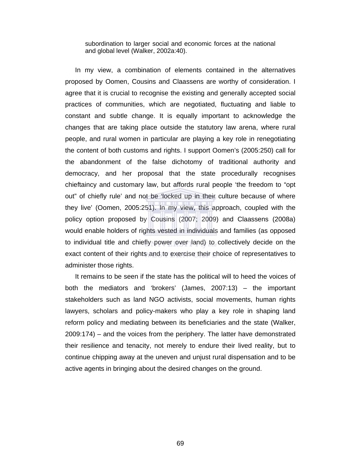subordination to larger social and economic forces at the national and global level (Walker, 2002a:40).

In my view, a combination of elements contained in the alternatives proposed by Oomen, Cousins and Claassens are worthy of consideration. I agree that it is crucial to recognise the existing and generally accepted social practices of communities, which are negotiated, fluctuating and liable to constant and subtle change. It is equally important to acknowledge the changes that are taking place outside the statutory law arena, where rural people, and rural women in particular are playing a key role in renegotiating the content of both customs and rights. I support Oomen's (2005:250) call for the abandonment of the false dichotomy of traditional authority and democracy, and her proposal that the state procedurally recognises chieftaincy and customary law, but affords rural people 'the freedom to "opt out" of chiefly rule' and not be 'locked up in their culture because of where they live' (Oomen, 2005:251). In my view, this approach, coupled with the policy option proposed by Cousins (2007; 2009) and Claassens (2008a) would enable holders of rights vested in individuals and families (as opposed to individual title and chiefly power over land) to collectively decide on the exact content of their rights and to exercise their choice of representatives to administer those rights.

It remains to be seen if the state has the political will to heed the voices of both the mediators and 'brokers' (James, 2007:13) – the important stakeholders such as land NGO activists, social movements, human rights lawyers, scholars and policy-makers who play a key role in shaping land reform policy and mediating between its beneficiaries and the state (Walker, 2009:174) – and the voices from the periphery. The latter have demonstrated their resilience and tenacity, not merely to endure their lived reality, but to continue chipping away at the uneven and unjust rural dispensation and to be active agents in bringing about the desired changes on the ground.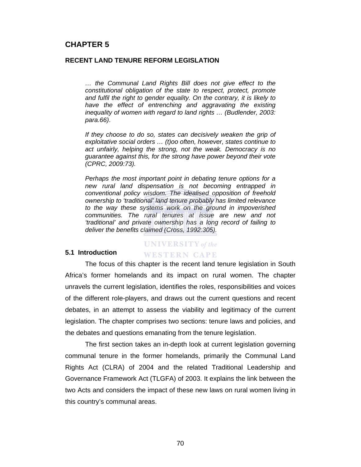# **CHAPTER 5**

## **RECENT LAND TENURE REFORM LEGISLATION**

*… the Communal Land Rights Bill does not give effect to the constitutional obligation of the state to respect, protect, promote*  and fulfil the right to gender equality. On the contrary, it is likely to have the effect of entrenching and aggravating the existing *inequality of women with regard to land rights … (Budlender, 2003: para.66)*.

*If they choose to do so, states can decisively weaken the grip of exploitative social orders … (t)oo often, however, states continue to act unfairly, helping the strong, not the weak. Democracy is no guarantee against this, for the strong have power beyond their vote (CPRC, 2009:73).* 

*Perhaps the most important point in debating tenure options for a new rural land dispensation is not becoming entrapped in conventional policy wisdom. The idealised opposition of freehold ownership to 'traditional' land tenure probably has limited relevance to the way these systems work on the ground in impoverished communities. The rural tenures at issue are new and not 'traditional' and private ownership has a long record of failing to deliver the benefits claimed (Cross, 1992:305).* 

#### **5.1 Introduction**

# **UNIVERSITY** of the **WESTERN CAPE**

The focus of this chapter is the recent land tenure legislation in South Africa's former homelands and its impact on rural women. The chapter unravels the current legislation, identifies the roles, responsibilities and voices of the different role-players, and draws out the current questions and recent debates, in an attempt to assess the viability and legitimacy of the current legislation. The chapter comprises two sections: tenure laws and policies, and the debates and questions emanating from the tenure legislation.

The first section takes an in-depth look at current legislation governing communal tenure in the former homelands, primarily the Communal Land Rights Act (CLRA) of 2004 and the related Traditional Leadership and Governance Framework Act (TLGFA) of 2003. It explains the link between the two Acts and considers the impact of these new laws on rural women living in this country's communal areas.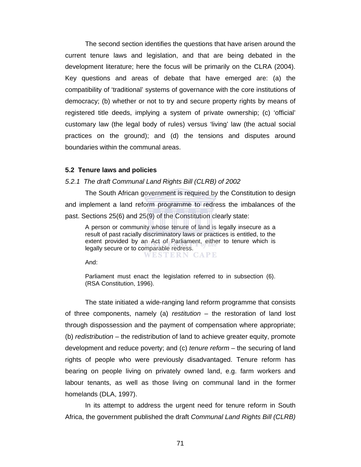The second section identifies the questions that have arisen around the current tenure laws and legislation, and that are being debated in the development literature; here the focus will be primarily on the CLRA (2004). Key questions and areas of debate that have emerged are: (a) the compatibility of 'traditional' systems of governance with the core institutions of democracy; (b) whether or not to try and secure property rights by means of registered title deeds, implying a system of private ownership; (c) 'official' customary law (the legal body of rules) versus 'living' law (the actual social practices on the ground); and (d) the tensions and disputes around boundaries within the communal areas.

## **5.2 Tenure laws and policies**

#### *5.2.1 The draft Communal Land Rights Bill (CLRB) of 2002*

The South African government is required by the Constitution to design and implement a land reform programme to redress the imbalances of the past. Sections 25(6) and 25(9) of the Constitution clearly state:

A person or community whose tenure of land is legally insecure as a result of past racially discriminatory laws or practices is entitled, to the extent provided by an Act of Parliament, either to tenure which is legally secure or to comparable redress. WESTERN CAPE

And:

Parliament must enact the legislation referred to in subsection (6). (RSA Constitution, 1996).

The state initiated a wide-ranging land reform programme that consists of three components, namely (a) *restitution* – the restoration of land lost through dispossession and the payment of compensation where appropriate; (b) *redistribution* – the redistribution of land to achieve greater equity, promote development and reduce poverty; and (c) *tenure reform* – the securing of land rights of people who were previously disadvantaged. Tenure reform has bearing on people living on privately owned land, e.g. farm workers and labour tenants, as well as those living on communal land in the former homelands (DLA, 1997).

In its attempt to address the urgent need for tenure reform in South Africa, the government published the draft *Communal Land Rights Bill (CLRB)*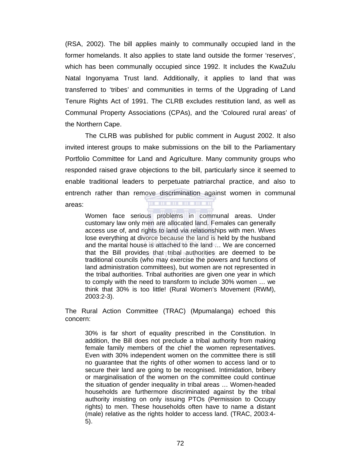(RSA, 2002). The bill applies mainly to communally occupied land in the former homelands. It also applies to state land outside the former 'reserves', which has been communally occupied since 1992. It includes the KwaZulu Natal Ingonyama Trust land. Additionally, it applies to land that was transferred to 'tribes' and communities in terms of the Upgrading of Land Tenure Rights Act of 1991. The CLRB excludes restitution land, as well as Communal Property Associations (CPAs), and the 'Coloured rural areas' of the Northern Cape.

The CLRB was published for public comment in August 2002. It also invited interest groups to make submissions on the bill to the Parliamentary Portfolio Committee for Land and Agriculture. Many community groups who responded raised grave objections to the bill, particularly since it seemed to enable traditional leaders to perpetuate patriarchal practice, and also to entrench rather than remove discrimination against women in communal areas:

Women face serious problems in communal areas. Under customary law only men are allocated land. Females can generally access use of, and rights to land via relationships with men. Wives lose everything at divorce because the land is held by the husband and the marital house is attached to the land … We are concerned that the Bill provides that tribal authorities are deemed to be traditional councils (who may exercise the powers and functions of land administration committees), but women are not represented in the tribal authorities. Tribal authorities are given one year in which to comply with the need to transform to include 30% women … we think that 30% is too little! (Rural Women's Movement (RWM), 2003:2-3).

The Rural Action Committee (TRAC) (Mpumalanga) echoed this concern:

30% is far short of equality prescribed in the Constitution. In addition, the Bill does not preclude a tribal authority from making female family members of the chief the women representatives. Even with 30% independent women on the committee there is still no guarantee that the rights of other women to access land or to secure their land are going to be recognised. Intimidation, bribery or marginalisation of the women on the committee could continue the situation of gender inequality in tribal areas … Women-headed households are furthermore discriminated against by the tribal authority insisting on only issuing PTOs (Permission to Occupy rights) to men. These households often have to name a distant (male) relative as the rights holder to access land. (TRAC, 2003:4- 5).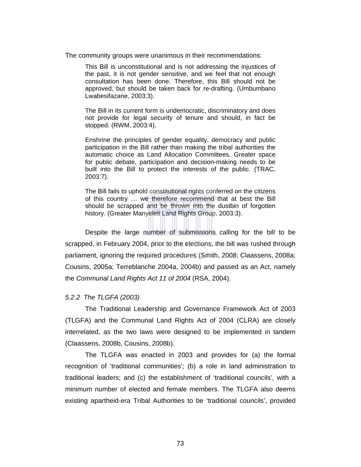The community groups were unanimous in their recommendations:

This Bill is unconstitutional and is not addressing the injustices of the past, it is not gender sensitive, and we feel that not enough consultation has been done. Therefore, this Bill should not be approved, but should be taken back for re-drafting. (Umbumbano Lwabesifazane, 2003:3).

The Bill in its current form is undemocratic, discriminatory and does not provide for legal security of tenure and should, in fact be stopped. (RWM, 2003:4).

Enshrine the principles of gender equality, democracy and public participation in the Bill rather than making the tribal authorities the automatic choice as Land Allocation Committees. Greater space for public debate, participation and decision-making needs to be built into the Bill to protect the interests of the public. (TRAC, 2003:7).

The Bill fails to uphold constitutional rights conferred on the citizens of this country … we therefore recommend that at best the Bill should be scrapped and be thrown into the dustbin of forgotten history. (Greater Manyeleti Land Rights Group, 2003:3).

Despite the large number of submissions calling for the bill to be scrapped, in February 2004, prior to the elections, the bill was rushed through parliament, ignoring the required procedures (Smith, 2008; Claassens, 2008a; Cousins, 2005a; Terreblanche 2004a, 2004b) and passed as an Act, namely the *Communal Land Rights Act 11 of 2004* (RSA, 2004).

## *5.2.2 The TLGFA (2003)*

The Traditional Leadership and Governance Framework Act of 2003 (TLGFA) and the Communal Land Rights Act of 2004 (CLRA) are closely interrelated, as the two laws were designed to be implemented in tandem (Claassens, 2008b, Cousins, 2008b).

The TLGFA was enacted in 2003 and provides for (a) the formal recognition of 'traditional communities'; (b) a role in land administration to traditional leaders; and (c) the establishment of 'traditional councils', with a minimum number of elected and female members. The TLGFA also deems existing apartheid-era Tribal Authorities to be 'traditional councils', provided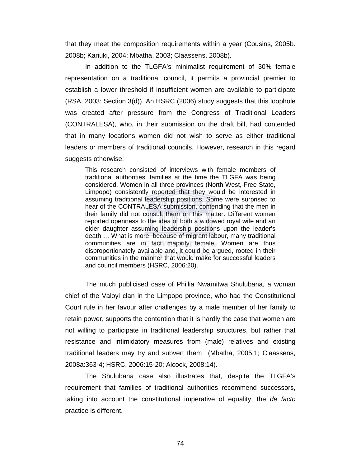that they meet the composition requirements within a year (Cousins, 2005b. 2008b; Kariuki, 2004; Mbatha, 2003; Claassens, 2008b).

In addition to the TLGFA's minimalist requirement of 30% female representation on a traditional council, it permits a provincial premier to establish a lower threshold if insufficient women are available to participate (RSA, 2003: Section 3(d)). An HSRC (2006) study suggests that this loophole was created after pressure from the Congress of Traditional Leaders (CONTRALESA), who, in their submission on the draft bill, had contended that in many locations women did not wish to serve as either traditional leaders or members of traditional councils. However, research in this regard suggests otherwise:

This research consisted of interviews with female members of traditional authorities' families at the time the TLGFA was being considered. Women in all three provinces (North West, Free State, Limpopo) consistently reported that they would be interested in assuming traditional leadership positions. Some were surprised to hear of the CONTRALESA submission, contending that the men in their family did not consult them on this matter. Different women reported openness to the idea of both a widowed royal wife and an elder daughter assuming leadership positions upon the leader's death … What is more, because of migrant labour, many traditional communities are in fact majority female. Women are thus disproportionately available and, it could be argued, rooted in their communities in the manner that would make for successful leaders and council members (HSRC, 2006:20).

The much publicised case of Phillia Nwamitwa Shulubana, a woman chief of the Valoyi clan in the Limpopo province, who had the Constitutional Court rule in her favour after challenges by a male member of her family to retain power, supports the contention that it is hardly the case that women are not willing to participate in traditional leadership structures, but rather that resistance and intimidatory measures from (male) relatives and existing traditional leaders may try and subvert them (Mbatha, 2005:1; Claassens, 2008a:363-4; HSRC, 2006:15-20; Alcock, 2008:14).

The Shulubana case also illustrates that, despite the TLGFA's requirement that families of traditional authorities recommend successors, taking into account the constitutional imperative of equality, the *de facto*  practice is different.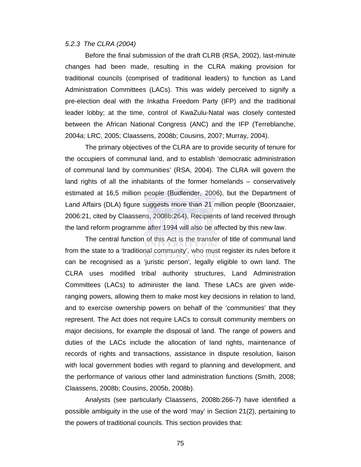#### *5.2.3 The CLRA (2004)*

Before the final submission of the draft CLRB (RSA, 2002), last-minute changes had been made, resulting in the CLRA making provision for traditional councils (comprised of traditional leaders) to function as Land Administration Committees (LACs). This was widely perceived to signify a pre-election deal with the Inkatha Freedom Party (IFP) and the traditional leader lobby; at the time, control of KwaZulu-Natal was closely contested between the African National Congress (ANC) and the IFP (Terreblanche, 2004a; LRC, 2005; Claassens, 2008b; Cousins, 2007; Murray, 2004).

The primary objectives of the CLRA are to provide security of tenure for the occupiers of communal land, and to establish 'democratic administration of communal land by communities' (RSA, 2004). The CLRA will govern the land rights of all the inhabitants of the former homelands – conservatively estimated at 16,5 million people (Budlender, 2006), but the Department of Land Affairs (DLA) figure suggests more than 21 million people (Boonzaaier, 2006:21, cited by Claassens, 2008b:264). Recipients of land received through the land reform programme after 1994 will also be affected by this new law.

The central function of this Act is the transfer of title of communal land from the state to a 'traditional community', who must register its rules before it can be recognised as a 'juristic person', legally eligible to own land. The CLRA uses modified tribal authority structures, Land Administration Committees (LACs) to administer the land. These LACs are given wideranging powers, allowing them to make most key decisions in relation to land, and to exercise ownership powers on behalf of the 'communities' that they represent. The Act does not require LACs to consult community members on major decisions, for example the disposal of land. The range of powers and duties of the LACs include the allocation of land rights, maintenance of records of rights and transactions, assistance in dispute resolution, liaison with local government bodies with regard to planning and development, and the performance of various other land administration functions (Smith, 2008; Claassens, 2008b; Cousins, 2005b, 2008b).

Analysts (see particularly Claassens, 2008b:266-7) have identified a possible ambiguity in the use of the word 'may' in Section 21(2), pertaining to the powers of traditional councils. This section provides that: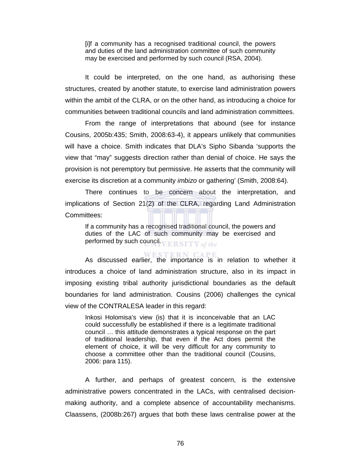[i]f a community has a recognised traditional council, the powers and duties of the land administration committee of such community may be exercised and performed by such council (RSA, 2004).

It could be interpreted, on the one hand, as authorising these structures, created by another statute, to exercise land administration powers within the ambit of the CLRA, or on the other hand, as introducing a choice for communities between traditional councils and land administration committees.

From the range of interpretations that abound (see for instance Cousins, 2005b:435; Smith, 2008:63-4), it appears unlikely that communities will have a choice. Smith indicates that DLA's Sipho Sibanda 'supports the view that "may" suggests direction rather than denial of choice. He says the provision is not peremptory but permissive. He asserts that the community will exercise its discretion at a community *imbizo* or gathering' (Smith, 2008:64).

There continues to be concern about the interpretation, and implications of Section 21(2) of the CLRA, regarding Land Administration Committees:

If a community has a recognised traditional council, the powers and duties of the LAC of such community may be exercised and performed by such council. VERSITY of the

As discussed earlier, the importance is in relation to whether it introduces a choice of land administration structure, also in its impact in imposing existing tribal authority jurisdictional boundaries as the default boundaries for land administration. Cousins (2006) challenges the cynical view of the CONTRALESA leader in this regard:

Inkosi Holomisa's view (is) that it is inconceivable that an LAC could successfully be established if there is a legitimate traditional council … this attitude demonstrates a typical response on the part of traditional leadership, that even if the Act does permit the element of choice, it will be very difficult for any community to choose a committee other than the traditional council (Cousins, 2006: para 115).

A further, and perhaps of greatest concern, is the extensive administrative powers concentrated in the LACs, with centralised decisionmaking authority, and a complete absence of accountability mechanisms. Claassens, (2008b:267) argues that both these laws centralise power at the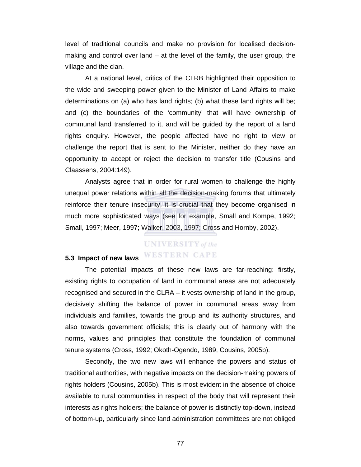level of traditional councils and make no provision for localised decisionmaking and control over land – at the level of the family, the user group, the village and the clan.

At a national level, critics of the CLRB highlighted their opposition to the wide and sweeping power given to the Minister of Land Affairs to make determinations on (a) who has land rights; (b) what these land rights will be; and (c) the boundaries of the 'community' that will have ownership of communal land transferred to it, and will be guided by the report of a land rights enquiry. However, the people affected have no right to view or challenge the report that is sent to the Minister, neither do they have an opportunity to accept or reject the decision to transfer title (Cousins and Claassens, 2004:149).

Analysts agree that in order for rural women to challenge the highly unequal power relations within all the decision-making forums that ultimately reinforce their tenure insecurity, it is crucial that they become organised in much more sophisticated ways (see for example, Small and Kompe, 1992; Small, 1997; Meer, 1997; Walker, 2003, 1997; Cross and Hornby, 2002).

# **UNIVERSITY** of the **WESTERN CAPE**

## **5.3 Impact of new laws**

The potential impacts of these new laws are far-reaching: firstly, existing rights to occupation of land in communal areas are not adequately recognised and secured in the CLRA – it vests ownership of land in the group, decisively shifting the balance of power in communal areas away from individuals and families, towards the group and its authority structures, and also towards government officials; this is clearly out of harmony with the norms, values and principles that constitute the foundation of communal tenure systems (Cross, 1992; Okoth-Ogendo, 1989, Cousins, 2005b).

Secondly, the two new laws will enhance the powers and status of traditional authorities, with negative impacts on the decision-making powers of rights holders (Cousins, 2005b). This is most evident in the absence of choice available to rural communities in respect of the body that will represent their interests as rights holders; the balance of power is distinctly top-down, instead of bottom-up, particularly since land administration committees are not obliged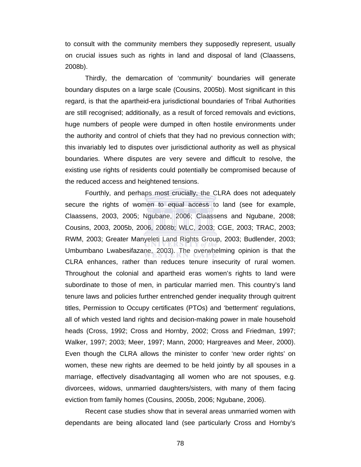to consult with the community members they supposedly represent, usually on crucial issues such as rights in land and disposal of land (Claassens, 2008b).

Thirdly, the demarcation of 'community' boundaries will generate boundary disputes on a large scale (Cousins, 2005b). Most significant in this regard, is that the apartheid-era jurisdictional boundaries of Tribal Authorities are still recognised; additionally, as a result of forced removals and evictions, huge numbers of people were dumped in often hostile environments under the authority and control of chiefs that they had no previous connection with; this invariably led to disputes over jurisdictional authority as well as physical boundaries. Where disputes are very severe and difficult to resolve, the existing use rights of residents could potentially be compromised because of the reduced access and heightened tensions.

Fourthly, and perhaps most crucially, the CLRA does not adequately secure the rights of women to equal access to land (see for example, Claassens, 2003, 2005; Ngubane, 2006; Claassens and Ngubane, 2008; Cousins, 2003, 2005b, 2006, 2008b; WLC, 2003; CGE, 2003; TRAC, 2003; RWM, 2003; Greater Manyeleti Land Rights Group, 2003; Budlender, 2003; Umbumbano Lwabesifazane, 2003). The overwhelming opinion is that the CLRA enhances, rather than reduces tenure insecurity of rural women. Throughout the colonial and apartheid eras women's rights to land were subordinate to those of men, in particular married men. This country's land tenure laws and policies further entrenched gender inequality through quitrent titles, Permission to Occupy certificates (PTOs) and 'betterment' regulations, all of which vested land rights and decision-making power in male household heads (Cross, 1992; Cross and Hornby, 2002; Cross and Friedman, 1997; Walker, 1997; 2003; Meer, 1997; Mann, 2000; Hargreaves and Meer, 2000). Even though the CLRA allows the minister to confer 'new order rights' on women, these new rights are deemed to be held jointly by all spouses in a marriage, effectively disadvantaging all women who are not spouses, e.g. divorcees, widows, unmarried daughters/sisters, with many of them facing eviction from family homes (Cousins, 2005b, 2006; Ngubane, 2006).

Recent case studies show that in several areas unmarried women with dependants are being allocated land (see particularly Cross and Hornby's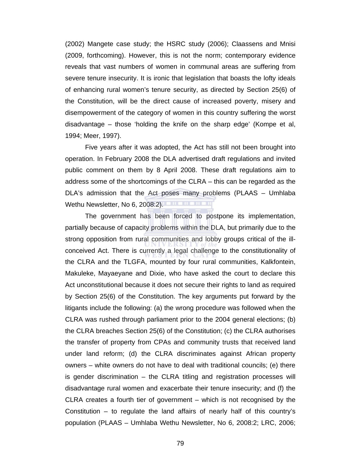(2002) Mangete case study; the HSRC study (2006); Claassens and Mnisi (2009, forthcoming). However, this is not the norm; contemporary evidence reveals that vast numbers of women in communal areas are suffering from severe tenure insecurity. It is ironic that legislation that boasts the lofty ideals of enhancing rural women's tenure security, as directed by Section 25(6) of the Constitution, will be the direct cause of increased poverty, misery and disempowerment of the category of women in this country suffering the worst disadvantage – those 'holding the knife on the sharp edge' (Kompe et al, 1994; Meer, 1997).

Five years after it was adopted, the Act has still not been brought into operation. In February 2008 the DLA advertised draft regulations and invited public comment on them by 8 April 2008. These draft regulations aim to address some of the shortcomings of the CLRA – this can be regarded as the DLA's admission that the Act poses many problems (PLAAS – Umhlaba Wethu Newsletter, No 6, 2008:2).

The government has been forced to postpone its implementation, partially because of capacity problems within the DLA, but primarily due to the strong opposition from rural communities and lobby groups critical of the illconceived Act. There is currently a legal challenge to the constitutionality of the CLRA and the TLGFA, mounted by four rural communities, Kalkfontein, Makuleke, Mayaeyane and Dixie, who have asked the court to declare this Act unconstitutional because it does not secure their rights to land as required by Section 25(6) of the Constitution. The key arguments put forward by the litigants include the following: (a) the wrong procedure was followed when the CLRA was rushed through parliament prior to the 2004 general elections; (b) the CLRA breaches Section 25(6) of the Constitution; (c) the CLRA authorises the transfer of property from CPAs and community trusts that received land under land reform; (d) the CLRA discriminates against African property owners – white owners do not have to deal with traditional councils; (e) there is gender discrimination – the CLRA titling and registration processes will disadvantage rural women and exacerbate their tenure insecurity; and (f) the CLRA creates a fourth tier of government – which is not recognised by the Constitution – to regulate the land affairs of nearly half of this country's population (PLAAS – Umhlaba Wethu Newsletter, No 6, 2008:2; LRC, 2006;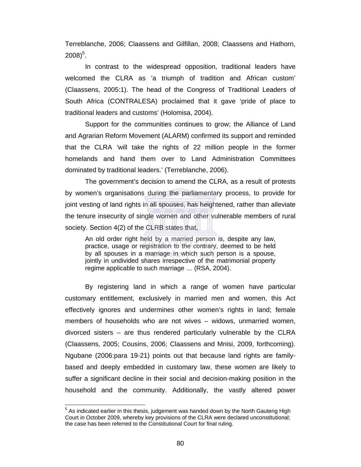Terreblanche, 2006; Claassens and Gilfillan, 2008; Claassens and Hathorn,  $2008)^5$ .

In contrast to the widespread opposition, traditional leaders have welcomed the CLRA as 'a triumph of tradition and African custom' (Claassens, 2005:1). The head of the Congress of Traditional Leaders of South Africa (CONTRALESA) proclaimed that it gave 'pride of place to traditional leaders and customs' (Holomisa, 2004).

Support for the communities continues to grow; the Alliance of Land and Agrarian Reform Movement (ALARM) confirmed its support and reminded that the CLRA 'will take the rights of 22 million people in the former homelands and hand them over to Land Administration Committees dominated by traditional leaders.' (Terreblanche, 2006).

The government's decision to amend the CLRA, as a result of protests by women's organisations during the parliamentary process, to provide for joint vesting of land rights in all spouses, has heightened, rather than alleviate the tenure insecurity of single women and other vulnerable members of rural society. Section 4(2) of the CLRB states that,

An old order right held by a married person is, despite any law, practice, usage or registration to the contrary, deemed to be held by all spouses in a marriage in which such person is a spouse, jointly in undivided shares irrespective of the matrimonial property regime applicable to such marriage … (RSA, 2004).

By registering land in which a range of women have particular customary entitlement, exclusively in married men and women, this Act effectively ignores and undermines other women's rights in land; female members of households who are not wives – widows, unmarried women, divorced sisters – are thus rendered particularly vulnerable by the CLRA (Claassens, 2005; Cousins, 2006; Claassens and Mnisi, 2009, forthcoming). Ngubane (2006:para 19-21) points out that because land rights are familybased and deeply embedded in customary law, these women are likely to suffer a significant decline in their social and decision-making position in the household and the community. Additionally, the vastly altered power

 $\overline{a}$ 

 $<sup>5</sup>$  As indicated earlier in this thesis, judgement was handed down by the North Gauteng High</sup> Court in October 2009, whereby key provisions of the CLRA were declared unconstitutional; the case has been referred to the Constitutional Court for final ruling.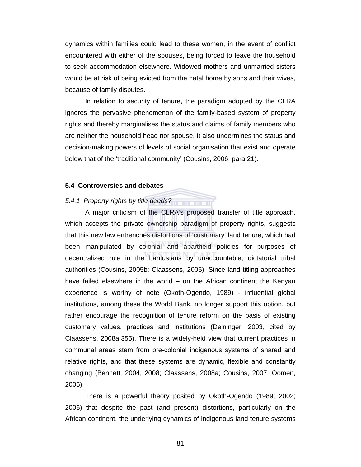dynamics within families could lead to these women, in the event of conflict encountered with either of the spouses, being forced to leave the household to seek accommodation elsewhere. Widowed mothers and unmarried sisters would be at risk of being evicted from the natal home by sons and their wives, because of family disputes.

In relation to security of tenure, the paradigm adopted by the CLRA ignores the pervasive phenomenon of the family-based system of property rights and thereby marginalises the status and claims of family members who are neither the household head nor spouse. It also undermines the status and decision-making powers of levels of social organisation that exist and operate below that of the 'traditional community' (Cousins, 2006: para 21).

## **5.4 Controversies and debates**

# *5.4.1 Property rights by title deeds?*

A major criticism of the CLRA's proposed transfer of title approach, which accepts the private ownership paradigm of property rights, suggests that this new law entrenches distortions of 'customary' land tenure, which had been manipulated by colonial and apartheid policies for purposes of decentralized rule in the bantustans by unaccountable, dictatorial tribal authorities (Cousins, 2005b; Claassens, 2005). Since land titling approaches have failed elsewhere in the world – on the African continent the Kenyan experience is worthy of note (Okoth-Ogendo, 1989) - influential global institutions, among these the World Bank, no longer support this option, but rather encourage the recognition of tenure reform on the basis of existing customary values, practices and institutions (Deininger, 2003, cited by Claassens, 2008a:355). There is a widely-held view that current practices in communal areas stem from pre-colonial indigenous systems of shared and relative rights, and that these systems are dynamic, flexible and constantly changing (Bennett, 2004, 2008; Claassens, 2008a; Cousins, 2007; Oomen, 2005).

There is a powerful theory posited by Okoth-Ogendo (1989; 2002; 2006) that despite the past (and present) distortions, particularly on the African continent, the underlying dynamics of indigenous land tenure systems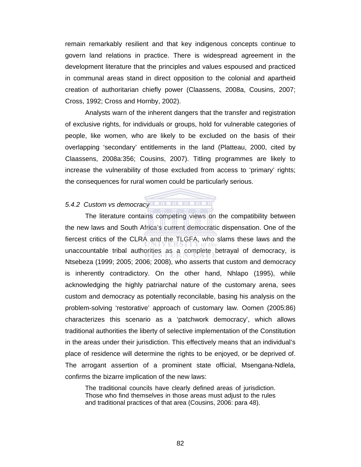remain remarkably resilient and that key indigenous concepts continue to govern land relations in practice. There is widespread agreement in the development literature that the principles and values espoused and practiced in communal areas stand in direct opposition to the colonial and apartheid creation of authoritarian chiefly power (Claassens, 2008a, Cousins, 2007; Cross, 1992; Cross and Hornby, 2002).

Analysts warn of the inherent dangers that the transfer and registration of exclusive rights, for individuals or groups, hold for vulnerable categories of people, like women, who are likely to be excluded on the basis of their overlapping 'secondary' entitlements in the land (Platteau, 2000, cited by Claassens, 2008a:356; Cousins, 2007). Titling programmes are likely to increase the vulnerability of those excluded from access to 'primary' rights; the consequences for rural women could be particularly serious.

# *5.4.2 Custom vs democracy*

The literature contains competing views on the compatibility between the new laws and South Africa's current democratic dispensation. One of the fiercest critics of the CLRA and the TLGFA, who slams these laws and the unaccountable tribal authorities as a complete betrayal of democracy, is Ntsebeza (1999; 2005; 2006; 2008), who asserts that custom and democracy is inherently contradictory. On the other hand, Nhlapo (1995), while acknowledging the highly patriarchal nature of the customary arena, sees custom and democracy as potentially reconcilable, basing his analysis on the problem-solving 'restorative' approach of customary law. Oomen (2005:86) characterizes this scenario as a 'patchwork democracy', which allows traditional authorities the liberty of selective implementation of the Constitution in the areas under their jurisdiction. This effectively means that an individual's place of residence will determine the rights to be enjoyed, or be deprived of. The arrogant assertion of a prominent state official, Msengana-Ndlela, confirms the bizarre implication of the new laws:

The traditional councils have clearly defined areas of jurisdiction. Those who find themselves in those areas must adjust to the rules and traditional practices of that area (Cousins, 2006: para 48).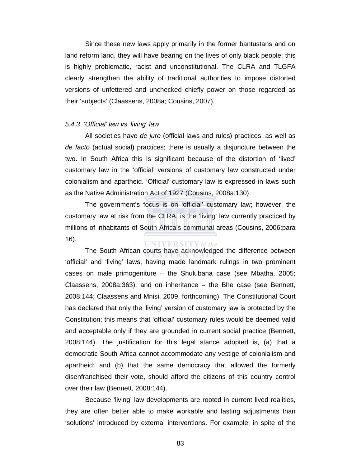Since these new laws apply primarily in the former bantustans and on land reform land, they will have bearing on the lives of only black people; this is highly problematic, racist and unconstitutional. The CLRA and TLGFA clearly strengthen the ability of traditional authorities to impose distorted versions of unfettered and unchecked chiefly power on those regarded as their 'subjects' (Claassens, 2008a; Cousins, 2007).

#### *5.4.3 'Official' law vs 'living' law*

All societies have *de jure* (official laws and rules) practices, as well as *de facto* (actual social) practices; there is usually a disjuncture between the two. In South Africa this is significant because of the distortion of 'lived' customary law in the 'official' versions of customary law constructed under colonialism and apartheid. 'Official' customary law is expressed in laws such as the Native Administration Act of 1927 (Cousins, 2008a:130).

The government's focus is on 'official' customary law; however, the customary law at risk from the CLRA, is the 'living' law currently practiced by millions of inhabitants of South Africa's communal areas (Cousins, 2006:para 16). **UNIVERSITY** of the

The South African courts have acknowledged the difference between 'official' and 'living' laws, having made landmark rulings in two prominent cases on male primogeniture – the Shulubana case (see Mbatha, 2005; Claassens, 2008a:363); and on inheritance – the Bhe case (see Bennett, 2008:144; Claassens and Mnisi, 2009, forthcoming). The Constitutional Court has declared that only the 'living' version of customary law is protected by the Constitution; this means that 'official' customary rules would be deemed valid and acceptable only if they are grounded in current social practice (Bennett, 2008:144). The justification for this legal stance adopted is, (a) that a democratic South Africa cannot accommodate any vestige of colonialism and apartheid; and (b) that the same democracy that allowed the formerly disenfranchised their vote, should afford the citizens of this country control over their law (Bennett, 2008:144).

Because 'living' law developments are rooted in current lived realities, they are often better able to make workable and lasting adjustments than 'solutions' introduced by external interventions. For example, in spite of the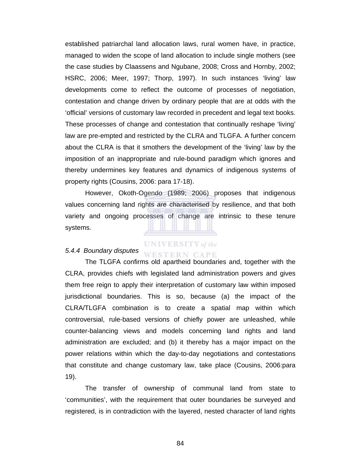established patriarchal land allocation laws, rural women have, in practice, managed to widen the scope of land allocation to include single mothers (see the case studies by Claassens and Ngubane, 2008; Cross and Hornby, 2002; HSRC, 2006; Meer, 1997; Thorp, 1997). In such instances 'living' law developments come to reflect the outcome of processes of negotiation, contestation and change driven by ordinary people that are at odds with the 'official' versions of customary law recorded in precedent and legal text books. These processes of change and contestation that continually reshape 'living' law are pre-empted and restricted by the CLRA and TLGFA. A further concern about the CLRA is that it smothers the development of the 'living' law by the imposition of an inappropriate and rule-bound paradigm which ignores and thereby undermines key features and dynamics of indigenous systems of property rights (Cousins, 2006: para 17-18).

However, Okoth-Ogendo (1989; 2006) proposes that indigenous values concerning land rights are characterised by resilience, and that both variety and ongoing processes of change are intrinsic to these tenure systems.

#### *5.4.4 Boundary disputes*

# **UNIVERSITY** of the

The TLGFA confirms old apartheid boundaries and, together with the CLRA, provides chiefs with legislated land administration powers and gives them free reign to apply their interpretation of customary law within imposed jurisdictional boundaries. This is so, because (a) the impact of the CLRA/TLGFA combination is to create a spatial map within which controversial, rule-based versions of chiefly power are unleashed, while counter-balancing views and models concerning land rights and land administration are excluded; and (b) it thereby has a major impact on the power relations within which the day-to-day negotiations and contestations that constitute and change customary law, take place (Cousins, 2006:para 19).

The transfer of ownership of communal land from state to 'communities', with the requirement that outer boundaries be surveyed and registered, is in contradiction with the layered, nested character of land rights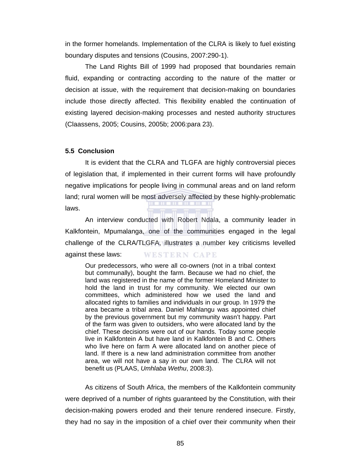in the former homelands. Implementation of the CLRA is likely to fuel existing boundary disputes and tensions (Cousins, 2007:290-1).

The Land Rights Bill of 1999 had proposed that boundaries remain fluid, expanding or contracting according to the nature of the matter or decision at issue, with the requirement that decision-making on boundaries include those directly affected. This flexibility enabled the continuation of existing layered decision-making processes and nested authority structures (Claassens, 2005; Cousins, 2005b; 2006:para 23).

#### **5.5 Conclusion**

It is evident that the CLRA and TLGFA are highly controversial pieces of legislation that, if implemented in their current forms will have profoundly negative implications for people living in communal areas and on land reform land; rural women will be most adversely affected by these highly-problematic laws.

An interview conducted with Robert Ndala, a community leader in Kalkfontein, Mpumalanga, one of the communities engaged in the legal challenge of the CLRA/TLGFA, illustrates a number key criticisms levelled against these laws: **WESTERN CAPE** 

Our predecessors, who were all co-owners (not in a tribal context but communally), bought the farm. Because we had no chief, the land was registered in the name of the former Homeland Minister to hold the land in trust for my community. We elected our own committees, which administered how we used the land and allocated rights to families and individuals in our group. In 1979 the area became a tribal area. Daniel Mahlangu was appointed chief by the previous government but my community wasn't happy. Part of the farm was given to outsiders, who were allocated land by the chief. These decisions were out of our hands. Today some people live in Kalkfontein A but have land in Kalkfontein B and C. Others who live here on farm A were allocated land on another piece of land. If there is a new land administration committee from another area, we will not have a say in our own land. The CLRA will not benefit us (PLAAS, *Umhlaba Wethu*, 2008:3).

As citizens of South Africa, the members of the Kalkfontein community were deprived of a number of rights guaranteed by the Constitution, with their decision-making powers eroded and their tenure rendered insecure. Firstly, they had no say in the imposition of a chief over their community when their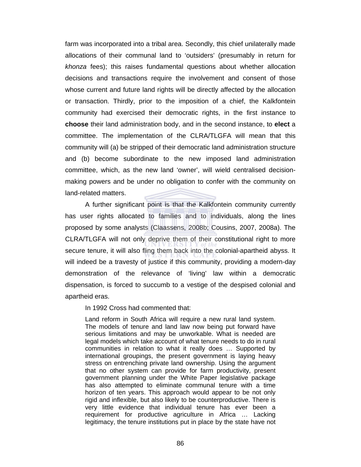farm was incorporated into a tribal area. Secondly, this chief unilaterally made allocations of their communal land to 'outsiders' (presumably in return for *khonza* fees); this raises fundamental questions about whether allocation decisions and transactions require the involvement and consent of those whose current and future land rights will be directly affected by the allocation or transaction. Thirdly, prior to the imposition of a chief, the Kalkfontein community had exercised their democratic rights, in the first instance to **choose** their land administration body, and in the second instance, to **elect** a committee. The implementation of the CLRA/TLGFA will mean that this community will (a) be stripped of their democratic land administration structure and (b) become subordinate to the new imposed land administration committee, which, as the new land 'owner', will wield centralised decisionmaking powers and be under no obligation to confer with the community on land-related matters.

A further significant point is that the Kalkfontein community currently has user rights allocated to families and to individuals, along the lines proposed by some analysts (Claassens, 2008b; Cousins, 2007, 2008a). The CLRA/TLGFA will not only deprive them of their constitutional right to more secure tenure, it will also fling them back into the colonial-apartheid abyss. It will indeed be a travesty of justice if this community, providing a modern-day demonstration of the relevance of 'living' law within a democratic dispensation, is forced to succumb to a vestige of the despised colonial and apartheid eras.

In 1992 Cross had commented that:

Land reform in South Africa will require a new rural land system. The models of tenure and land law now being put forward have serious limitations and may be unworkable. What is needed are legal models which take account of what tenure needs to do in rural communities in relation to what it really does … Supported by international groupings, the present government is laying heavy stress on entrenching private land ownership. Using the argument that no other system can provide for farm productivity, present government planning under the White Paper legislative package has also attempted to eliminate communal tenure with a time horizon of ten years. This approach would appear to be not only rigid and inflexible, but also likely to be counterproductive. There is very little evidence that individual tenure has ever been a requirement for productive agriculture in Africa … Lacking legitimacy, the tenure institutions put in place by the state have not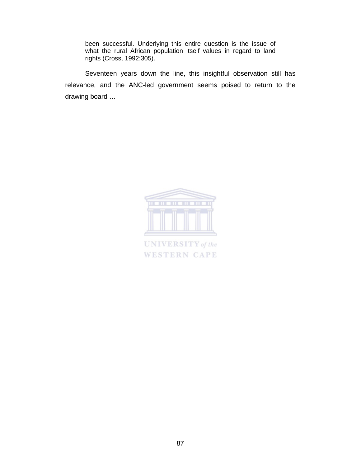been successful. Underlying this entire question is the issue of what the rural African population itself values in regard to land rights (Cross, 1992:305).

Seventeen years down the line, this insightful observation still has relevance, and the ANC-led government seems poised to return to the drawing board …



**UNIVERSITY** of the **WESTERN CAPE**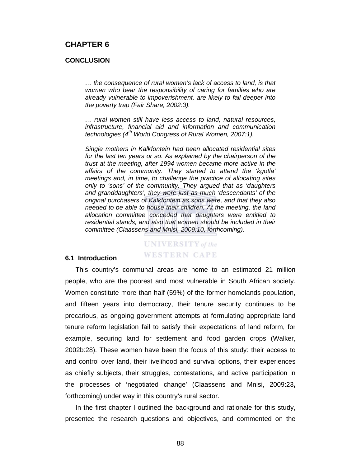# **CHAPTER 6**

#### **CONCLUSION**

*… the consequence of rural women's lack of access to land, is that women who bear the responsibility of caring for families who are already vulnerable to impoverishment, are likely to fall deeper into the poverty trap (Fair Share, 2002:3).* 

*… rural women still have less access to land, natural resources, infrastructure, financial aid and information and communication technologies (4th World Congress of Rural Women, 2007:1).* 

*Single mothers in Kalkfontein had been allocated residential sites for the last ten years or so. As explained by the chairperson of the trust at the meeting, after 1994 women became more active in the affairs of the community. They started to attend the 'kgotla' meetings and, in time, to challenge the practice of allocating sites only to 'sons' of the community. They argued that as 'daughters and granddaughters', they were just as much 'descendants' of the original purchasers of Kalkfontein as sons were, and that they also needed to be able to house their children. At the meeting, the land allocation committee conceded that daughters were entitled to residential stands, and also that women should be included in their committee (Claassens and Mnisi, 2009:10, forthcoming).*

# **UNIVERSITY** of the **WESTERN CAPE**

## **6.1 Introduction**

This country's communal areas are home to an estimated 21 million people, who are the poorest and most vulnerable in South African society. Women constitute more than half (59%) of the former homelands population, and fifteen years into democracy, their tenure security continues to be precarious, as ongoing government attempts at formulating appropriate land tenure reform legislation fail to satisfy their expectations of land reform, for example, securing land for settlement and food garden crops (Walker, 2002b:28). These women have been the focus of this study: their access to and control over land, their livelihood and survival options, their experiences as chiefly subjects, their struggles, contestations, and active participation in the processes of 'negotiated change' (Claassens and Mnisi, 2009:23**,**  forthcoming) under way in this country's rural sector.

In the first chapter I outlined the background and rationale for this study, presented the research questions and objectives, and commented on the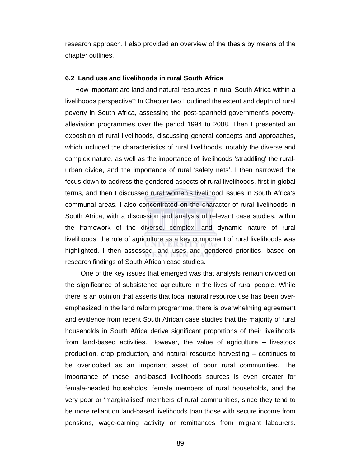research approach. I also provided an overview of the thesis by means of the chapter outlines.

## **6.2 Land use and livelihoods in rural South Africa**

How important are land and natural resources in rural South Africa within a livelihoods perspective? In Chapter two I outlined the extent and depth of rural poverty in South Africa, assessing the post-apartheid government's povertyalleviation programmes over the period 1994 to 2008. Then I presented an exposition of rural livelihoods, discussing general concepts and approaches, which included the characteristics of rural livelihoods, notably the diverse and complex nature, as well as the importance of livelihoods 'straddling' the ruralurban divide, and the importance of rural 'safety nets'. I then narrowed the focus down to address the gendered aspects of rural livelihoods, first in global terms, and then I discussed rural women's livelihood issues in South Africa's communal areas. I also concentrated on the character of rural livelihoods in South Africa, with a discussion and analysis of relevant case studies, within the framework of the diverse, complex, and dynamic nature of rural livelihoods; the role of agriculture as a key component of rural livelihoods was highlighted. I then assessed land uses and gendered priorities, based on research findings of South African case studies.

 One of the key issues that emerged was that analysts remain divided on the significance of subsistence agriculture in the lives of rural people. While there is an opinion that asserts that local natural resource use has been overemphasized in the land reform programme, there is overwhelming agreement and evidence from recent South African case studies that the majority of rural households in South Africa derive significant proportions of their livelihoods from land-based activities. However, the value of agriculture – livestock production, crop production, and natural resource harvesting – continues to be overlooked as an important asset of poor rural communities. The importance of these land-based livelihoods sources is even greater for female-headed households, female members of rural households, and the very poor or 'marginalised' members of rural communities, since they tend to be more reliant on land-based livelihoods than those with secure income from pensions, wage-earning activity or remittances from migrant labourers.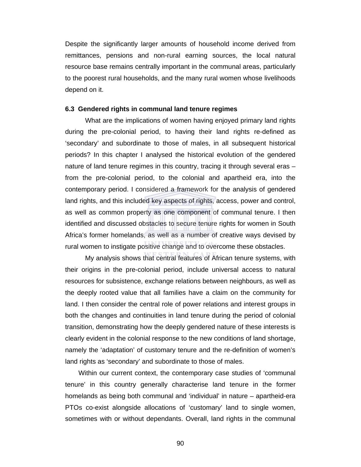Despite the significantly larger amounts of household income derived from remittances, pensions and non-rural earning sources, the local natural resource base remains centrally important in the communal areas, particularly to the poorest rural households, and the many rural women whose livelihoods depend on it.

#### **6.3 Gendered rights in communal land tenure regimes**

What are the implications of women having enjoyed primary land rights during the pre-colonial period, to having their land rights re-defined as 'secondary' and subordinate to those of males, in all subsequent historical periods? In this chapter I analysed the historical evolution of the gendered nature of land tenure regimes in this country, tracing it through several eras – from the pre-colonial period, to the colonial and apartheid era, into the contemporary period. I considered a framework for the analysis of gendered land rights, and this included key aspects of rights, access, power and control, as well as common property as one component of communal tenure. I then identified and discussed obstacles to secure tenure rights for women in South Africa's former homelands, as well as a number of creative ways devised by rural women to instigate positive change and to overcome these obstacles.

My analysis shows that central features of African tenure systems, with their origins in the pre-colonial period, include universal access to natural resources for subsistence, exchange relations between neighbours, as well as the deeply rooted value that all families have a claim on the community for land. I then consider the central role of power relations and interest groups in both the changes and continuities in land tenure during the period of colonial transition, demonstrating how the deeply gendered nature of these interests is clearly evident in the colonial response to the new conditions of land shortage, namely the 'adaptation' of customary tenure and the re-definition of women's land rights as 'secondary' and subordinate to those of males.

Within our current context, the contemporary case studies of 'communal tenure' in this country generally characterise land tenure in the former homelands as being both communal and 'individual' in nature – apartheid-era PTOs co-exist alongside allocations of 'customary' land to single women, sometimes with or without dependants. Overall, land rights in the communal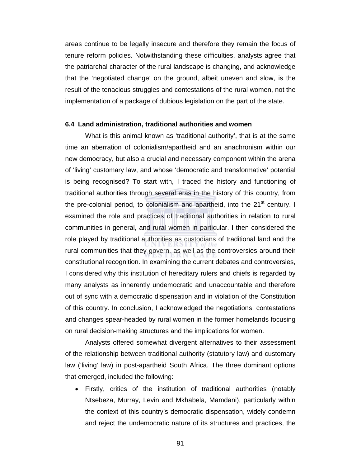areas continue to be legally insecure and therefore they remain the focus of tenure reform policies. Notwithstanding these difficulties, analysts agree that the patriarchal character of the rural landscape is changing, and acknowledge that the 'negotiated change' on the ground, albeit uneven and slow, is the result of the tenacious struggles and contestations of the rural women, not the implementation of a package of dubious legislation on the part of the state.

#### **6.4 Land administration, traditional authorities and women**

What is this animal known as 'traditional authority', that is at the same time an aberration of colonialism/apartheid and an anachronism within our new democracy, but also a crucial and necessary component within the arena of 'living' customary law, and whose 'democratic and transformative' potential is being recognised? To start with, I traced the history and functioning of traditional authorities through several eras in the history of this country, from the pre-colonial period, to colonialism and apartheid, into the  $21<sup>st</sup>$  century. I examined the role and practices of traditional authorities in relation to rural communities in general, and rural women in particular. I then considered the role played by traditional authorities as custodians of traditional land and the rural communities that they govern, as well as the controversies around their constitutional recognition. In examining the current debates and controversies, I considered why this institution of hereditary rulers and chiefs is regarded by many analysts as inherently undemocratic and unaccountable and therefore out of sync with a democratic dispensation and in violation of the Constitution of this country. In conclusion, I acknowledged the negotiations, contestations and changes spear-headed by rural women in the former homelands focusing on rural decision-making structures and the implications for women.

Analysts offered somewhat divergent alternatives to their assessment of the relationship between traditional authority (statutory law) and customary law ('living' law) in post-apartheid South Africa. The three dominant options that emerged, included the following:

• Firstly, critics of the institution of traditional authorities (notably Ntsebeza, Murray, Levin and Mkhabela, Mamdani), particularly within the context of this country's democratic dispensation, widely condemn and reject the undemocratic nature of its structures and practices, the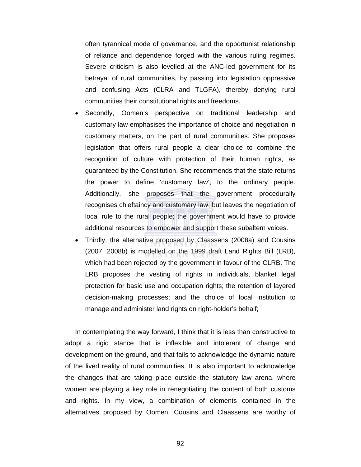often tyrannical mode of governance, and the opportunist relationship of reliance and dependence forged with the various ruling regimes. Severe criticism is also levelled at the ANC-led government for its betrayal of rural communities, by passing into legislation oppressive and confusing Acts (CLRA and TLGFA), thereby denying rural communities their constitutional rights and freedoms.

- Secondly, Oomen's perspective on traditional leadership and customary law emphasises the importance of choice and negotiation in customary matters, on the part of rural communities. She proposes legislation that offers rural people a clear choice to combine the recognition of culture with protection of their human rights, as guaranteed by the Constitution. She recommends that the state returns the power to define 'customary law', to the ordinary people. Additionally, she proposes that the government procedurally recognises chieftaincy and customary law, but leaves the negotiation of local rule to the rural people; the government would have to provide additional resources to empower and support these subaltern voices.
- Thirdly, the alternative proposed by Claassens (2008a) and Cousins (2007; 2008b) is modelled on the 1999 draft Land Rights Bill (LRB), which had been rejected by the government in favour of the CLRB. The LRB proposes the vesting of rights in individuals, blanket legal protection for basic use and occupation rights; the retention of layered decision-making processes; and the choice of local institution to manage and administer land rights on right-holder's behalf;

In contemplating the way forward, I think that it is less than constructive to adopt a rigid stance that is inflexible and intolerant of change and development on the ground, and that fails to acknowledge the dynamic nature of the lived reality of rural communities. It is also important to acknowledge the changes that are taking place outside the statutory law arena, where women are playing a key role in renegotiating the content of both customs and rights. In my view, a combination of elements contained in the alternatives proposed by Oomen, Cousins and Claassens are worthy of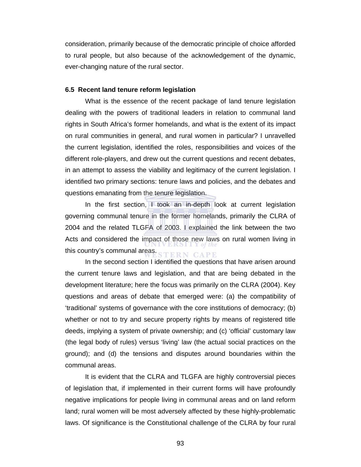consideration, primarily because of the democratic principle of choice afforded to rural people, but also because of the acknowledgement of the dynamic, ever-changing nature of the rural sector.

#### **6.5 Recent land tenure reform legislation**

What is the essence of the recent package of land tenure legislation dealing with the powers of traditional leaders in relation to communal land rights in South Africa's former homelands, and what is the extent of its impact on rural communities in general, and rural women in particular? I unravelled the current legislation, identified the roles, responsibilities and voices of the different role-players, and drew out the current questions and recent debates, in an attempt to assess the viability and legitimacy of the current legislation. I identified two primary sections: tenure laws and policies, and the debates and questions emanating from the tenure legislation.

In the first section, I took an in-depth look at current legislation governing communal tenure in the former homelands, primarily the CLRA of 2004 and the related TLGFA of 2003. I explained the link between the two Acts and considered the impact of those new laws on rural women living in this country's communal areas. TERN CAPE

In the second section I identified the questions that have arisen around the current tenure laws and legislation, and that are being debated in the development literature; here the focus was primarily on the CLRA (2004). Key questions and areas of debate that emerged were: (a) the compatibility of 'traditional' systems of governance with the core institutions of democracy; (b) whether or not to try and secure property rights by means of registered title deeds, implying a system of private ownership; and (c) 'official' customary law (the legal body of rules) versus 'living' law (the actual social practices on the ground); and (d) the tensions and disputes around boundaries within the communal areas.

It is evident that the CLRA and TLGFA are highly controversial pieces of legislation that, if implemented in their current forms will have profoundly negative implications for people living in communal areas and on land reform land; rural women will be most adversely affected by these highly-problematic laws. Of significance is the Constitutional challenge of the CLRA by four rural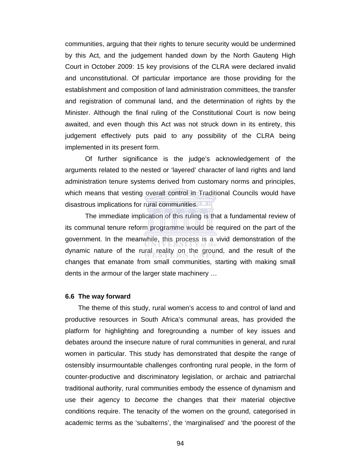communities, arguing that their rights to tenure security would be undermined by this Act, and the judgement handed down by the North Gauteng High Court in October 2009: 15 key provisions of the CLRA were declared invalid and unconstitutional. Of particular importance are those providing for the establishment and composition of land administration committees, the transfer and registration of communal land, and the determination of rights by the Minister. Although the final ruling of the Constitutional Court is now being awaited, and even though this Act was not struck down in its entirety, this judgement effectively puts paid to any possibility of the CLRA being implemented in its present form.

Of further significance is the judge's acknowledgement of the arguments related to the nested or 'layered' character of land rights and land administration tenure systems derived from customary norms and principles, which means that vesting overall control in Traditional Councils would have disastrous implications for rural communities.

The immediate implication of this ruling is that a fundamental review of its communal tenure reform programme would be required on the part of the government. In the meanwhile, this process is a vivid demonstration of the dynamic nature of the rural reality on the ground, and the result of the changes that emanate from small communities, starting with making small dents in the armour of the larger state machinery …

#### **6.6 The way forward**

The theme of this study, rural women's access to and control of land and productive resources in South Africa's communal areas, has provided the platform for highlighting and foregrounding a number of key issues and debates around the insecure nature of rural communities in general, and rural women in particular. This study has demonstrated that despite the range of ostensibly insurmountable challenges confronting rural people, in the form of counter-productive and discriminatory legislation, or archaic and patriarchal traditional authority, rural communities embody the essence of dynamism and use their agency to *become* the changes that their material objective conditions require. The tenacity of the women on the ground, categorised in academic terms as the 'subalterns', the 'marginalised' and 'the poorest of the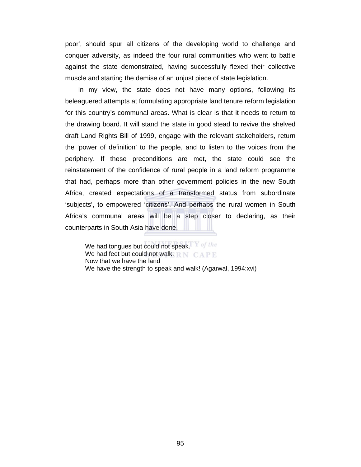poor', should spur all citizens of the developing world to challenge and conquer adversity, as indeed the four rural communities who went to battle against the state demonstrated, having successfully flexed their collective muscle and starting the demise of an unjust piece of state legislation.

In my view, the state does not have many options, following its beleaguered attempts at formulating appropriate land tenure reform legislation for this country's communal areas. What is clear is that it needs to return to the drawing board. It will stand the state in good stead to revive the shelved draft Land Rights Bill of 1999, engage with the relevant stakeholders, return the 'power of definition' to the people, and to listen to the voices from the periphery. If these preconditions are met, the state could see the reinstatement of the confidence of rural people in a land reform programme that had, perhaps more than other government policies in the new South Africa, created expectations of a transformed status from subordinate 'subjects', to empowered 'citizens'. And perhaps the rural women in South Africa's communal areas will be a step closer to declaring, as their counterparts in South Asia have done,

We had tongues but could not speak. For the We had feet but could not walk. RN CAPE Now that we have the land We have the strength to speak and walk! (Agarwal, 1994:xvi)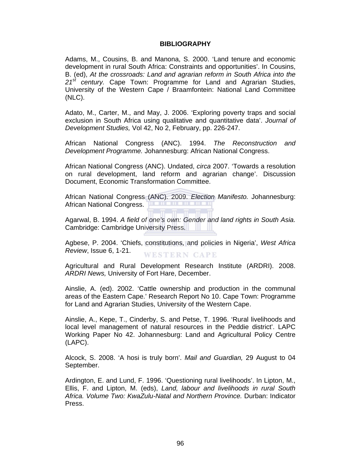# **BIBLIOGRAPHY**

Adams, M., Cousins, B. and Manona, S. 2000. 'Land tenure and economic development in rural South Africa: Constraints and opportunities'. In Cousins, B. (ed), *At the crossroads: Land and agrarian reform in South Africa into the 21st century.* Cape Town: Programme for Land and Agrarian Studies, University of the Western Cape / Braamfontein: National Land Committee (NLC).

Adato, M., Carter, M., and May, J. 2006. 'Exploring poverty traps and social exclusion in South Africa using qualitative and quantitative data'. *Journal of Development Studies,* Vol 42, No 2, February, pp. 226-247.

African National Congress (ANC). 1994. *The Reconstruction and Development Programme.* Johannesburg: African National Congress.

African National Congress (ANC). Undated, *circa* 2007. 'Towards a resolution on rural development, land reform and agrarian change'. Discussion Document, Economic Transformation Committee.

African National Congress (ANC). 2009. *Election Manifesto.* Johannesburg: African National Congress.

Agarwal, B. 1994. *A field of one's own: Gender and land rights in South Asia.* Cambridge: Cambridge University Press.

Agbese, P. 2004. 'Chiefs, constitutions, and policies in Nigeria', *West Africa Review*, Issue 6, 1-21. WESTERN CAPE

Agricultural and Rural Development Research Institute (ARDRI). 2008. *ARDRI News,* University of Fort Hare, December.

Ainslie, A. (ed). 2002. 'Cattle ownership and production in the communal areas of the Eastern Cape.' Research Report No 10. Cape Town: Programme for Land and Agrarian Studies, University of the Western Cape.

Ainslie, A., Kepe, T., Cinderby, S. and Petse, T. 1996. 'Rural livelihoods and local level management of natural resources in the Peddie district'. LAPC Working Paper No 42. Johannesburg: Land and Agricultural Policy Centre (LAPC).

Alcock, S. 2008. 'A hosi is truly born'. *Mail and Guardian,* 29 August to 04 September.

Ardington, E. and Lund, F. 1996. 'Questioning rural livelihoods'. In Lipton, M., Ellis, F. and Lipton, M. (eds), *Land, labour and livelihoods in rural South Africa. Volume Two: KwaZulu-Natal and Northern Province.* Durban: Indicator Press.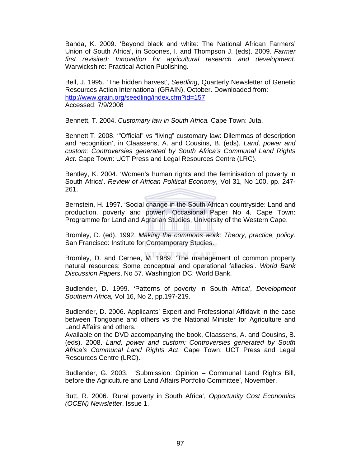Banda, K. 2009. 'Beyond black and white: The National African Farmers' Union of South Africa', in Scoones, I. and Thompson J. (eds). 2009. *Farmer first revisited: Innovation for agricultural research and development.* Warwickshire: Practical Action Publishing.

Bell, J. 1995. 'The hidden harvest', *Seedling*, Quarterly Newsletter of Genetic Resources Action International (GRAIN), October. Downloaded from: http://www.grain.org/seedling/index.cfm?id=157 Accessed: 7/9/2008

Bennett, T. 2004. *Customary law in South Africa.* Cape Town: Juta.

Bennett,T. 2008. '"Official" vs "living" customary law: Dilemmas of description and recognition', in Claassens, A. and Cousins, B. (eds), *Land, power and custom: Controversies generated by South Africa's Communal Land Rights Act*. Cape Town: UCT Press and Legal Resources Centre (LRC).

Bentley, K. 2004. 'Women's human rights and the feminisation of poverty in South Africa'. *Review of African Political Economy,* Vol 31, No 100, pp. 247- 261.

Bernstein, H. 1997. 'Social change in the South African countryside: Land and production, poverty and power'. Occasional Paper No 4. Cape Town: Programme for Land and Agrarian Studies, University of the Western Cape.

Bromley, D. (ed). 1992. *Making the commons work: Theory, practice, policy.* San Francisco: Institute for Contemporary Studies.

Bromley, D. and Cernea, M. 1989. 'The management of common property natural resources: Some conceptual and operational fallacies'. *World Bank Discussion Papers*, No 57. Washington DC: World Bank.

Budlender, D. 1999. 'Patterns of poverty in South Africa', *Development Southern Africa,* Vol 16, No 2, pp.197-219.

Budlender, D. 2006. Applicants' Expert and Professional Affidavit in the case between Tongoane and others vs the National Minister for Agriculture and Land Affairs and others.

Available on the DVD accompanying the book, Claassens, A. and Cousins, B. (eds). 2008. *Land, power and custom: Controversies generated by South Africa's Communal Land Rights Act*. Cape Town: UCT Press and Legal Resources Centre (LRC).

Budlender, G. 2003. 'Submission: Opinion – Communal Land Rights Bill, before the Agriculture and Land Affairs Portfolio Committee', November.

Butt, R. 2006. 'Rural poverty in South Africa', *Opportunity Cost Economics (OCEN) Newsletter*, Issue 1.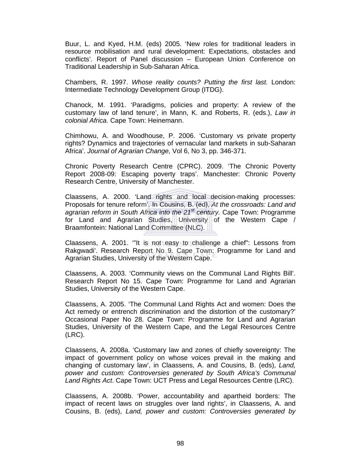Buur, L. and Kyed, H.M. (eds) 2005. 'New roles for traditional leaders in resource mobilisation and rural development: Expectations, obstacles and conflicts'. Report of Panel discussion – European Union Conference on Traditional Leadership in Sub-Saharan Africa.

Chambers, R. 1997. *Whose reality counts? Putting the first last.* London: Intermediate Technology Development Group (ITDG).

Chanock, M. 1991. 'Paradigms, policies and property: A review of the customary law of land tenure', in Mann, K. and Roberts, R. (eds.), *Law in colonial Africa.* Cape Town: Heinemann.

Chimhowu, A. and Woodhouse, P. 2006. 'Customary vs private property rights? Dynamics and trajectories of vernacular land markets in sub-Saharan Africa'. *Journal of Agrarian Change,* Vol 6, No 3, pp. 346-371.

Chronic Poverty Research Centre (CPRC). 2009. 'The Chronic Poverty Report 2008-09: Escaping poverty traps'. Manchester: Chronic Poverty Research Centre, University of Manchester.

Claassens, A. 2000. 'Land rights and local decision-making processes: Proposals for tenure reform'. In Cousins, B. (ed), *At the crossroads: Land and agrarian reform in South Africa into the 21st century.* Cape Town: Programme for Land and Agrarian Studies, University of the Western Cape / Braamfontein: National Land Committee (NLC).

Claassens, A. 2001. '"It is not easy to challenge a chief": Lessons from Rakgwadi'. Research Report No 9. Cape Town: Programme for Land and Agrarian Studies, University of the Western Cape.

Claassens, A. 2003. 'Community views on the Communal Land Rights Bill'. Research Report No 15. Cape Town: Programme for Land and Agrarian Studies, University of the Western Cape.

Claassens, A. 2005. 'The Communal Land Rights Act and women: Does the Act remedy or entrench discrimination and the distortion of the customary?' Occasional Paper No 28. Cape Town: Programme for Land and Agrarian Studies, University of the Western Cape, and the Legal Resources Centre (LRC).

Claassens, A. 2008a. 'Customary law and zones of chiefly sovereignty: The impact of government policy on whose voices prevail in the making and changing of customary law', in Claassens, A. and Cousins, B. (eds), *Land, power and custom: Controversies generated by South Africa's Communal Land Rights Act*. Cape Town: UCT Press and Legal Resources Centre (LRC).

Claassens, A. 2008b. 'Power, accountability and apartheid borders: The impact of recent laws on struggles over land rights', in Claassens, A. and Cousins, B. (eds), *Land, power and custom: Controversies generated by*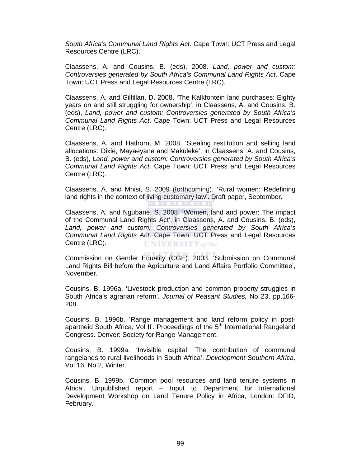*South Africa's Communal Land Rights Act*. Cape Town: UCT Press and Legal Resources Centre (LRC).

Claassens, A. and Cousins, B. (eds). 2008. *Land, power and custom: Controversies generated by South Africa's Communal Land Rights Act*. Cape Town: UCT Press and Legal Resources Centre (LRC).

Claassens, A. and Gilfillan, D. 2008. 'The Kalkfontein land purchases: Eighty years on and still struggling for ownership', in Claassens, A. and Cousins, B. (eds), *Land, power and custom: Controversies generated by South Africa's Communal Land Rights Act*. Cape Town: UCT Press and Legal Resources Centre (LRC).

Claassens, A. and Hathorn, M. 2008. 'Stealing restitution and selling land allocations: Dixie, Mayaeyane and Makuleke', in Claassens, A. and Cousins, B. (eds), *Land, power and custom: Controversies generated by South Africa's Communal Land Rights Act*. Cape Town: UCT Press and Legal Resources Centre (LRC).

Claassens, A. and Mnisi, S. 2009 (forthcoming). 'Rural women: Redefining land rights in the context of living customary law'. Draft paper, September.

Claassens, A. and Ngubane, S. 2008. 'Women, land and power: The impact of the Communal Land Rights Act', in Claassens, A. and Cousins, B. (eds), *Land, power and custom: Controversies generated by South Africa's Communal Land Rights Act*. Cape Town: UCT Press and Legal Resources Centre (LRC). **UNIVERSITY** of the

Commission on Gender Equality (CGE). 2003. 'Submission on Communal Land Rights Bill before the Agriculture and Land Affairs Portfolio Committee', November.

Cousins, B. 1996a. 'Livestock production and common property struggles in South Africa's agrarian reform'. *Journal of Peasant Studies,* No 23, pp.166- 208.

Cousins, B. 1996b. 'Range management and land reform policy in postapartheid South Africa, Vol II'. Proceedings of the 5<sup>th</sup> International Rangeland Congress. Denver: Society for Range Management.

Cousins, B. 1999a. 'Invisible capital: The contribution of communal rangelands to rural livelihoods in South Africa'. *Development Southern Africa,* Vol 16, No 2, Winter.

Cousins, B. 1999b. 'Common pool resources and land tenure systems in Africa'. Unpublished report – Input to Department for International Development Workshop on Land Tenure Policy in Africa, London: DFID, February.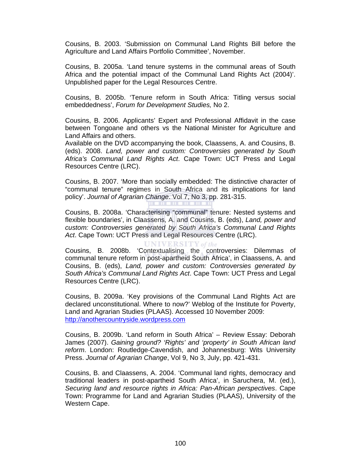Cousins, B. 2003. 'Submission on Communal Land Rights Bill before the Agriculture and Land Affairs Portfolio Committee', November.

Cousins, B. 2005a. 'Land tenure systems in the communal areas of South Africa and the potential impact of the Communal Land Rights Act (2004)'. Unpublished paper for the Legal Resources Centre.

Cousins, B. 2005b. 'Tenure reform in South Africa: Titling versus social embeddedness', *Forum for Development Studies,* No 2.

Cousins, B. 2006. Applicants' Expert and Professional Affidavit in the case between Tongoane and others vs the National Minister for Agriculture and Land Affairs and others.

Available on the DVD accompanying the book, Claassens, A. and Cousins, B. (eds). 2008. *Land, power and custom: Controversies generated by South Africa's Communal Land Rights Act*. Cape Town: UCT Press and Legal Resources Centre (LRC).

Cousins, B. 2007. 'More than socially embedded: The distinctive character of "communal tenure" regimes in South Africa and its implications for land policy'. *Journal of Agrarian Change*. Vol 7, No 3, pp. 281-315.

Cousins, B. 2008a. 'Characterising "communal" tenure: Nested systems and flexible boundaries', in Claassens, A. and Cousins, B. (eds), *Land, power and custom: Controversies generated by South Africa's Communal Land Rights Act*. Cape Town: UCT Press and Legal Resources Centre (LRC).

**UNIVERSITY** of the

Cousins, B. 2008b. 'Contextualising the controversies: Dilemmas of communal tenure reform in post-apartheid South Africa', in Claassens, A. and Cousins, B. (eds), *Land, power and custom: Controversies generated by South Africa's Communal Land Rights Act*. Cape Town: UCT Press and Legal Resources Centre (LRC).

Cousins, B. 2009a. 'Key provisions of the Communal Land Rights Act are declared unconstitutional. Where to now?' Weblog of the Institute for Poverty, Land and Agrarian Studies (PLAAS). Accessed 10 November 2009: http://anothercountryside.wordpress.com

Cousins, B. 2009b. 'Land reform in South Africa' – Review Essay: Deborah James (2007). *Gaining ground? 'Rights' and 'property' in South African land reform*. London: Routledge-Cavendish, and Johannesburg: Wits University Press. *Journal of Agrarian Change*, Vol 9, No 3, July, pp. 421-431.

Cousins, B. and Claassens, A. 2004. 'Communal land rights, democracy and traditional leaders in post-apartheid South Africa', in Saruchera, M. (ed.), *Securing land and resource rights in Africa: Pan-African perspectives*. Cape Town: Programme for Land and Agrarian Studies (PLAAS), University of the Western Cape.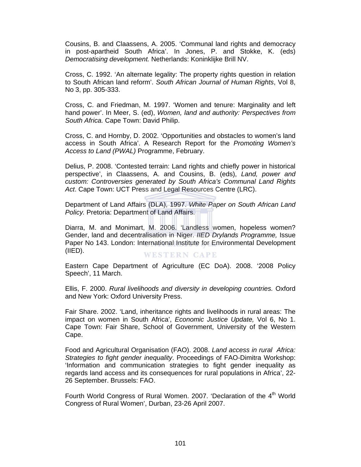Cousins, B. and Claassens, A. 2005. 'Communal land rights and democracy in post-apartheid South Africa'. In Jones, P. and Stokke, K. (eds) *Democratising development.* Netherlands: Koninklijke Brill NV.

Cross, C. 1992. 'An alternate legality: The property rights question in relation to South African land reform'. *South African Journal of Human Rights*, Vol 8, No 3, pp. 305-333.

Cross, C. and Friedman, M. 1997. 'Women and tenure: Marginality and left hand power'. In Meer, S. (ed), *Women, land and authority: Perspectives from South Africa.* Cape Town: David Philip.

Cross, C. and Hornby, D. 2002. 'Opportunities and obstacles to women's land access in South Africa'. A Research Report for the *Promoting Women's Access to Land (PWAL)* Programme, February.

Delius, P. 2008. 'Contested terrain: Land rights and chiefly power in historical perspective', in Claassens, A. and Cousins, B. (eds), *Land, power and custom: Controversies generated by South Africa's Communal Land Rights Act*. Cape Town: UCT Press and Legal Resources Centre (LRC).

Department of Land Affairs (DLA), 1997. *White Paper on South African Land Policy.* Pretoria: Department of Land Affairs.

Diarra, M. and Monimart, M. 2006. 'Landless women, hopeless women? Gender, land and decentralisation in Niger. *IIED Drylands Programme,* Issue Paper No 143. London: International Institute for Environmental Development (IIED). **WESTERN CAPE** 

Eastern Cape Department of Agriculture (EC DoA). 2008. '2008 Policy Speech', 11 March.

Ellis, F. 2000. *Rural livelihoods and diversity in developing countries.* Oxford and New York: Oxford University Press.

Fair Share. 2002. 'Land, inheritance rights and livelihoods in rural areas: The impact on women in South Africa', *Economic Justice Update,* Vol 6, No 1. Cape Town: Fair Share, School of Government, University of the Western Cape.

Food and Agricultural Organisation (FAO). 2008. *Land access in rural Africa: Strategies to fight gender inequality*. Proceedings of FAO-Dimitra Workshop: 'Information and communication strategies to fight gender inequality as regards land access and its consequences for rural populations in Africa', 22- 26 September. Brussels: FAO.

Fourth World Congress of Rural Women. 2007. 'Declaration of the 4<sup>th</sup> World Congress of Rural Women', Durban, 23-26 April 2007.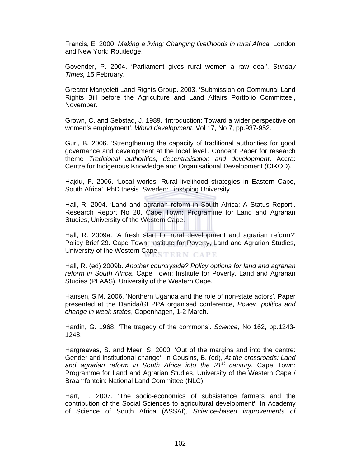Francis, E. 2000. *Making a living: Changing livelihoods in rural Africa.* London and New York: Routledge.

Govender, P. 2004. 'Parliament gives rural women a raw deal'. *Sunday Times,* 15 February.

Greater Manyeleti Land Rights Group. 2003. 'Submission on Communal Land Rights Bill before the Agriculture and Land Affairs Portfolio Committee', November.

Grown, C. and Sebstad, J. 1989. 'Introduction: Toward a wider perspective on women's employment'. *World development*, Vol 17, No 7, pp.937-952.

Guri, B. 2006. 'Strengthening the capacity of traditional authorities for good governance and development at the local level'. Concept Paper for research theme *Traditional authorities, decentralisation and development*. Accra: Centre for Indigenous Knowledge and Organisational Development (CIKOD).

Hajdu, F. 2006. 'Local worlds: Rural livelihood strategies in Eastern Cape, South Africa'. PhD thesis. Sweden: Linköping University.

Hall, R. 2004. 'Land and agrarian reform in South Africa: A Status Report'. Research Report No 20. Cape Town: Programme for Land and Agrarian Studies, University of the Western Cape.

Hall, R. 2009a. 'A fresh start for rural development and agrarian reform?' Policy Brief 29. Cape Town: Institute for Poverty, Land and Agrarian Studies, University of the Western Cape.

Hall, R. (ed) 2009b. *Another countryside? Policy options for land and agrarian reform in South Africa*. Cape Town: Institute for Poverty, Land and Agrarian Studies (PLAAS), University of the Western Cape.

Hansen, S.M. 2006. 'Northern Uganda and the role of non-state actors'. Paper presented at the Danida/GEPPA organised conference, *Power, politics and change in weak states*, Copenhagen, 1-2 March.

Hardin, G. 1968. 'The tragedy of the commons'. *Science,* No 162, pp.1243- 1248.

Hargreaves, S. and Meer, S. 2000. 'Out of the margins and into the centre: Gender and institutional change'. In Cousins, B. (ed), *At the crossroads: Land and agrarian reform in South Africa into the 21st century.* Cape Town: Programme for Land and Agrarian Studies, University of the Western Cape / Braamfontein: National Land Committee (NLC).

Hart, T. 2007. 'The socio-economics of subsistence farmers and the contribution of the Social Sciences to agricultural development'. In Academy of Science of South Africa (ASSAf), *Science-based improvements of*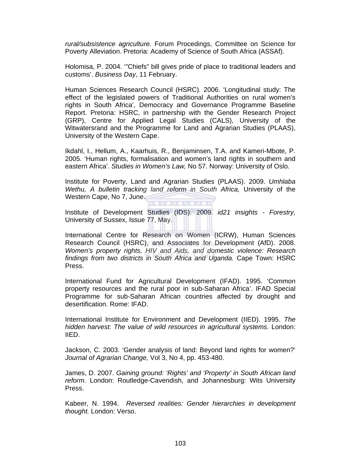*rural/subsistence agriculture.* Forum Procedings, Committee on Science for Poverty Alleviation. Pretoria: Academy of Science of South Africa (ASSAf).

Holomisa, P. 2004. '"Chiefs" bill gives pride of place to traditional leaders and customs'. *Business Day*, 11 February.

Human Sciences Research Council (HSRC). 2006. 'Longitudinal study: The effect of the legislated powers of Traditional Authorities on rural women's rights in South Africa', Democracy and Governance Programme Baseline Report. Pretoria: HSRC, in partnership with the Gender Research Project (GRP), Centre for Applied Legal Studies (CALS), University of the Witwatersrand and the Programme for Land and Agrarian Studies (PLAAS), University of the Western Cape.

Ikdahl, I., Hellum, A., Kaarhuis, R., Benjaminsen, T.A. and Kameri-Mbote, P. 2005. 'Human rights, formalisation and women's land rights in southern and eastern Africa'. *Studies in Women's Law,* No 57. Norway: University of Oslo.

Institute for Poverty, Land and Agrarian Studies (PLAAS). 2009. *Umhlaba Wethu, A bulletin tracking land reform in South Africa,* University of the Western Cape, No 7, June.

Institute of Development Studies (IDS). 2009. *id21 insights - Forestry,* University of Sussex, Issue 77, May.

International Centre for Research on Women (ICRW), Human Sciences Research Council (HSRC), and Associates for Development (AfD). 2008. *Women's property rights, HIV and Aids, and domestic violence: Research findings from two districts in South Africa and Uganda.* Cape Town: HSRC Press.

International Fund for Agricultural Development (IFAD). 1995. 'Common property resources and the rural poor in sub-Saharan Africa'. IFAD Special Programme for sub-Saharan African countries affected by drought and desertification. Rome: IFAD.

International Institute for Environment and Development (IIED). 1995. *The hidden harvest: The value of wild resources in agricultural systems.* London: IIED.

Jackson, C. 2003. 'Gender analysis of land: Beyond land rights for women?' *Journal of Agrarian Change,* Vol 3, No 4, pp. 453-480.

James, D. 2007. *Gaining ground: 'Rights' and 'Property' in South African land reform.* London: Routledge-Cavendish, and Johannesburg: Wits University Press.

Kabeer, N. 1994. *Reversed realities: Gender hierarchies in development thought.* London: Verso.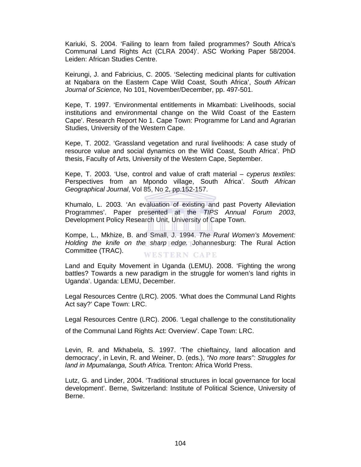Kariuki, S. 2004. 'Failing to learn from failed programmes? South Africa's Communal Land Rights Act (CLRA 2004)'. ASC Working Paper 58/2004. Leiden: African Studies Centre.

Keirungi, J. and Fabricius, C. 2005. 'Selecting medicinal plants for cultivation at Nqabara on the Eastern Cape Wild Coast, South Africa', *South African Journal of Science,* No 101, November/December, pp. 497-501.

Kepe, T. 1997. 'Environmental entitlements in Mkambati: Livelihoods, social institutions and environmental change on the Wild Coast of the Eastern Cape'. Research Report No 1. Cape Town: Programme for Land and Agrarian Studies, University of the Western Cape.

Kepe, T. 2002. 'Grassland vegetation and rural livelihoods: A case study of resource value and social dynamics on the Wild Coast, South Africa'. PhD thesis, Faculty of Arts, University of the Western Cape, September.

Kepe, T. 2003. 'Use, control and value of craft material – *cyperus textiles*: Perspectives from an Mpondo village, South Africa'. *South African Geographical Journal*, Vol 85, No 2, pp.152-157.

Khumalo, L. 2003. 'An evaluation of existing and past Poverty Alleviation Programmes'. Paper presented at the *TIPS Annual Forum 2003*, Development Policy Research Unit, University of Cape Town.

Kompe, L., Mkhize, B. and Small, J. 1994. *The Rural Women's Movement: Holding the knife on the sharp edge.* Johannesburg: The Rural Action Committee (TRAC). WESTERN CAPE

Land and Equity Movement in Uganda (LEMU). 2008. 'Fighting the wrong battles? Towards a new paradigm in the struggle for women's land rights in Uganda'. Uganda: LEMU, December.

Legal Resources Centre (LRC). 2005. 'What does the Communal Land Rights Act say?' Cape Town: LRC.

Legal Resources Centre (LRC). 2006. 'Legal challenge to the constitutionality

of the Communal Land Rights Act: Overview'. Cape Town: LRC.

Levin, R. and Mkhabela, S. 1997. 'The chieftaincy, land allocation and democracy', in Levin, R. and Weiner, D. (eds.), *"No more tears": Struggles for land in Mpumalanga, South Africa.* Trenton: Africa World Press.

Lutz, G. and Linder, 2004. 'Traditional structures in local governance for local development'. Berne, Switzerland: Institute of Political Science, University of Berne.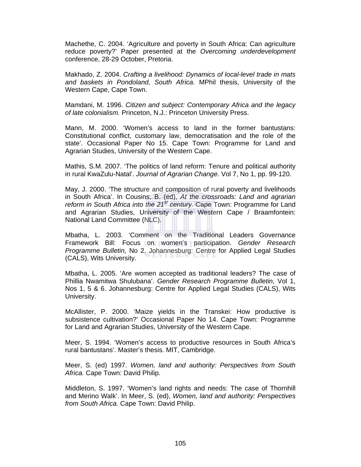Machethe, C. 2004. 'Agriculture and poverty in South Africa: Can agriculture reduce poverty?' Paper presented at the *Overcoming underdevelopment* conference, 28-29 October, Pretoria.

Makhado, Z. 2004. *Crafting a livelihood: Dynamics of local-level trade in mats and baskets in Pondoland, South Africa.* MPhil thesis, University of the Western Cape, Cape Town.

Mamdani, M. 1996. *Citizen and subject: Contemporary Africa and the legacy of late colonialism.* Princeton, N.J.: Princeton University Press.

Mann, M. 2000. 'Women's access to land in the former bantustans: Constitutional conflict, customary law, democratisation and the role of the state'. Occasional Paper No 15. Cape Town: Programme for Land and Agrarian Studies, University of the Western Cape.

Mathis, S.M. 2007. 'The politics of land reform: Tenure and political authority in rural KwaZulu-Natal'. *Journal of Agrarian Change.* Vol 7, No 1, pp. 99-120.

May, J. 2000. 'The structure and composition of rural poverty and livelihoods in South Africa'. In Cousins, B. (ed), *At the crossroads: Land and agrarian reform in South Africa into the 21st century.* Cape Town: Programme for Land and Agrarian Studies, University of the Western Cape / Braamfontein: National Land Committee (NLC).

Mbatha, L. 2003. 'Comment on the Traditional Leaders Governance Framework Bill: Focus on women's participation. *Gender Research Programme Bulletin,* No 2. Johannesburg: Centre for Applied Legal Studies (CALS), Wits University.

Mbatha, L. 2005. 'Are women accepted as traditional leaders? The case of Phillia Nwamitwa Shulubana'. *Gender Research Programme Bulletin,* Vol 1, Nos 1, 5 & 6. Johannesburg: Centre for Applied Legal Studies (CALS), Wits University.

McAllister, P. 2000. 'Maize yields in the Transkei: How productive is subsistence cultivation?' Occasional Paper No 14. Cape Town: Programme for Land and Agrarian Studies, University of the Western Cape.

Meer, S. 1994. 'Women's access to productive resources in South Africa's rural bantustans'. Master's thesis. MIT, Cambridge.

Meer, S. (ed) 1997. *Women, land and authority: Perspectives from South Africa.* Cape Town: David Philip.

Middleton, S. 1997. 'Women's land rights and needs: The case of Thornhill and Merino Walk'. In Meer, S. (ed), *Women, land and authority: Perspectives from South Africa.* Cape Town: David Philip.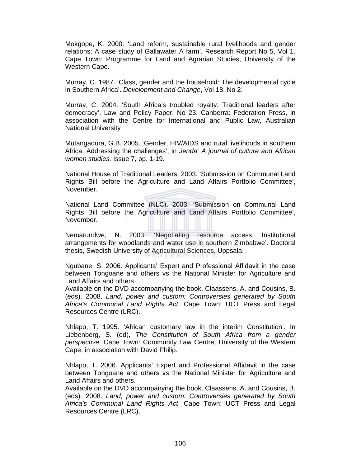Mokgope, K. 2000. 'Land reform, sustainable rural livelihoods and gender relations: A case study of Gallawater A farm'. Research Report No 5, Vol 1. Cape Town: Programme for Land and Agrarian Studies, University of the Western Cape.

Murray, C. 1987. 'Class, gender and the household: The developmental cycle in Southern Africa'. *Development and Change*, Vol 18, No 2.

Murray, C. 2004. 'South Africa's troubled royalty: Traditional leaders after democracy'. Law and Policy Paper, No 23. Canberra: Federation Press, in association with the Centre for International and Public Law, Australian National University

Mutangadura, G.B. 2005. 'Gender, HIV/AIDS and rural livelihoods in southern Africa: Addressing the challenges', in *Jenda: A journal of culture and African women studies.* Issue 7, pp. 1-19.

National House of Traditional Leaders. 2003. 'Submission on Communal Land Rights Bill before the Agriculture and Land Affairs Portfolio Committee', November.

National Land Committee (NLC). 2003. 'Submission on Communal Land Rights Bill before the Agriculture and Land Affairs Portfolio Committee', November.

Nemarundwe, N. 2003. 'Negotiating resource access: Institutional arrangements for woodlands and water use in southern Zimbabwe'. Doctoral thesis, Swedish University of Agricultural Sciences, Uppsala.

Ngubane, S. 2006. Applicants' Expert and Professional Affidavit in the case between Tongoane and others vs the National Minister for Agriculture and Land Affairs and others.

Available on the DVD accompanying the book, Claassens, A. and Cousins, B. (eds). 2008. *Land, power and custom: Controversies generated by South Africa's Communal Land Rights Act*. Cape Town: UCT Press and Legal Resources Centre (LRC).

Nhlapo, T. 1995. 'African customary law in the interim Constitution'. In Liebenberg, S. (ed), *The Constitution of South Africa from a gender perspective.* Cape Town: Community Law Centre, University of the Western Cape, in association with David Philip.

Nhlapo, T. 2006. Applicants' Expert and Professional Affidavit in the case between Tongoane and others vs the National Minister for Agriculture and Land Affairs and others.

Available on the DVD accompanying the book, Claassens, A. and Cousins, B. (eds). 2008. *Land, power and custom: Controversies generated by South Africa's Communal Land Rights Act*. Cape Town: UCT Press and Legal Resources Centre (LRC).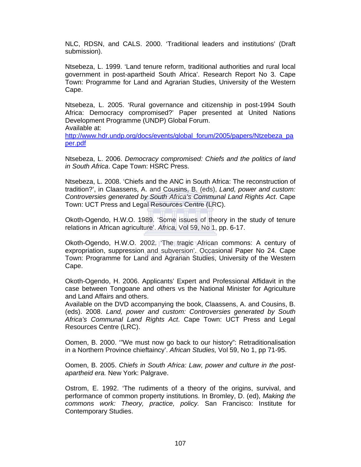NLC, RDSN, and CALS. 2000. 'Traditional leaders and institutions' (Draft submission).

Ntsebeza, L. 1999. 'Land tenure reform, traditional authorities and rural local government in post-apartheid South Africa'. Research Report No 3. Cape Town: Programme for Land and Agrarian Studies, University of the Western Cape.

Ntsebeza, L. 2005. 'Rural governance and citizenship in post-1994 South Africa: Democracy compromised?' Paper presented at United Nations Development Programme (UNDP) Global Forum. Available at:

http://www.hdr.undp.org/docs/events/global\_forum/2005/papers/Ntzebeza\_pa per.pdf

Ntsebeza, L. 2006. *Democracy compromised: Chiefs and the politics of land in South Africa*. Cape Town: HSRC Press.

Ntsebeza, L. 2008. 'Chiefs and the ANC in South Africa: The reconstruction of tradition?', in Claassens, A. and Cousins, B. (eds), *Land, power and custom: Controversies generated by South Africa's Communal Land Rights Act*. Cape Town: UCT Press and Legal Resources Centre (LRC).

Okoth-Ogendo, H.W.O. 1989. 'Some issues of theory in the study of tenure relations in African agriculture'. *Africa,* Vol 59, No 1, pp. 6-17.

Okoth-Ogendo, H.W.O. 2002. 'The tragic African commons: A century of expropriation, suppression and subversion'. Occasional Paper No 24. Cape Town: Programme for Land and Agrarian Studies, University of the Western Cape.

Okoth-Ogendo, H. 2006. Applicants' Expert and Professional Affidavit in the case between Tongoane and others vs the National Minister for Agriculture and Land Affairs and others.

Available on the DVD accompanying the book, Claassens, A. and Cousins, B. (eds). 2008. *Land, power and custom: Controversies generated by South Africa's Communal Land Rights Act*. Cape Town: UCT Press and Legal Resources Centre (LRC).

Oomen, B. 2000. '"We must now go back to our history": Retraditionalisation in a Northern Province chieftaincy'. *African Studies,* Vol 59, No 1, pp 71-95.

Oomen, B. 2005. *Chiefs in South Africa: Law, power and culture in the postapartheid era.* New York: Palgrave.

Ostrom, E. 1992. 'The rudiments of a theory of the origins, survival, and performance of common property institutions. In Bromley, D. (ed), *Making the commons work: Theory, practice, policy.* San Francisco: Institute for Contemporary Studies.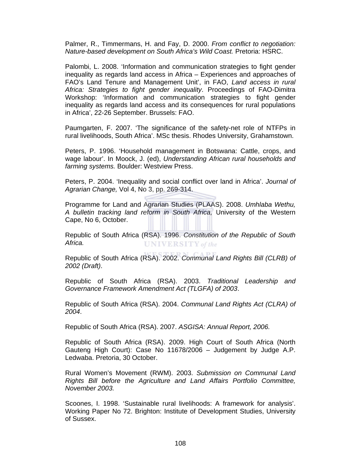Palmer, R., Timmermans, H. and Fay, D. 2000. *From conflict to negotiation: Nature-based development on South Africa's Wild Coast.* Pretoria: HSRC.

Palombi, L. 2008. 'Information and communication strategies to fight gender inequality as regards land access in Africa – Experiences and approaches of FAO's Land Tenure and Management Unit', in FAO, *Land access in rural Africa: Strategies to fight gender inequality*. Proceedings of FAO-Dimitra Workshop: 'Information and communication strategies to fight gender inequality as regards land access and its consequences for rural populations in Africa', 22-26 September. Brussels: FAO.

Paumgarten, F. 2007. 'The significance of the safety-net role of NTFPs in rural livelihoods, South Africa'. MSc thesis. Rhodes University, Grahamstown.

Peters, P. 1996. 'Household management in Botswana: Cattle, crops, and wage labour'. In Moock, J. (ed), *Understanding African rural households and farming systems.* Boulder: Westview Press.

Peters, P. 2004. 'Inequality and social conflict over land in Africa'. *Journal of Agrarian Change,* Vol 4, No 3, pp. 269-314.

Programme for Land and Agrarian Studies (PLAAS). 2008. *Umhlaba Wethu, A bulletin tracking land reform in South Africa,* University of the Western Cape, No 6, October.

Republic of South Africa (RSA). 1996. *Constitution of the Republic of South Africa.* **UNIVERSITY** of the

Republic of South Africa (RSA). 2002. *Communal Land Rights Bill (CLRB) of 2002 (Draft)*.

Republic of South Africa (RSA). 2003. *Traditional Leadership and Governance Framework Amendment Act (TLGFA) of 2003*.

Republic of South Africa (RSA). 2004. *Communal Land Rights Act (CLRA) of 2004*.

Republic of South Africa (RSA). 2007. *ASGISA: Annual Report, 2006.* 

Republic of South Africa (RSA). 2009. High Court of South Africa (North Gauteng High Court): Case No 11678/2006 – Judgement by Judge A.P. Ledwaba. Pretoria, 30 October.

Rural Women's Movement (RWM). 2003. *Submission on Communal Land Rights Bill before the Agriculture and Land Affairs Portfolio Committee, November 2003.* 

Scoones, I. 1998. 'Sustainable rural livelihoods: A framework for analysis'. Working Paper No 72. Brighton: Institute of Development Studies, University of Sussex.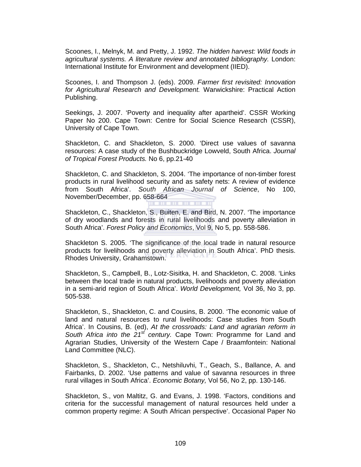Scoones, I., Melnyk, M. and Pretty, J. 1992. *The hidden harvest: Wild foods in agricultural systems. A literature review and annotated bibliography.* London: International Institute for Environment and development (IIED).

Scoones, I. and Thompson J. (eds). 2009. *Farmer first revisited: Innovation for Agricultural Research and Development.* Warwickshire: Practical Action Publishing.

Seekings, J. 2007. 'Poverty and inequality after apartheid'. CSSR Working Paper No 200. Cape Town: Centre for Social Science Research (CSSR), University of Cape Town.

Shackleton, C. and Shackleton, S. 2000. 'Direct use values of savanna resources: A case study of the Bushbuckridge Lowveld, South Africa. *Journal of Tropical Forest Products.* No 6, pp.21-40

Shackleton, C. and Shackleton, S. 2004. 'The importance of non-timber forest products in rural livelihood security and as safety nets: A review of evidence from South Africa'. *South African Journal of Science*, No 100, November/December, pp. 658-664

Shackleton, C., Shackleton, S., Buiten, E. and Bird, N. 2007. 'The importance of dry woodlands and forests in rural livelihoods and poverty alleviation in South Africa'. *Forest Policy and Economics*, Vol 9, No 5, pp. 558-586.

Shackleton S. 2005. 'The significance of the local trade in natural resource products for livelihoods and poverty alleviation in South Africa'. PhD thesis. Rhodes University, Grahamstown.

Shackleton, S., Campbell, B., Lotz-Sisitka, H. and Shackleton, C. 2008. 'Links between the local trade in natural products, livelihoods and poverty alleviation in a semi-arid region of South Africa'. *World Development,* Vol 36, No 3, pp. 505-538.

Shackleton, S., Shackleton, C. and Cousins, B. 2000. 'The economic value of land and natural resources to rural livelihoods: Case studies from South Africa'. In Cousins, B. (ed), *At the crossroads: Land and agrarian reform in South Africa into the 21st century.* Cape Town: Programme for Land and Agrarian Studies, University of the Western Cape / Braamfontein: National Land Committee (NLC).

Shackleton, S., Shackleton, C., Netshiluvhi, T., Geach, S., Ballance, A. and Fairbanks, D. 2002. 'Use patterns and value of savanna resources in three rural villages in South Africa'. *Economic Botany,* Vol 56, No 2, pp. 130-146.

Shackleton, S., von Maltitz, G. and Evans, J. 1998. 'Factors, conditions and criteria for the successful management of natural resources held under a common property regime: A South African perspective'. Occasional Paper No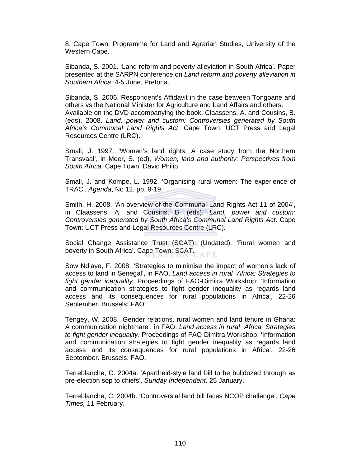8. Cape Town: Programme for Land and Agrarian Studies, University of the Western Cape.

Sibanda, S. 2001. 'Land reform and poverty alleviation in South Africa'. Paper presented at the SARPN conference on *Land reform and poverty alleviation in Southern Africa*, 4-5 June, Pretoria.

Sibanda, S. 2006. Respondent's Affidavit in the case between Tongoane and others vs the National Minister for Agriculture and Land Affairs and others. Available on the DVD accompanying the book, Claassens, A. and Cousins, B. (eds). 2008. *Land, power and custom: Controversies generated by South Africa's Communal Land Rights Act*. Cape Town: UCT Press and Legal Resources Centre (LRC).

Small, J. 1997. 'Women's land rights: A case study from the Northern Transvaal', in Meer, S. (ed), *Women, land and authority: Perspectives from South Africa.* Cape Town: David Philip.

Small, J. and Kompe, L. 1992. 'Organising rural women: The experience of TRAC', *Agenda*, No 12, pp. 9-19.

Smith, H. 2008. 'An overview of the Communal Land Rights Act 11 of 2004', in Claassens, A. and Cousins, B. (eds), *Land, power and custom: Controversies generated by South Africa's Communal Land Rights Act*. Cape Town: UCT Press and Legal Resources Centre (LRC).

Social Change Assistance Trust (SCAT). (Undated). 'Rural women and poverty in South Africa'. Cape Town: SCAT. APE

Sow Ndiaye, F. 2008. 'Strategies to minimise the impact of women's lack of access to land in Senegal', in FAO, *Land access in rural Africa: Strategies to fight gender inequality*. Proceedings of FAO-Dimitra Workshop: 'Information and communication strategies to fight gender inequality as regards land access and its consequences for rural populations in Africa', 22-26 September. Brussels: FAO.

Tengey, W. 2008. 'Gender relations, rural women and land tenure in Ghana: A communication nightmare', in FAO, *Land access in rural Africa: Strategies to fight gender inequality*. Proceedings of FAO-Dimitra Workshop: 'Information and communication strategies to fight gender inequality as regards land access and its consequences for rural populations in Africa', 22-26 September. Brussels: FAO.

Terreblanche, C. 2004a. 'Apartheid-style land bill to be bulldozed through as pre-election sop to chiefs'. *Sunday Independent,* 25 January.

Terreblanche, C. 2004b. 'Controversial land bill faces NCOP challenge'. *Cape Times,* 11 February.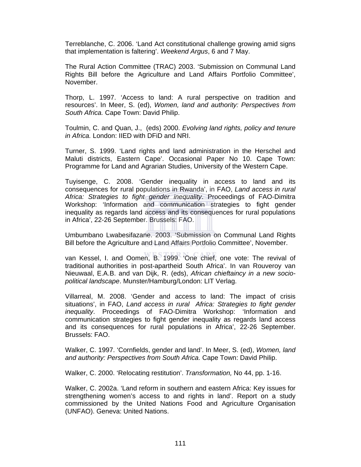Terreblanche, C. 2006. 'Land Act constitutional challenge growing amid signs that implementation is faltering'. *Weekend Argus*, 6 and 7 May.

The Rural Action Committee (TRAC) 2003. 'Submission on Communal Land Rights Bill before the Agriculture and Land Affairs Portfolio Committee', November.

Thorp, L. 1997. 'Access to land: A rural perspective on tradition and resources'. In Meer, S. (ed), *Women, land and authority: Perspectives from South Africa.* Cape Town: David Philip.

Toulmin, C. and Quan, J., (eds) 2000. *Evolving land rights, policy and tenure in Africa.* London: IIED with DFiD and NRI.

Turner, S. 1999. 'Land rights and land administration in the Herschel and Maluti districts, Eastern Cape'. Occasional Paper No 10. Cape Town: Programme for Land and Agrarian Studies, University of the Western Cape.

Tuyisenge, C. 2008. 'Gender inequality in access to land and its consequences for rural populations in Rwanda', in FAO, *Land access in rural Africa: Strategies to fight gender inequality*. Proceedings of FAO-Dimitra Workshop: 'Information and communication strategies to fight gender inequality as regards land access and its consequences for rural populations in Africa', 22-26 September. Brussels: FAO.

Umbumbano Lwabesifazane. 2003. 'Submission on Communal Land Rights Bill before the Agriculture and Land Affairs Portfolio Committee', November.

van Kessel, I. and Oomen, B. 1999. 'One chief, one vote: The revival of traditional authorities in post-apartheid South Africa'. In van Rouveroy van Nieuwaal, E.A.B. and van Dijk, R. (eds), *African chieftaincy in a new sociopolitical landscape*. Munster/Hamburg/London: LIT Verlag.

Villarreal, M. 2008. 'Gender and access to land: The impact of crisis situations', in FAO, *Land access in rural Africa: Strategies to fight gender inequality*. Proceedings of FAO-Dimitra Workshop: 'Information and communication strategies to fight gender inequality as regards land access and its consequences for rural populations in Africa', 22-26 September. Brussels: FAO.

Walker, C. 1997. 'Cornfields, gender and land'. In Meer, S. (ed), *Women, land and authority: Perspectives from South Africa.* Cape Town: David Philip.

Walker, C. 2000. 'Relocating restitution'. *Transformation,* No 44, pp. 1-16.

Walker, C. 2002a. 'Land reform in southern and eastern Africa: Key issues for strengthening women's access to and rights in land'. Report on a study commissioned by the United Nations Food and Agriculture Organisation (UNFAO). Geneva: United Nations.